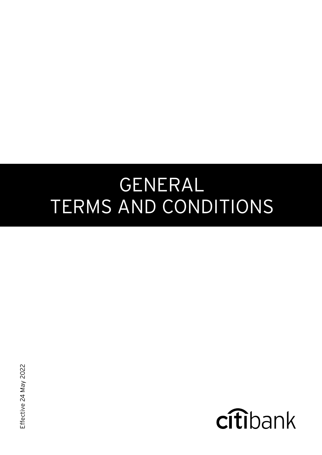# GENERAL TERMS AND CONDITIONS

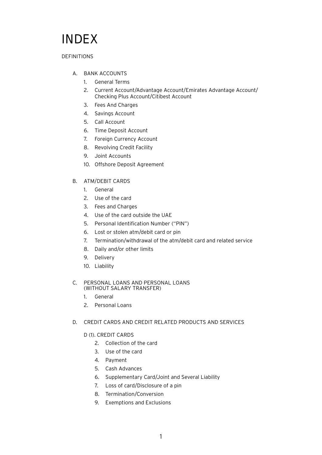# INDEX

#### DEFINITIONS

- A. [BANK ACCOUNTS](#page-8-0)
	- 1. [General Terms](#page-9-0)
	- 2. [Current Account/Advantage Account/Emirates Advantage Account/](#page-14-0) Checking Plus Account/Citibest Account
	- 3. [Fees And Charges](#page-16-0)
	- 4. [Savings Account](#page-16-1)
	- 5. [Call Account](#page-16-2)
	- 6. [Time Deposit Account](#page-17-0)
	- 7. [Foreign Currency Account](#page-18-0)
	- 8. [Revolving Credit Facility](#page-18-0)
	- 9. [Joint Accounts](#page-18-1)
	- 10. [Offshore Deposit Agreement](#page-19-0)

#### B. [ATM/DEBIT CARDS](#page-19-1)

- 1. [General](#page-20-0)
- 2. [Use of the card](#page-21-0)
- 3. [Fees and Charges](#page-23-0)
- 4. [Use of the card outside the UAE](#page-24-0)
- 5. [Personal Identification Number \("PIN"\)](#page-24-1)
- 6. [Lost or stolen atm/debit card or pin](#page-24-2)
- 7. [Termination/withdrawal of the atm/debit card and related service](#page-25-0)
- 8. [Daily and/or other limits](#page-25-1)
- 9. [Delivery](#page-25-2)
- 10. [Liability](#page-25-3)

#### C. [PERSONAL LOANS AND PERSONAL LOANS](#page-26-0) (WITHOUT SALARY TRANSFER)

- 1. [General](#page-26-1)
- 2. [Personal Loans](#page-28-0)

#### D. [CREDIT CARDS AND CREDIT RELATED PRODUCTS AND SERVICES](#page-29-0)

#### D (1). [CREDIT CARDS](#page-29-1)

- 2. [Collection of the card](#page-29-1)
- 3. [Use of the card](#page-29-2)
- 4. [Payment](#page-31-0)
- 5. [Cash Advances](#page-34-0)
- 6. [Supplementary Card/Joint and Several Liability](#page-34-1)
- 7. [Loss of card/Disclosure of a pin](#page-35-0)
- 8. [Termination/Conversion](#page-35-1)
- 9. [Exemptions and Exclusions](#page-36-0)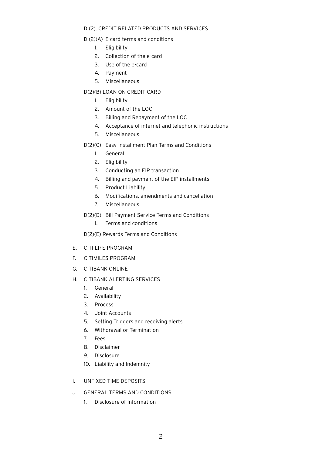#### D (2). [CREDIT RELATED PRODUCTS AND SERVICES](#page-37-0)

#### D (2)(A) [E-card terms and conditions](#page-37-0)

- 1. [Eligibility](#page-37-0)
- 2. [Collection of the e-card](#page-37-1)
- 3. [Use of the e-card](#page-38-0)
- 4. [Payment](#page-38-0)
- 5. [Miscellaneous](#page-38-1)
- D(2)(B) [LOAN ON CREDIT CARD](#page-38-2)
	- 1. [Eligibility](#page-38-2)
	- 2. [Amount of the LOC](#page-38-2)
	- 3. [Billing and Repayment of the LOC](#page-39-0)
	- 4. [Acceptance of internet and telephonic instructions](#page-39-1)
	- 5. [Miscellaneous](#page-40-0)
- D(2)(C) [Easy Installment Plan Terms and Conditions](#page-40-1)
	- 1. [General](#page-40-1)
	- 2. [Eligibility](#page-40-2)
	- 3. [Conducting an EIP transaction](#page-40-3)
	- 4. [Billing and payment of the EIP installments](#page-41-1)
	- 5. [Product Liability](#page-41-0)
	- 6. [Modifications, amendments and cancellation](#page-42-2)
	- 7. [Miscellaneous](#page-42-1)
- D(2)(D) [Bill Payment Service Terms and Conditions](#page-42-0)
	- 1. [Terms and conditions](#page-42-0)

[D\(2\)\(E\) Rewards Terms and Conditions](#page-43-0)

- E. [CITI LIFE PROGRAM](#page-46-0)
- F. [CITIMILES PROGRAM](#page-48-0)
- G. [CITIBANK ONLINE](#page-51-0)
- H. [CITIBANK ALERTING SERVICES](#page-52-0)
	- 1. [General](#page-52-0)
	- 2. [Availability](#page-53-1)
	- 3. [Process](#page-53-0)
	- 4. [Joint Accounts](#page-54-1)
	- 5. [Setting Triggers and receiving alerts](#page-54-1)
	- 6. [Withdrawal or Termination](#page-54-0)
	- 7. [Fees](#page-54-0)
	- 8. [Disclaimer](#page-55-1)
	- 9. [Disclosure](#page-55-0)
	- 10. [Liability and Indemnity](#page-55-0)
- I. [UNFIXED TIME DEPOSITS](#page-57-0)
- J. [GENERAL TERMS AND CONDITIONS](#page-57-0)
	- 1. [Disclosure of Information](#page-57-0)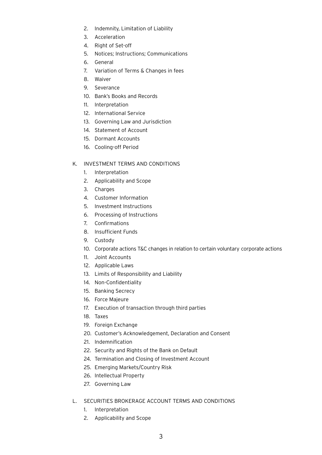- 2. [Indemnity, Limitation of Liability](#page-58-0)
- 3. [Acceleration](#page-59-0)
- 4. [Right of Set-off](#page-59-0)
- 5. [Notices; Instructions; Communications](#page-60-0)
- 6. [General](#page-61-0)
- 7. [Variation of Terms & Changes in fees](#page-65-3)
- 8. [Waiver](#page-65-2)
- 9. [Severance](#page-65-1)
- 10. [Bank's Books and Records](#page-65-1)
- 11. [Interpretation](#page-65-0)
- 12. [International Service](#page-66-1)
- 13. [Governing Law and Jurisdiction](#page-66-1)
- 14. [Statement of Account](#page-66-0)
- 15. [Dormant Accounts](#page-67-0)
- 16. [Cooling-off Period](#page-68-0)

#### K. [INVESTMENT TERMS AND CONDITIONS](#page-69-0)

- 1. [Interpretation](#page-69-0)
- 2. [Applicability and Scope](#page-70-0)
- 3. [Charges](#page-71-0)
- 4. [Customer Information](#page-72-2)
- 5. [Investment Instructions](#page-72-1)
- 6. [Processing of Instructions](#page-72-0)
- 7. [Confirmations](#page-74-2)
- 8. [Insufficient Funds](#page-74-1)
- 9. [Custody](#page-74-0)
- 10. [Corporate actions T&C changes in relation to certain voluntary corporate actions](#page-75-0)
- 11. [Joint Accounts](#page-76-1)
- 12. [Applicable Laws](#page-76-0)
- 13. [Limits of Responsibility and Liability](#page-77-1)
- 14. [Non-Confidentiality](#page-77-1)
- 15. [Banking Secrecy](#page-77-0)
- 16. [Force Majeure](#page-77-0)
- 17. [Execution of transaction through third parties](#page-77-0)
- 18. [Taxes](#page-78-2)
- 19. [Foreign Exchange](#page-78-1)
- 20. [Customer's Acknowledgement, Declaration and Consent](#page-78-0)
- 21. [Indemnification](#page-79-0)
- 22. [Security and Rights of the Bank on Default](#page-79-0)
- 24. [Termination and Closing of Investment Account](#page-80-0)
- 25. [Emerging Markets/Country Risk](#page-81-1)
- 26. [Intellectual Property](#page-81-0)
- 27. [Governing Law](#page-82-2)
- L. [SECURITIES BROKERAGE ACCOUNT TERMS AND CONDITIONS](#page-82-0)
	- 1. [Interpretation](#page-82-1)
	- 2. [Applicability and Scope](#page-83-0)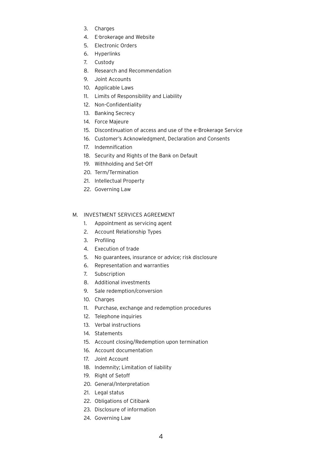- 3. [Charges](#page-84-0)
- 4. [E-brokerage and Website](#page-85-0)
- 5. [Electronic Orders](#page-85-0)
- 6. [Hyperlinks](#page-86-0)
- 7. [Custody](#page-86-0)
- 8. [Research and Recommendation](#page-88-0)
- 9. [Joint Accounts](#page-88-0)
- 10. [Applicable Laws](#page-89-0)
- 11. [Limits of Responsibility and Liability](#page-89-1)
- 12. [Non-Confidentiality](#page-89-1)
- 13. [Banking Secrecy](#page-89-2)
- 14. [Force Majeure](#page-89-2)
- 15. [Discontinuation of access and use of the e-Brokerage Service](#page-90-0)
- 16. [Customer's Acknowledgment, Declaration and Consents](#page-90-0)
- 17. [Indemnification](#page-92-0)
- 18. [Security and Rights of the Bank on Default](#page-92-1)
- 19. [Withholding and Set-Off](#page-93-1)
- 20. [Term/Termination](#page-93-2)
- 21. [Intellectual Property](#page-93-2)
- 22. [Governing Law](#page-93-2)

#### M. [INVESTMENT SERVICES AGREEMENT](#page-93-0)

- 1. [Appointment as servicing agent](#page-94-0)
- 2. [Account Relationship Types](#page-94-0)
- 3. [Profiling](#page-95-0)
- 4. [Execution of trade](#page-95-1)
- 5. [No guarantees, insurance or advice; risk disclosure](#page-95-1)
- 6. [Representation and warranties](#page-96-0)
- 7. [Subscription](#page-97-0)
- 8. [Additional investments](#page-97-0)
- 9. [Sale redemption/conversion](#page-97-0)
- 10. [Charges](#page-98-0)
- 11. [Purchase, exchange and redemption procedures](#page-98-1)
- 12. [Telephone inquiries](#page-98-1)
- 13. [Verbal instructions](#page-99-0)
- 14. [Statements](#page-99-1)
- 15. [Account closing/Redemption upon termination](#page-99-2)
- 16. [Account documentation](#page-100-0)
- 17. [Joint Account](#page-100-0)
- 18. [Indemnity; Limitation of liability](#page-101-0)
- 19. [Right of Setoff](#page-101-1)
- 20. [General/Interpretation](#page-101-2)
- 21. [Legal status](#page-102-0)
- 22. [Obligations of Citibank](#page-102-0)
- 23. [Disclosure of information](#page-102-1)
- 24. [Governing Law](#page-102-1)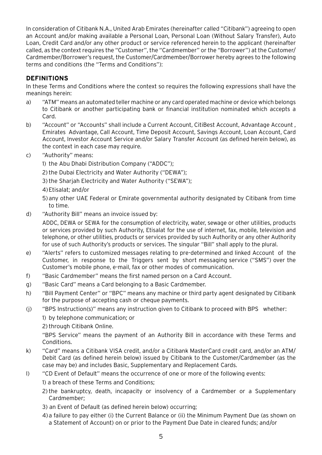In consideration of Citibank N.A., United Arab Emirates (hereinafter called "Citibank") agreeing to open an Account and/or making available a Personal Loan, Personal Loan (Without Salary Transfer), Auto Loan, Credit Card and/or any other product or service referenced herein to the applicant (hereinafter called, as the context requires the "Customer", the "Cardmember" or the "Borrower") at the Customer/ Cardmember/Borrower's request, the Customer/Cardmember/Borrower hereby agrees to the following terms and conditions (the "Terms and Conditions"):

# **DEFINITIONS**

In these Terms and Conditions where the context so requires the following expressions shall have the meanings herein:

- a) "ATM" means an automated teller machine or any card operated machine or device which belongs to Citibank or another participating bank or financial institution nominated which accepts a Card.
- b) "Account" or "Accounts" shall include a Current Account, CitiBest Account, Advantage Account, Emirates Advantage, Call Account, Time Deposit Account, Savings Account, Loan Account, Card Account, Investor Account Service and/or Salary Transfer Account (as defined herein below), as the context in each case may require.
- c) "Authority" means:
	- 1) the Abu Dhabi Distribution Company ("ADDC");
	- 2)the Dubai Electricity and Water Authority ("DEWA");
	- 3)the Sharjah Electricity and Water Authority ("SEWA");
	- 4)Etisalat; and/or
	- 5) any other UAE Federal or Emirate governmental authority designated by Citibank from time to time.
- d) "Authority Bill" means an invoice issued by:

ADDC, DEWA or SEWA for the consumption of electricity, water, sewage or other utilities, products or services provided by such Authority, Etisalat for the use of internet, fax, mobile, television and telephone, or other utilities, products or services provided by such Authority or any other Authority for use of such Authority's products or services. The singular "Bill" shall apply to the plural.

- e) "Alerts" refers to customized messages relating to pre-determined and linked Account of the Customer, in response to the Triggers sent by short messaging service ("SMS") over the Customer's mobile phone, e-mail, fax or other modes of communication.
- f) "Basic Cardmember" means the first named person on a Card Account.
- g) "Basic Card" means a Card belonging to a Basic Cardmember.
- h) "Bill Payment Center" or "BPC" means any machine or third party agent designated by Citibank for the purpose of accepting cash or cheque payments.
- (j) "BPS Instruction(s)" means any instruction given to Citibank to proceed with BPS whether:

1) by telephone communication; or

2) through Citibank Online.

"BPS Service" means the payment of an Authority Bill in accordance with these Terms and Conditions.

- k) "Card" means a Citibank VISA credit, and/or a Citibank MasterCard credit card, and/or an ATM/ Debit Card (as defined herein below) issued by Citibank to the Customer/Cardmember (as the case may be) and includes Basic, Supplementary and Replacement Cards.
- l) "CD Event of Default" means the occurrence of one or more of the following events:
	- 1) a breach of these Terms and Conditions;
	- 2)the bankruptcy, death, incapacity or insolvency of a Cardmember or a Supplementary Cardmember;
	- 3) an Event of Default (as defined herein below) occurring;
	- 4)a failure to pay either (i) the Current Balance or (ii) the Minimum Payment Due (as shown on a Statement of Account) on or prior to the Payment Due Date in cleared funds; and/or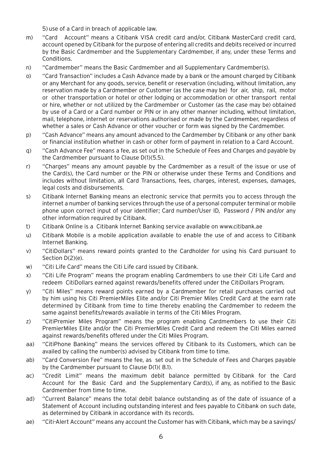5)use of a Card in breach of applicable law.

- m) "Card Account" means a Citibank VISA credit card and/or, Citibank MasterCard credit card, account opened by Citibank for the purpose of entering all credits and debits received or incurred by the Basic Cardmember and the Supplementary Cardmember, if any, under these Terms and Conditions.
- n) "Cardmember" means the Basic Cardmember and all Supplementary Cardmember(s).
- o) "Card Transaction" includes a Cash Advance made by a bank or the amount charged by Citibank or any Merchant for any goods, service, benefit or reservation (including, without limitation, any reservation made by a Cardmember or Customer (as the case may be) for air, ship, rail, motor or other transportation or hotel or other lodging or accommodation or other transport rental or hire, whether or not utilized by the Cardmember or Customer (as the case may be) obtained by use of a Card or a Card number or PIN or in any other manner including, without limitation, mail, telephone, internet or reservations authorised or made by the Cardmember, regardless of whether a sales or Cash Advance or other voucher or form was signed by the Cardmember.
- p) "Cash Advance" means any amount advanced to the Cardmember by Citibank or any other bank or financial institution whether in cash or other form of payment in relation to a Card Account.
- q) "Cash Advance Fee" means a fee, as set out in the Schedule of Fees and Charges and payable by the Cardmember pursuant to Clause D(1)(5.5).
- r) "Charges" means any amount payable by the Cardmember as a result of the issue or use of the Card(s), the Card number or the PIN or otherwise under these Terms and Conditions and includes without limitation, all Card Transactions, fees, charges, interest, expenses, damages, legal costs and disbursements.
- s) Citibank Internet Banking means an electronic service that permits you to access through the internet a number of banking services through the use of a personal computer terminal or mobile phone upon correct input of your identifier; Card number/User ID, Password / PIN and/or any other information required by Citibank.
- t) Citibank Online is a Citibank Internet Banking service available on www.citibank.ae
- u) Citibank Mobile is a mobile application available to enable the use of and access to Citibank Internet Banking.
- v) "CitiDollars" means reward points granted to the Cardholder for using his Card pursuant to Section D(2)(e).
- w) "Citi Life Card" means the Citi Life card issued by Citibank.
- x) "Citi Life Program" means the program enabling Cardmembers to use their Citi Life Card and redeem CitiDollars earned against rewards/benefits offered under the CitiDollars Program.
- y) "Citi Miles" means reward points earned by a Cardmember for retail purchases carried out by him using his Citi PremierMiles Elite and/or Citi Premier Miles Credit Card at the earn rate determined by Citibank from time to time thereby enabling the Cardmember to redeem the same against benefits/rewards available in terms of the Citi Miles Program.
- z) "CitiPremier Miles Program" means the program enabling Cardmembers to use their Citi PremierMiles Elite and/or the Citi PremierMiles Credit Card and redeem the Citi Miles earned against rewards/benefits offered under the Citi Miles Program.
- aa) "CitiPhone Banking" means the services offered by Citibank to its Customers, which can be availed by calling the number(s) advised by Citibank from time to time.
- ab) "Card Conversion Fee" means the fee, as set out in the Schedule of Fees and Charges payable by the Cardmember pursuant to Clause D(1)( 8.1).
- ac) "Credit Limit" means the maximum debit balance permitted by Citibank for the Card Account for the Basic Card and the Supplementary Card(s), if any, as notified to the Basic Cardmember from time to time.
- ad) "Current Balance" means the total debit balance outstanding as of the date of issuance of a Statement of Account including outstanding interest and fees payable to Citibank on such date, as determined by Citibank in accordance with its records.
- ae) "Citi-Alert Account" means any account the Customer has with Citibank, which may be a savings/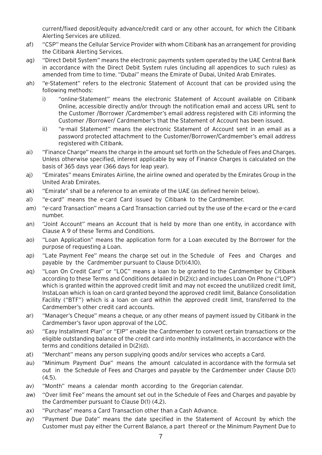current/fixed deposit/equity advance/credit card or any other account, for which the Citibank Alerting Services are utilized.

- af) "CSP" means the Cellular Service Provider with whom Citibank has an arrangement for providing the Citibank Alerting Services.
- ag) "Direct Debit System" means the electronic payments system operated by the UAE Central Bank in accordance with the Direct Debit System rules (including all appendices to such rules) as amended from time to time. "Dubai" means the Emirate of Dubai, United Arab Emirates.
- ah) "e-Statement" refers to the electronic Statement of Account that can be provided using the following methods:
	- i) "online-Statement" means the electronic Statement of Account available on Citibank Online, accessible directly and/or through the notification email and access URL sent to the Customer /Borrower /Cardmember's email address registered with Citi informing the Customer /Borrower/ Cardmember's that the Statement of Account has been issued.
	- ii) "e-mail Statement" means the electronic Statement of Account sent in an email as a password protected attachment to the Customer/Borrower/Cardmember's email address registered with Citibank.
- ai) "Finance Charge" means the charge in the amount set forth on the Schedule of Fees and Charges. Unless otherwise specified, interest applicable by way of Finance Charges is calculated on the basis of 365 days year (366 days for leap year).
- aj) "Emirates" means Emirates Airline, the airline owned and operated by the Emirates Group in the United Arab Emirates.
- ak) "Emirate" shall be a reference to an emirate of the UAE (as defined herein below).
- al) "e-card" means the e-card Card issued by Citibank to the Cardmember.
- am) "e-card Transaction" means a Card Transaction carried out by the use of the e-card or the e-card number.
- an) "Joint Account" means an Account that is held by more than one entity, in accordance with Clause A 9 of these Terms and Conditions.
- ao) "Loan Application" means the application form for a Loan executed by the Borrower for the purpose of requesting a Loan.
- ap) "Late Payment Fee" means the charge set out in the Schedule of Fees and Charges and payable by the Cardmember pursuant to Clause D(1)(4.10).
- aq) "Loan On Credit Card" or "LOC" means a loan to be granted to the Cardmember by Citibank according to these Terms and Conditions detailed in D(2)(c) and includes Loan On Phone ("LOP") which is granted within the approved credit limit and may not exceed the unutilized credit limit, InstaLoan which is loan on card granted beyond the approved credit limit, Balance Consolidation Facility ("BTF") which is a loan on card within the approved credit limit, transferred to the Cardmember's other credit card accounts.
- ar) "Manager's Cheque" means a cheque, or any other means of payment issued by Citibank in the Cardmember's favor upon approval of the LOC.
- as) "Easy Installment Plan" or "EIP" enable the Cardmember to convert certain transactions or the eligible outstanding balance of the credit card into monthly installments, in accordance with the terms and conditions detailed in D(2)(d).
- at) "Merchant" means any person supplying goods and/or services who accepts a Card.
- au) "Minimum Payment Due" means the amount calculated in accordance with the formula set out in the Schedule of Fees and Charges and payable by the Cardmember under Clause D(1)  $(4.5)$ .
- av) "Month" means a calendar month according to the Gregorian calendar.
- aw) "Over limit Fee" means the amount set out in the Schedule of Fees and Charges and payable by the Cardmember pursuant to Clause D(1) (4.2).
- ax) "Purchase" means a Card Transaction other than a Cash Advance.
- ay) "Payment Due Date" means the date specified in the Statement of Account by which the Customer must pay either the Current Balance, a part thereof or the Minimum Payment Due to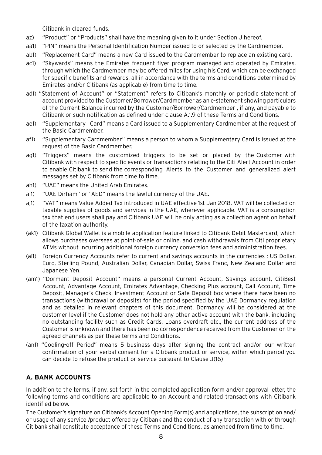Citibank in cleared funds.

- az) "Product" or "Products" shall have the meaning given to it under Section J hereof.
- aa1) "PIN" means the Personal Identification Number issued to or selected by the Cardmember.
- ab1) "Replacement Card" means a new Card issued to the Cardmember to replace an existing card.
- ac1) "Skywards" means the Emirates frequent flyer program managed and operated by Emirates, through which the Cardmember may be offered miles for using his Card, which can be exchanged for specific benefits and rewards, all in accordance with the terms and conditions determined by Emirates and/or Citibank (as applicable) from time to time.
- ad1) "Statement of Account" or "Statement" refers to Citibank's monthly or periodic statement of account provided to the Customer/Borrower/Cardmember as an e-statement showing particulars of the Current Balance incurred by the Customer/Borrower/Cardmember , if any, and payable to Citibank or such notification as defined under clause A.1.9 of these Terms and Conditions.
- ae1) "Supplementary Card" means a Card issued to a Supplementary Cardmember at the request of the Basic Cardmember.
- af1) "Supplementary Cardmember" means a person to whom a Supplementary Card is issued at the request of the Basic Cardmember.
- ag1) "Triggers" means the customized triggers to be set or placed by the Customer with Citibank with respect to specific events or transactions relating to the Citi-Alert Account in order to enable Citibank to send the corresponding Alerts to the Customer and generalized alert messages set by Citibank from time to time.
- ah1) "UAE" means the United Arab Emirates.
- ai1) "UAE Dirham" or "AED" means the lawful currency of the UAE.
- aj1) "VAT" means Value Added Tax introduced in UAE effective 1st Jan 2018. VAT will be collected on taxable supplies of goods and services in the UAE, wherever applicable. VAT is a consumption tax that end users shall pay and Citibank UAE will be only acting as a collection agent on behalf of the taxation authority.
- (ak1) Citibank Global Wallet is a mobile application feature linked to Citibank Debit Mastercard, which allows purchases overseas at point-of-sale or online, and cash withdrawals from Citi proprietary ATMs without incurring additional foreign currency conversion fees and administration fees.
- (al1) Foreign Currency Accounts refer to current and savings accounts in the currencies : US Dollar, Euro, Sterling Pound, Australian Dollar, Canadian Dollar, Swiss Franc, New Zealand Dollar and Japanese Yen.
- (am1) "Dormant Deposit Account" means a personal Current Account, Savings account, CitiBest Account, Advantage Account, Emirates Advantage, Checking Plus account, Call Account, Time Deposit, Manager's Check, Investment Account or Safe Deposit box where there have been no transactions (withdrawal or deposits) for the period specified by the UAE Dormancy regulation and as detailed in relevant chapters of this document. Dormancy will be considered at the customer level if the Customer does not hold any other active account with the bank, including no outstanding facility such as Credit Cards, Loans overdraft etc., the current address of the Customer is unknown and there has been no correspondence received from the Customer on the agreed channels as per these terms and Conditions.
- <span id="page-8-0"></span>(an1) "Cooling-off Period" means 5 business days after signing the contract and/or our written confirmation of your verbal consent for a Citibank product or service, within which period you can decide to refuse the product or service pursuant to Clause J(16)

# **A. BANK ACCOUNTS**

In addition to the terms, if any, set forth in the completed application form and/or approval letter, the following terms and conditions are applicable to an Account and related transactions with Citibank identified below.

The Customer's signature on Citibank's Account Opening Form(s) and applications, the subscription and/ or usage of any service /product offered by Citibank and the conduct of any transaction with or through Citibank shall constitute acceptance of these Terms and Conditions, as amended from time to time.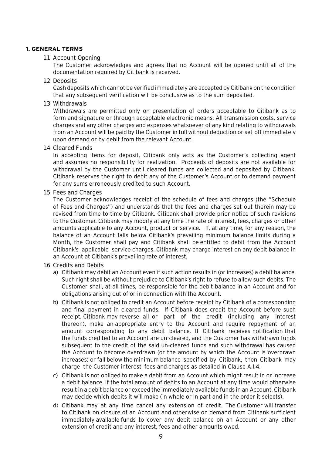#### <span id="page-9-0"></span>**1. GENERAL TERMS**

#### 1.1 Account Opening

The Customer acknowledges and agrees that no Account will be opened until all of the documentation required by Citibank is received.

#### 1.2 Deposits

Cash deposits which cannot be verified immediately are accepted by Citibank on the condition that any subsequent verification will be conclusive as to the sum deposited.

#### 1.3 Withdrawals

Withdrawals are permitted only on presentation of orders acceptable to Citibank as to form and signature or through acceptable electronic means. All transmission costs, service charges and any other charges and expenses whatsoever of any kind relating to withdrawals from an Account will be paid by the Customer in full without deduction or set-off immediately upon demand or by debit from the relevant Account.

#### 1.4 Cleared Funds

In accepting items for deposit, Citibank only acts as the Customer's collecting agent and assumes no responsibility for realization. Proceeds of deposits are not available for withdrawal by the Customer until cleared funds are collected and deposited by Citibank. Citibank reserves the right to debit any of the Customer's Account or to demand payment for any sums erroneously credited to such Account.

#### 1.5 Fees and Charges

The Customer acknowledges receipt of the schedule of fees and charges (the "Schedule of Fees and Charges") and understands that the fees and charges set out therein may be revised from time to time by Citibank. Citibank shall provide prior notice of such revisions to the Customer. Citibank may modify at any time the rate of interest, fees, charges or other amounts applicable to any Account, product or service. If, at any time, for any reason, the balance of an Account falls below Citibank's prevailing minimum balance limits during a Month, the Customer shall pay and Citibank shall be entitled to debit from the Account Citibank's applicable service charges. Citibank may charge interest on any debit balance in an Account at Citibank's prevailing rate of interest.

#### 1.6 Credits and Debits

- a) Citibank may debit an Account even if such action results in (or increases) a debit balance. Such right shall be without prejudice to Citibank's right to refuse to allow such debits. The Customer shall, at all times, be responsible for the debit balance in an Account and for obligations arising out of or in connection with the Account.
- b) Citibank is not obliged to credit an Account before receipt by Citibank of a corresponding and final payment in cleared funds. If Citibank does credit the Account before such receipt, Citibank may reverse all or part of the credit (including any interest thereon), make an appropriate entry to the Account and require repayment of an amount corresponding to any debit balance. If Citibank receives notification that the funds credited to an Account are un-cleared, and the Customer has withdrawn funds subsequent to the credit of the said un-cleared funds and such withdrawal has caused the Account to become overdrawn (or the amount by which the Account is overdrawn increases) or fall below the minimum balance specified by Citibank, then Citibank may charge the Customer interest, fees and charges as detailed in Clause A.1.4.
- c) Citibank is not obliged to make a debit from an Account which might result in or increase a debit balance. If the total amount of debits to an Account at any time would otherwise result in a debit balance or exceed the immediately available funds in an Account, Citibank may decide which debits it will make (in whole or in part and in the order it selects).
- d) Citibank may at any time cancel any extension of credit. The Customer will transfer to Citibank on closure of an Account and otherwise on demand from Citibank sufficient immediately available funds to cover any debit balance on an Account or any other extension of credit and any interest, fees and other amounts owed.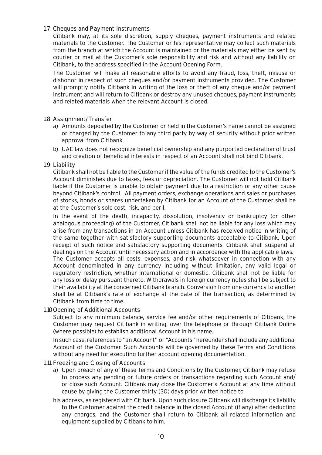# 1.7 Cheques and Payment Instruments

Citibank may, at its sole discretion, supply cheques, payment instruments and related materials to the Customer. The Customer or his representative may collect such materials from the branch at which the Account is maintained or the materials may either be sent by courier or mail at the Customer's sole responsibility and risk and without any liability on Citibank, to the address specified in the Account Opening Form.

The Customer will make all reasonable efforts to avoid any fraud, loss, theft, misuse or dishonor in respect of such cheques and/or payment instruments provided. The Customer will promptly notify Citibank in writing of the loss or theft of any cheque and/or payment instrument and will return to Citibank or destroy any unused cheques, payment instruments and related materials when the relevant Account is closed.

### 1.8 Assignment/Transfer

- a) Amounts deposited by the Customer or held in the Customer's name cannot be assigned or charged by the Customer to any third party by way of security without prior written approval from Citibank.
- b) UAE law does not recognize beneficial ownership and any purported declaration of trust and creation of beneficial interests in respect of an Account shall not bind Citibank.

#### 1.9 Liability

Citibank shall not be liable to the Customer if the value of the funds credited to the Customer's Account diminishes due to taxes, fees or depreciation. The Customer will not hold Citibank liable if the Customer is unable to obtain payment due to a restriction or any other cause beyond Citibank's control. All payment orders, exchange operations and sales or purchases of stocks, bonds or shares undertaken by Citibank for an Account of the Customer shall be at the Customer's sole cost, risk, and peril.

In the event of the death, incapacity, dissolution, insolvency or bankruptcy (or other analogous proceeding) of the Customer, Citibank shall not be liable for any loss which may arise from any transactions in an Account unless Citibank has received notice in writing of the same together with satisfactory supporting documents acceptable to Citibank. Upon receipt of such notice and satisfactory supporting documents, Citibank shall suspend all dealings on the Account until necessary action and in accordance with the applicable laws. The Customer accepts all costs, expenses, and risk whatsoever in connection with any

Account denominated in any currency including without limitation, any valid legal or regulatory restriction, whether international or domestic. Citibank shall not be liable for any loss or delay pursuant thereto. Withdrawals in foreign currency notes shall be subject to their availability at the concerned Citibank branch. Conversion from one currency to another shall be at Citibank's rate of exchange at the date of the transaction, as determined by Citibank from time to time.

#### 1.10Opening of Additional Accounts

Subject to any minimum balance, service fee and/or other requirements of Citibank, the Customer may request Citibank in writing, over the telephone or through Citibank Online (where possible) to establish additional Account in his name.

In such case, references to "an Account" or "Accounts" hereunder shall include any additional Account of the Customer. Such Accounts will be governed by these Terms and Conditions without any need for executing further account opening documentation.

#### 1.11 Freezing and Closing of Accounts

- a) Upon breach of any of these Terms and Conditions by the Customer, Citibank may refuse to process any pending or future orders or transactions regarding such Account and/ or close such Account. Citibank may close the Customer's Account at any time without cause by giving the Customer thirty (30) days prior written notice to
- his address, as registered with Citibank. Upon such closure Citibank will discharge its liability to the Customer against the credit balance in the closed Account (if any) after deducting any charges, and the Customer shall return to Citibank all related information and equipment supplied by Citibank to him.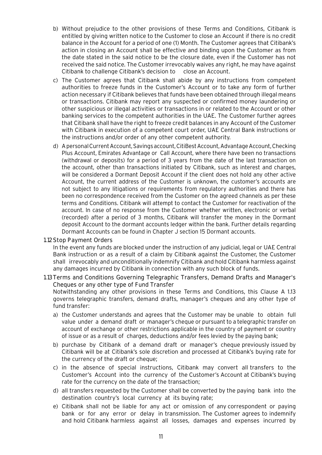- b) Without prejudice to the other provisions of these Terms and Conditions, Citibank is entitled by giving written notice to the Customer to close an Account if there is no credit balance in the Account for a period of one (1) Month. The Customer agrees that Citibank's action in closing an Account shall be effective and binding upon the Customer as from the date stated in the said notice to be the closure date, even if the Customer has not received the said notice. The Customer irrevocably waives any right, he may have against Citibank to challenge Citibank's decision to close an Account.
- c) The Customer agrees that Citibank shall abide by any instructions from competent authorities to freeze funds in the Customer's Account or to take any form of further action necessary if Citibank believes that funds have been obtained through illegal means or transactions. Citibank may report any suspected or confirmed money laundering or other suspicious or illegal activities or transactions in or related to the Account or other banking services to the competent authorities in the UAE. The Customer further agrees that Citibank shall have the right to freeze credit balances in any Account of the Customer with Citibank in execution of a competent court order, UAE Central Bank instructions or the instructions and/or order of any other competent authority.
- d) A personal Current Account, Savings account, CitiBest Account, Advantage Account, Checking Plus Account, Emirates Advantage or Call Account, where there have been no transactions (withdrawal or deposits) for a period of 3 years from the date of the last transaction on the account, other than transactions initiated by Citibank, such as interest and charges, will be considered a Dormant Deposit Account if the client does not hold any other active Account, the current address of the Customer is unknown, the customer's accounts are not subject to any litigations or requirements from regulatory authorities and there has been no correspondence received from the Customer on the agreed channels as per these terms and Conditions. Citibank will attempt to contact the Customer for reactivation of the account. In case of no response from the Customer whether written, electronic or verbal (recorded) after a period of 3 months, Citibank will transfer the money in the Dormant deposit Account to the dormant accounts ledger within the bank. Further details regarding Dormant Accounts can be found in Chapter J section 15 Dormant accounts.

#### 1.12Stop Payment Orders

In the event any funds are blocked under the instruction of any judicial, legal or UAE Central Bank instruction or as a result of a claim by Citibank against the Customer, the Customer shall irrevocably and unconditionally indemnify Citibank and hold Citibank harmless against any damages incurred by Citibank in connection with any such block of funds.

1.13Terms and Conditions Governing Telegraphic Transfers, Demand Drafts and Manager's Cheques or any other type of Fund Transfer

Notwithstanding any other provisions in these Terms and Conditions, this Clause A 1.13 governs telegraphic transfers, demand drafts, manager's cheques and any other type of fund transfer:

- a) the Customer understands and agrees that the Customer may be unable to obtain full value under a demand draft or manager's cheque or pursuant to a telegraphic transfer on account of exchange or other restrictions applicable in the country of payment or country of issue or as a result of charges, deductions and/or fees levied by the paying bank;
- b) purchase by Citibank of a demand draft or manager's cheque previously issued by Citibank will be at Citibank's sole discretion and processed at Citibank's buying rate for the currency of the draft or cheque;
- c) in the absence of special instructions, Citibank may convert all transfers to the Customer's Account into the currency of the Customer's Account at Citibank's buying rate for the currency on the date of the transaction;
- d) all transfers requested by the Customer shall be converted by the paying bank into the destination country's local currency at its buying rate;
- e) Citibank shall not be liable for any act or omission of any correspondent or paying bank or for any error or delay in transmission. The Customer agrees to indemnify and hold Citibank harmless against all losses, damages and expenses incurred by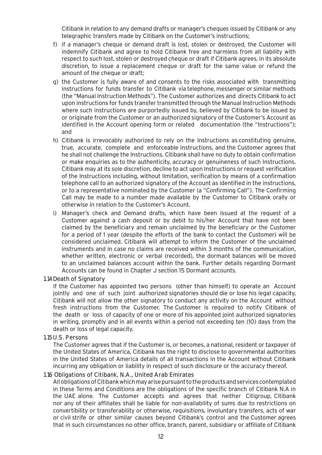Citibank in relation to any demand drafts or manager's cheques issued by Citibank or any telegraphic transfers made by Citibank on the Customer's instructions;

- f) if a manager's cheque or demand draft is lost, stolen or destroyed, the Customer will indemnify Citibank and agree to hold Citibank free and harmless from all liability with respect to such lost, stolen or destroyed cheque or draft if Citibank agrees, in its absolute discretion, to issue a replacement cheque or draft for the same value or refund the amount of the cheque or draft;
- g) the Customer is fully aware of and consents to the risks associated with transmitting instructions for funds transfer to Citibank via telephone, messenger or similar methods (the "Manual Instruction Methods"). The Customer authorizes and directs Citibank to act upon instructions for funds transfer transmitted through the Manual Instruction Methods where such instructions are purportedly issued by, believed by Citibank to be issued by or originate from the Customer or an authorized signatory of the Customer's Account as identified in the Account opening form or related documentation (the "Instructions"); and
- h) Citibank is irrevocably authorized to rely on the Instructions as constituting genuine, true, accurate, complete and enforceable Instructions, and the Customer agrees that he shall not challenge the Instructions. Citibank shall have no duty to obtain confirmation or make enquiries as to the authenticity, accuracy or genuineness of such Instructions. Citibank may at its sole discretion, decline to act upon Instructions or request verification of the Instructions including, without limitation, verification by means of a confirmation telephone call to an authorized signatory of the Account as identified in the instructions, or to a representative nominated by the Customer (a "Confirming Call"). The Confirming Call may be made to a number made available by the Customer to Citibank orally or otherwise in relation to the Customer's Account.
- i) Manager's check and Demand drafts, which have been issued at the request of a Customer against a cash deposit or by debit to his/her Account that have not been claimed by the beneficiary and remain unclaimed by the beneficiary or the Customer for a period of 1 year (despite the efforts of the bank to contact the Customer) will be considered unclaimed. Citibank will attempt to inform the Customer of the unclaimed instruments and in case no claims are received within 3 months of the communication, whether written, electronic or verbal (recorded), the dormant balances will be moved to an unclaimed balances account within the bank. Further details regarding Dormant Accounts can be found in Chapter J section 15 Dormant accounts.

#### 1.14Death of Signatory

If the Customer has appointed two persons (other than himself) to operate an Account jointly and one of such joint authorized signatories should die or lose his legal capacity, Citibank will not allow the other signatory to conduct any activity on the Account without fresh instructions from the Customer. The Customer is required to notify Citibank of the death or loss of capacity of one or more of his appointed joint authorized signatories in writing, promptly and in all events within a period not exceeding ten (10) days from the death or loss of legal capacity.

#### 1.15U.S. Persons

The Customer agrees that if the Customer is, or becomes, a national, resident or taxpayer of the United States of America, Citibank has the right to disclose to governmental authorities in the United States of America details of all transactions in the Account without Citibank incurring any obligation or liability in respect of such disclosure or the accuracy thereof.

#### 1.16 Obligations of Citibank, N.A., United Arab Emirates

All obligations of Citibank which may arise pursuant to the products and services contemplated in these Terms and Conditions are the obligations of the specific branch of Citibank N.A in the UAE alone. The Customer accepts and agrees that neither Citigroup, Citibank nor any of their affiliates shall be liable for non-availability of sums due to restrictions on convertibility or transferability or otherwise, requisitions, involuntary transfers, acts of war or civil strife or other similar causes beyond Citibank's control and the Customer agrees that in such circumstances no other office, branch, parent, subsidiary or affiliate of Citibank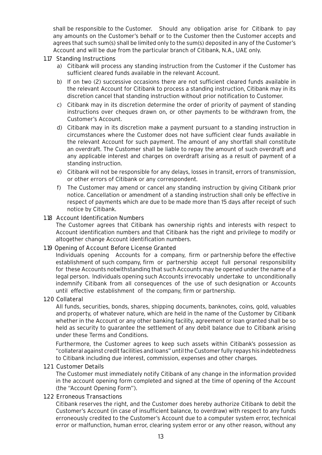shall be responsible to the Customer. Should any obligation arise for Citibank to pay any amounts on the Customer's behalf or to the Customer then the Customer accepts and agrees that such sum(s) shall be limited only to the sum(s) deposited in any of the Customer's Account and will be due from the particular branch of Citibank, N.A., UAE only.

#### 1.17 Standing Instructions

- a) Citibank will process any standing instruction from the Customer if the Customer has sufficient cleared funds available in the relevant Account.
- b) If on two (2) successive occasions there are not sufficient cleared funds available in the relevant Account for Citibank to process a standing instruction, Citibank may in its discretion cancel that standing instruction without prior notification to Customer.
- c) Citibank may in its discretion determine the order of priority of payment of standing instructions over cheques drawn on, or other payments to be withdrawn from, the Customer's Account.
- d) Citibank may in its discretion make a payment pursuant to a standing instruction in circumstances where the Customer does not have sufficient clear funds available in the relevant Account for such payment. The amount of any shortfall shall constitute an overdraft. The Customer shall be liable to repay the amount of such overdraft and any applicable interest and charges on overdraft arising as a result of payment of a standing instruction.
- e) Citibank will not be responsible for any delays, losses in transit, errors of transmission, or other errors of Citibank or any correspondent.
- f) The Customer may amend or cancel any standing instruction by giving Citibank prior notice. Cancellation or amendment of a standing instruction shall only be effective in respect of payments which are due to be made more than 15 days after receipt of such notice by Citibank.

#### 1.18 Account Identification Numbers

The Customer agrees that Citibank has ownership rights and interests with respect to Account identification numbers and that Citibank has the right and privilege to modify or altogether change Account identification numbers.

#### 1.19 Opening of Account Before License Granted

Individuals opening Accounts for a company, firm or partnership before the effective establishment of such company, firm or partnership accept full personal responsibility for these Accounts notwithstanding that such Accounts may be opened under the name of a legal person. Individuals opening such Accounts irrevocably undertake to unconditionally indemnify Citibank from all consequences of the use of such designation or Accounts until effective establishment of the company, firm or partnership.

#### 1.20 Collateral

All funds, securities, bonds, shares, shipping documents, banknotes, coins, gold, valuables and property, of whatever nature, which are held in the name of the Customer by Citibank whether in the Account or any other banking facility, agreement or loan granted shall be so held as security to guarantee the settlement of any debit balance due to Citibank arising under these Terms and Conditions.

Furthermore, the Customer agrees to keep such assets within Citibank's possession as "collateral against credit facilities and loans" until the Customer fully repays his indebtedness to Citibank including due interest, commission, expenses and other charges.

#### 1.21 Customer Details

The Customer must immediately notify Citibank of any change in the information provided in the account opening form completed and signed at the time of opening of the Account (the "Account Opening Form").

#### 1.22 Erroneous Transactions

Citibank reserves the right, and the Customer does hereby authorize Citibank to debit the Customer's Account (in case of insufficient balance, to overdraw) with respect to any funds erroneously credited to the Customer's Account due to a computer system error, technical error or malfunction, human error, clearing system error or any other reason, without any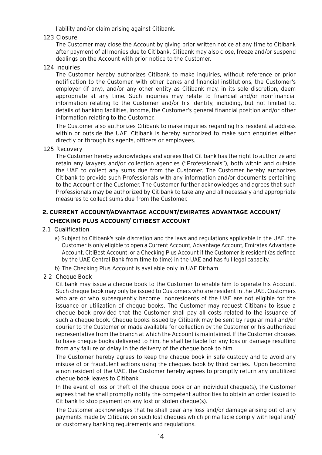liability and/or claim arising against Citibank.

1.23 Closure

The Customer may close the Account by giving prior written notice at any time to Citibank after payment of all monies due to Citibank. Citibank may also close, freeze and/or suspend dealings on the Account with prior notice to the Customer.

1.24 Inquiries

The Customer hereby authorizes Citibank to make inquiries, without reference or prior notification to the Customer, with other banks and financial institutions, the Customer's employer (if any), and/or any other entity as Citibank may, in its sole discretion, deem appropriate at any time. Such inquiries may relate to financial and/or non-financial information relating to the Customer and/or his identity, including, but not limited to, details of banking facilities, income, the Customer's general financial position and/or other information relating to the Customer.

The Customer also authorizes Citibank to make inquiries regarding his residential address within or outside the UAE. Citibank is hereby authorized to make such enquiries either directly or through its agents, officers or employees.

### <span id="page-14-0"></span>1.25 Recovery

The Customer hereby acknowledges and agrees that Citibank has the right to authorize and retain any lawyers and/or collection agencies ("Professionals"), both within and outside the UAE to collect any sums due from the Customer. The Customer hereby authorizes Citibank to provide such Professionals with any information and/or documents pertaining to the Account or the Customer. The Customer further acknowledges and agrees that such Professionals may be authorized by Citibank to take any and all necessary and appropriate measures to collect sums due from the Customer.

# **2. CURRENT ACCOUNT/ADVANTAGE ACCOUNT/EMIRATES ADVANTAGE ACCOUNT/ CHECKING PLUS ACCOUNT/ CITIBEST ACCOUNT**

#### 2.1 Qualification

a) Subject to Citibank's sole discretion and the laws and regulations applicable in the UAE, the Customer is only eligible to open a Current Account, Advantage Account, Emirates Advantage Account, CitiBest Account, or a Checking Plus Account if the Customer is resident (as defined by the UAE Central Bank from time to time) in the UAE and has full legal capacity.

b) The Checking Plus Account is available only in UAE Dirham.

#### 2.2 Cheque Book

Citibank may issue a cheque book to the Customer to enable him to operate his Account. Such cheque book may only be issued to Customers who are resident in the UAE. Customers who are or who subsequently become nonresidents of the UAE are not eligible for the issuance or utilization of cheque books. The Customer may request Citibank to issue a cheque book provided that the Customer shall pay all costs related to the issuance of such a cheque book. Cheque books issued by Citibank may be sent by regular mail and/or courier to the Customer or made available for collection by the Customer or his authorized representative from the branch at which the Account is maintained. If the Customer chooses to have cheque books delivered to him, he shall be liable for any loss or damage resulting from any failure or delay in the delivery of the cheque book to him.

The Customer hereby agrees to keep the cheque book in safe custody and to avoid any misuse of or fraudulent actions using the cheques book by third parties. Upon becoming a non-resident of the UAE, the Customer hereby agrees to promptly return any unutilized cheque book leaves to Citibank.

In the event of loss or theft of the cheque book or an individual cheque(s), the Customer agrees that he shall promptly notify the competent authorities to obtain an order issued to Citibank to stop payment on any lost or stolen cheque(s).

The Customer acknowledges that he shall bear any loss and/or damage arising out of any payments made by Citibank on such lost cheques which prima facie comply with legal and/ or customary banking requirements and regulations.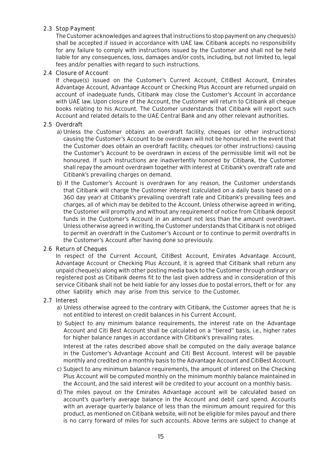# 2.3 Stop Payment

The Customer acknowledges and agrees that instructions to stop payment on any cheques(s) shall be accepted if issued in accordance with UAE law. Citibank accepts no responsibility for any failure to comply with instructions issued by the Customer and shall not be held liable for any consequences, loss, damages and/or costs, including, but not limited to, legal fees and/or penalties with regard to such instructions.

#### 2.4 Closure of Account

If cheque(s) issued on the Customer's Current Account, CitiBest Account, Emirates Advantage Account, Advantage Account or Checking Plus Account are returned unpaid on account of inadequate funds, Citibank may close the Customer's Account in accordance with UAE law. Upon closure of the Account, the Customer will return to Citibank all cheque books relating to his Account. The Customer understands that Citibank will report such Account and related details to the UAE Central Bank and any other relevant authorities.

#### 2.5 Overdraft

- a) Unless the Customer obtains an overdraft facility, cheques (or other instructions) causing the Customer's Account to be overdrawn will not be honoured. In the event that the Customer does obtain an overdraft facility, cheques (or other instructions) causing the Customer's Account to be overdrawn in excess of the permissible limit will not be honoured. If such instructions are inadvertently honored by Citibank, the Customer shall repay the amount overdrawn together with interest at Citibank's overdraft rate and Citibank's prevailing charges on demand.
- b) If the Customer's Account is overdrawn for any reason, the Customer understands that Citibank will charge the Customer interest (calculated on a daily basis based on a 360 day year) at Citibank's prevailing overdraft rate and Citibank's prevailing fees and charges, all of which may be debited to the Account. Unless otherwise agreed in writing, the Customer will promptly and without any requirement of notice from Citibank deposit funds in the Customer's Account in an amount not less than the amount overdrawn. Unless otherwise agreed in writing, the Customer understands that Citibank is not obliged to permit an overdraft in the Customer's Account or to continue to permit overdrafts in the Customer's Account after having done so previously.

#### 2.6 Return of Cheques

In respect of the Current Account, CitiBest Account, Emirates Advantage Account, Advantage Account or Checking Plus Account, it is agreed that Citibank shall return any unpaid cheque(s) along with other posting media back to the Customer through ordinary or registered post as Citibank deems fit to the last given address and in consideration of this service Citibank shall not be held liable for any losses due to postal errors, theft or for any other liability which may arise from this service to the Customer.

#### 2.7 Interest

- a) Unless otherwise agreed to the contrary with Citibank, the Customer agrees that he is not entitled to interest on credit balances in his Current Account.
- b) Subject to any minimum balance requirements, the interest rate on the Advantage Account and Citi Best Account shall be calculated on a "tiered" basis, i.e., higher rates for higher balance ranges in accordance with Citibank's prevailing rates.

Interest at the rates described above shall be computed on the daily average balance in the Customer's Advantage Account and Citi Best Account. Interest will be payable monthly and credited on a monthly basis to the Advantage Account and CitiBest Account.

- c) Subject to any minimum balance requirements, the amount of interest on the Checking Plus Account will be computed monthly on the minimum monthly balance maintained in the Account, and the said interest will be credited to your account on a monthly basis.
- d) The miles payout on the Emirates Advantage account will be calculated based on account's quarterly average balance in the Account and debit card spend. Accounts with an average quarterly balance of less than the minimum amount required for this product, as mentioned on Citibank website, will not be eligible for miles payout and there is no carry forward of miles for such accounts. Above terms are subject to change at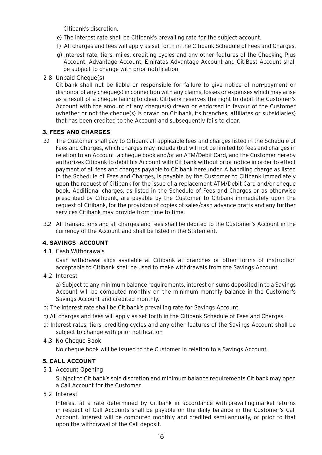Citibank's discretion.

- e) The interest rate shall be Citibank's prevailing rate for the subject account.
- f) All charges and fees will apply as set forth in the Citibank Schedule of Fees and Charges.
- g) Interest rate, tiers, miles, crediting cycles and any other features of the Checking Plus Account, Advantage Account, Emirates Advantage Account and CitiBest Account shall be subject to change with prior notification

# <span id="page-16-0"></span>2.8 Unpaid Cheque(s)

Citibank shall not be liable or responsible for failure to give notice of non-payment or dishonor of any cheque(s) in connection with any claims, losses or expenses which may arise as a result of a cheque failing to clear. Citibank reserves the right to debit the Customer's Account with the amount of any cheque(s) drawn or endorsed in favour of the Customer (whether or not the cheque(s) is drawn on Citibank, its branches, affiliates or subsidiaries) that has been credited to the Account and subsequently fails to clear.

# **3. FEES AND CHARGES**

- <span id="page-16-1"></span>3.1 The Customer shall pay to Citibank all applicable fees and charges listed in the Schedule of Fees and Charges, which charges may include (but will not be limited to) fees and charges in relation to an Account, a cheque book and/or an ATM/Debit Card, and the Customer hereby authorizes Citibank to debit his Account with Citibank without prior notice in order to effect payment of all fees and charges payable to Citibank hereunder. A handling charge as listed in the Schedule of Fees and Charges, is payable by the Customer to Citibank immediately upon the request of Citibank for the issue of a replacement ATM/Debit Card and/or cheque book. Additional charges, as listed in the Schedule of Fees and Charges or as otherwise prescribed by Citibank, are payable by the Customer to Citibank immediately upon the request of Citibank, for the provision of copies of sales/cash advance drafts and any further services Citibank may provide from time to time.
- 3.2 All transactions and all charges and fees shall be debited to the Customer's Account in the currency of the Account and shall be listed in the Statement.

# **4. SAVINGS ACCOUNT**

4.1 Cash Withdrawals

Cash withdrawal slips available at Citibank at branches or other forms of instruction acceptable to Citibank shall be used to make withdrawals from the Savings Account.

4.2 Interest

a) Subject to any minimum balance requirements, interest on sums deposited in to a Savings Account will be computed monthly on the minimum monthly balance in the Customer's Savings Account and credited monthly.

- <span id="page-16-2"></span>b) The interest rate shall be Citibank's prevailing rate for Savings Account.
- c) All charges and fees will apply as set forth in the Citibank Schedule of Fees and Charges.
- d) Interest rates, tiers, crediting cycles and any other features of the Savings Account shall be subject to change with prior notification
- 4.3 No Cheque Book

No cheque book will be issued to the Customer in relation to a Savings Account.

# **5. CALL ACCOUNT**

#### 5.1 Account Opening

Subject to Citibank's sole discretion and minimum balance requirements Citibank may open a Call Account for the Customer.

#### 5.2 Interest

Interest at a rate determined by Citibank in accordance with prevailing market returns in respect of Call Accounts shall be payable on the daily balance in the Customer's Call Account. Interest will be computed monthly and credited semi-annually, or prior to that upon the withdrawal of the Call deposit.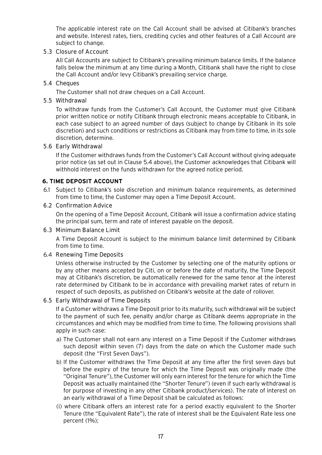The applicable interest rate on the Call Account shall be advised at Citibank's branches and website. Interest rates, tiers, crediting cycles and other features of a Call Account are subject to change.

#### 5.3 Closure of Account

All Call Accounts are subject to Citibank's prevailing minimum balance limits. If the balance falls below the minimum at any time during a Month, Citibank shall have the right to close the Call Account and/or levy Citibank's prevailing service charge.

# 5.4 Cheques

The Customer shall not draw cheques on a Call Account.

# <span id="page-17-0"></span>5.5 Withdrawal

To withdraw funds from the Customer's Call Account, the Customer must give Citibank prior written notice or notify Citibank through electronic means acceptable to Citibank, in each case subject to an agreed number of days (subject to change by Citibank in its sole discretion) and such conditions or restrictions as Citibank may from time to time, in its sole discretion, determine.

### 5.6 Early Withdrawal

If the Customer withdraws funds from the Customer's Call Account without giving adequate prior notice (as set out in Clause 5.4 above), the Customer acknowledges that Citibank will withhold interest on the funds withdrawn for the agreed notice period.

# **6. TIME DEPOSIT ACCOUNT**

6.1 Subject to Citibank's sole discretion and minimum balance requirements, as determined from time to time, the Customer may open a Time Deposit Account.

#### 6.2 Confirmation Advice

On the opening of a Time Deposit Account, Citibank will issue a confirmation advice stating the principal sum, term and rate of interest payable on the deposit.

#### 6.3 Minimum Balance Limit

A Time Deposit Account is subject to the minimum balance limit determined by Citibank from time to time.

#### 6.4 Renewing Time Deposits

Unless otherwise instructed by the Customer by selecting one of the maturity options or by any other means accepted by Citi, on or before the date of maturity, the Time Deposit may at Citibank's discretion, be automatically renewed for the same tenor at the interest rate determined by Citibank to be in accordance with prevailing market rates of return in respect of such deposits, as published on Citibank's website at the date of rollover.

#### 6.5 Early Withdrawal of Time Deposits

If a Customer withdraws a Time Deposit prior to its maturity, such withdrawal will be subject to the payment of such fee, penalty and/or charge as Citibank deems appropriate in the circumstances and which may be modified from time to time. The following provisions shall apply in such case:

- a) The Customer shall not earn any interest on a Time Deposit if the Customer withdraws such deposit within seven (7) days from the date on which the Customer made such deposit (the "First Seven Days").
- b) If the Customer withdraws the Time Deposit at any time after the first seven days but before the expiry of the tenure for which the Time Deposit was originally made (the "Original Tenure"), the Customer will only earn interest for the tenure for which the Time Deposit was actually maintained (the "Shorter Tenure") (even if such early withdrawal is for purpose of investing in any other Citibank product/services). The rate of interest on an early withdrawal of a Time Deposit shall be calculated as follows:
- (i) where Citibank offers an interest rate for a period exactly equivalent to the Shorter Tenure (the "Equivalent Rate"), the rate of interest shall be the Equivalent Rate less one percent (1%);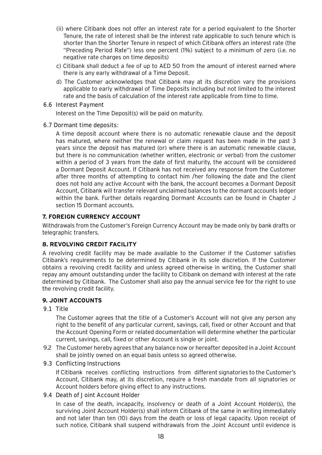- (ii) where Citibank does not offer an interest rate for a period equivalent to the Shorter Tenure, the rate of interest shall be the interest rate applicable to such tenure which is shorter than the Shorter Tenure in respect of which Citibank offers an interest rate (the "Preceding Period Rate") less one percent (1%) subject to a minimum of zero (i.e. no negative rate charges on time deposits)
- c) Citibank shall deduct a fee of up to AED 50 from the amount of interest earned where there is any early withdrawal of a Time Deposit.
- d) The Customer acknowledges that Citibank may at its discretion vary the provisions applicable to early withdrawal of Time Deposits including but not limited to the interest rate and the basis of calculation of the interest rate applicable from time to time.
- 6.6 Interest Payment

Interest on the Time Deposit(s) will be paid on maturity.

6.7 Dormant time deposits:

A time deposit account where there is no automatic renewable clause and the deposit has matured, where neither the renewal or claim request has been made in the past 3 years since the deposit has matured (or) where there is an automatic renewable clause, but there is no communication (whether written, electronic or verbal) from the customer within a period of 3 years from the date of first maturity, the account will be considered a Dormant Deposit Account. If Citibank has not received any response from the Customer after three months of attempting to contact him /her following the date and the client does not hold any active Account with the bank, the account becomes a Dormant Deposit Account, Citibank will transfer relevant unclaimed balances to the dormant accounts ledger within the bank. Further details regarding Dormant Accounts can be found in Chapter J section 15 Dormant accounts.

# <span id="page-18-0"></span>**7. FOREIGN CURRENCY ACCOUNT**

<span id="page-18-1"></span>Withdrawals from the Customer's Foreign Currency Account may be made only by bank drafts or telegraphic transfers.

# **8. REVOLVING CREDIT FACILITY**

A revolving credit facility may be made available to the Customer if the Customer satisfies Citibank's requirements to be determined by Citibank in its sole discretion. If the Customer obtains a revolving credit facility and unless agreed otherwise in writing, the Customer shall repay any amount outstanding under the facility to Citibank on demand with interest at the rate determined by Citibank. The Customer shall also pay the annual service fee for the right to use the revolving credit facility.

# **9. JOINT ACCOUNTS**

9.1 Title

The Customer agrees that the title of a Customer's Account will not give any person any right to the benefit of any particular current, savings, call, fixed or other Account and that the Account Opening Form or related documentation will determine whether the particular current, savings, call, fixed or other Account is single or joint.

- 9.2 The Customer hereby agrees that any balance now or hereafter deposited in a Joint Account shall be jointly owned on an equal basis unless so agreed otherwise.
- 9.3 Conflicting Instructions

If Citibank receives conflicting instructions from different signatories to the Customer's Account, Citibank may, at its discretion, require a fresh mandate from all signatories or Account holders before giving effect to any instructions.

#### 9.4 Death of Joint Account Holder

In case of the death, incapacity, insolvency or death of a Joint Account Holder(s), the surviving Joint Account Holder(s) shall inform Citibank of the same in writing immediately and not later than ten (10) days from the death or loss of legal capacity. Upon receipt of such notice, Citibank shall suspend withdrawals from the Joint Account until evidence is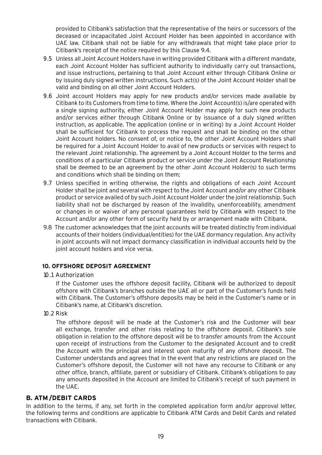provided to Citibank's satisfaction that the representative of the heirs or successors of the deceased or incapacitated Joint Account Holder has been appointed in accordance with UAE law. Citibank shall not be liable for any withdrawals that might take place prior to Citibank's receipt of the notice required by this Clause 9.4.

- 9.5 Unless all Joint Account Holders have in writing provided Citibank with a different mandate, each Joint Account Holder has sufficient authority to individually carry out transactions, and issue instructions, pertaining to that Joint Account either through Citibank Online or by issuing duly signed written instructions. Such act(s) of the Joint Account Holder shall be valid and binding on all other Joint Account Holders.
- 9.6 Joint account Holders may apply for new products and/or services made available by Citibank to its Customers from time to time. Where the Joint Account(s) is/are operated with a single signing authority, either Joint Account Holder may apply for such new products and/or services either through Citibank Online or by issuance of a duly signed written instruction, as applicable. The application (online or in writing) by a Joint Account Holder shall be sufficient for Citibank to process the request and shall be binding on the other Joint Account holders. No consent of, or notice to, the other Joint Account Holders shall be required for a Joint Account Holder to avail of new products or services with respect to the relevant Joint relationship. The agreement by a Joint Account Holder to the terms and conditions of a particular Citibank product or service under the Joint Account Relationship shall be deemed to be an agreement by the other Joint Account Holder(s) to such terms and conditions which shall be binding on them;
- 9.7 Unless specified in writing otherwise, the rights and obligations of each Joint Account Holder shall be joint and several with respect to the Joint Account and/or any other Citibank product or service availed of by such Joint Account Holder under the joint relationship. Such liability shall not be discharged by reason of the invalidity, unenforceability, amendment or changes in or waiver of any personal guarantees held by Citibank with respect to the Account and/or any other form of security held by or arrangement made with Citibank.
- <span id="page-19-0"></span>9.8 The customer acknowledges that the joint accounts will be treated distinctly from individual accounts of their holders (individual/entities) for the UAE dormancy regulation. Any activity in joint accounts will not impact dormancy classification in individual accounts held by the joint account holders and vice versa.

# **10. OFFSHORE DEPOSIT AGREEMENT**

#### 10.1 Authorization

If the Customer uses the offshore deposit facility, Citibank will be authorized to deposit offshore with Citibank's branches outside the UAE all or part of the Customer's funds held with Citibank. The Customer's offshore deposits may be held in the Customer's name or in Citibank's name, at Citibank's discretion.

<span id="page-19-1"></span>10.2 Risk

The offshore deposit will be made at the Customer's risk and the Customer will bear all exchange, transfer and other risks relating to the offshore deposit. Citibank's sole obligation in relation to the offshore deposit will be to transfer amounts from the Account upon receipt of instructions from the Customer to the designated Account and to credit the Account with the principal and interest upon maturity of any offshore deposit. The Customer understands and agrees that in the event that any restrictions are placed on the Customer's offshore deposit, the Customer will not have any recourse to Citibank or any other office, branch, affiliate, parent or subsidiary of Citibank. Citibank's obligations to pay any amounts deposited in the Account are limited to Citibank's receipt of such payment in the UAE.

# **B. ATM /DEBIT CARDS**

In addition to the terms, if any, set forth in the completed application form and/or approval letter, the following terms and conditions are applicable to Citibank ATM Cards and Debit Cards and related transactions with Citibank.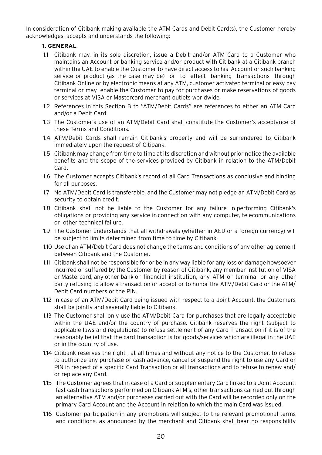<span id="page-20-0"></span>In consideration of Citibank making available the ATM Cards and Debit Card(s), the Customer hereby acknowledges, accepts and understands the following:

# **1. GENERAL**

- 1.1 Citibank may, in its sole discretion, issue a Debit and/or ATM Card to a Customer who maintains an Account or banking service and/or product with Citibank at a Citibank branch within the UAE to enable the Customer to have direct access to his Account or such banking service or product (as the case may be) or to effect banking transactions through Citibank Online or by electronic means at any ATM, customer activated terminal or easy pay terminal or may enable the Customer to pay for purchases or make reservations of goods or services at VISA or Mastercard merchant outlets worldwide.
- 1.2 References in this Section B to "ATM/Debit Cards" are references to either an ATM Card and/or a Debit Card.
- 1.3 The Customer's use of an ATM/Debit Card shall constitute the Customer's acceptance of these Terms and Conditions.
- 1.4 ATM/Debit Cards shall remain Citibank's property and will be surrendered to Citibank immediately upon the request of Citibank.
- 1.5 Citibank may change from time to time at its discretion and without prior notice the available benefits and the scope of the services provided by Citibank in relation to the ATM/Debit Card.
- 1.6 The Customer accepts Citibank's record of all Card Transactions as conclusive and binding for all purposes.
- 1.7 No ATM/Debit Card is transferable, and the Customer may not pledge an ATM/Debit Card as security to obtain credit.
- 1.8 Citibank shall not be liable to the Customer for any failure in performing Citibank's obligations or providing any service in connection with any computer, telecommunications or other technical failure.
- 1.9 The Customer understands that all withdrawals (whether in AED or a foreign currency) will be subject to limits determined from time to time by Citibank.
- 1.10 Use of an ATM/Debit Card does not change the terms and conditions of any other agreement between Citibank and the Customer.
- 1.11 Citibank shall not be responsible for or be in any way liable for any loss or damage howsoever incurred or suffered by the Customer by reason of Citibank, any member institution of VISA or Mastercard, any other bank or financial institution, any ATM or terminal or any other party refusing to allow a transaction or accept or to honor the ATM/Debit Card or the ATM/ Debit Card numbers or the PIN.
- 1.12 In case of an ATM/Debit Card being issued with respect to a Joint Account, the Customers shall be jointly and severally liable to Citibank.
- 1.13 The Customer shall only use the ATM/Debit Card for purchases that are legally acceptable within the UAE and/or the country of purchase. Citibank reserves the right (subject to applicable laws and regulations) to refuse settlement of any Card Transaction if it is of the reasonably belief that the card transaction is for goods/services which are illegal in the UAE or in the country of use.
- 1.14 Citibank reserves the right , at all times and without any notice to the Customer, to refuse to authorize any purchase or cash advance, cancel or suspend the right to use any Card or PIN in respect of a specific Card Transaction or all transactions and to refuse to renew and/ or replace any Card.
- 1.15 The Customer agrees that in case of a Card or supplementary Card linked to a Joint Account, fast cash transactions performed on Citibank ATM's, other transactions carried out through an alternative ATM and/or purchases carried out with the Card will be recorded only on the primary Card Account and the Account in relation to which the main Card was issued.
- 1.16 Customer participation in any promotions will subject to the relevant promotional terms and conditions, as announced by the merchant and Citibank shall bear no responsibility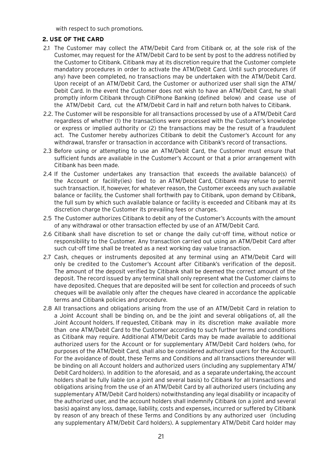with respect to such promotions.

# <span id="page-21-0"></span>**2. USE OF THE CARD**

- 2.1 The Customer may collect the ATM/Debit Card from Citibank or, at the sole risk of the Customer, may request for the ATM/Debit Card to be sent by post to the address notified by the Customer to Citibank. Citibank may at its discretion require that the Customer complete mandatory procedures in order to activate the ATM/Debit Card. Until such procedures (if any) have been completed, no transactions may be undertaken with the ATM/Debit Card. Upon receipt of an ATM/Debit Card, the Customer or authorized user shall sign the ATM/ Debit Card. In the event the Customer does not wish to have an ATM/Debit Card, he shall promptly inform Citibank through CitiPhone Banking (defined below) and cease use of the ATM/Debit Card, cut the ATM/Debit Card in half and return both halves to Citibank.
- 2.2. The Customer will be responsible for all transactions processed by use of a ATM/Debit Card regardless of whether (1) the transactions were processed with the Customer's knowledge or express or implied authority or (2) the transactions may be the result of a fraudulent act. The Customer hereby authorizes Citibank to debit the Customer's Account for any withdrawal, transfer or transaction in accordance with Citibank's record of transactions.
- 2.3 Before using or attempting to use an ATM/Debit Card, the Customer must ensure that sufficient funds are available in the Customer's Account or that a prior arrangement with Citibank has been made.
- 2.4 If the Customer undertakes any transaction that exceeds the available balance(s) of the Account or facility(ies) tied to an ATM/Debit Card, Citibank may refuse to permit such transaction. If, however, for whatever reason, the Customer exceeds any such available balance or facility, the Customer shall forthwith pay to Citibank, upon demand by Citibank, the full sum by which such available balance or facility is exceeded and Citibank may at its discretion charge the Customer its prevailing fees or charges.
- 2.5 The Customer authorizes Citibank to debit any of the Customer's Accounts with the amount of any withdrawal or other transaction effected by use of an ATM/Debit Card.
- 2.6 Citibank shall have discretion to set or change the daily cut-off time, without notice or responsibility to the Customer. Any transaction carried out using an ATM/Debit Card after such cut-off time shall be treated as a next working day value transaction.
- 2.7 Cash, cheques or instruments deposited at any terminal using an ATM/Debit Card will only be credited to the Customer's Account after Citibank's verification of the deposit. The amount of the deposit verified by Citibank shall be deemed the correct amount of the deposit. The record issued by any terminal shall only represent what the Customer claims to have deposited. Cheques that are deposited will be sent for collection and proceeds of such cheques will be available only after the cheques have cleared in accordance the applicable terms and Citibank policies and procedure.
- 2.8 All transactions and obligations arising from the use of an ATM/Debit Card in relation to a Joint Account shall be binding on, and be the joint and several obligations of, all the Joint Account holders. If requested, Citibank may in its discretion make available more than one ATM/Debit Card to the Customer according to such further terms and conditions as Citibank may require. Additional ATM/Debit Cards may be made available to additional authorized users for the Account or for supplementary ATM/Debit Card holders (who, for purposes of the ATM/Debit Card, shall also be considered authorized users for the Account). For the avoidance of doubt, these Terms and Conditions and all transactions thereunder will be binding on all Account holders and authorized users (including any supplementary ATM/ Debit Card holders). In addition to the aforesaid, and as a separate undertaking, the account holders shall be fully liable (on a joint and several basis) to Citibank for all transactions and obligations arising from the use of an ATM/Debit Card by all authorized users (including any supplementary ATM/Debit Card holders) notwithstanding any legal disability or incapacity of the authorized user, and the account holders shall indemnify Citibank (on a joint and several basis) against any loss, damage, liability, costs and expenses, incurred or suffered by Citibank by reason of any breach of these Terms and Conditions by any authorized user (including any supplementary ATM/Debit Card holders). A supplementary ATM/Debit Card holder may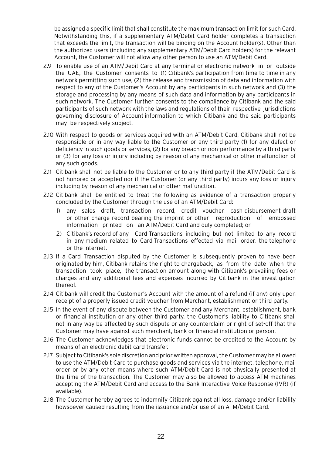be assigned a specific limit that shall constitute the maximum transaction limit for such Card. Notwithstanding this, if a supplementary ATM/Debit Card holder completes a transaction that exceeds the limit, the transaction will be binding on the Account holder(s). Other than the authorized users (including any supplementary ATM/Debit Card holders) for the relevant Account, the Customer will not allow any other person to use an ATM/Debit Card.

- 2.9 To enable use of an ATM/Debit Card at any terminal or electronic network in or outside the UAE, the Customer consents to (1) Citibank's participation from time to time in any network permitting such use, (2) the release and transmission of data and information with respect to any of the Customer's Account by any participants in such network and (3) the storage and processing by any means of such data and information by any participants in such network. The Customer further consents to the compliance by Citibank and the said participants of such network with the laws and regulations of their respective jurisdictions governing disclosure of Account information to which Citibank and the said participants may be respectively subject.
- 2.10 With respect to goods or services acquired with an ATM/Debit Card, Citibank shall not be responsible or in any way liable to the Customer or any third party (1) for any defect or deficiency in such goods or services, (2) for any breach or non-performance by a third party or (3) for any loss or injury including by reason of any mechanical or other malfunction of any such goods.
- 2.11 Citibank shall not be liable to the Customer or to any third party if the ATM/Debit Card is not honored or accepted nor if the Customer (or any third party) incurs any loss or injury including by reason of any mechanical or other malfunction.
- 2.12 Citibank shall be entitled to treat the following as evidence of a transaction properly concluded by the Customer through the use of an ATM/Debit Card:
	- 1) any sales draft, transaction record, credit voucher, cash disbursement draft or other charge record bearing the imprint or other reproduction of embossed information printed on an ATM/Debit Card and duly completed; or
	- 2) Citibank's record of any Card Transactions including but not limited to any record in any medium related to Card Transactions effected via mail order, the telephone or the internet.
- 2.13 If a Card Transaction disputed by the Customer is subsequently proven to have been originated by him, Citibank retains the right to chargeback, as from the date when the transaction took place, the transaction amount along with Citibank's prevailing fees or charges and any additional fees and expenses incurred by Citibank in the investigation thereof.
- 2.14 Citibank will credit the Customer's Account with the amount of a refund (if any) only upon receipt of a properly issued credit voucher from Merchant, establishment or third party.
- 2.15 In the event of any dispute between the Customer and any Merchant, establishment, bank or financial institution or any other third party, the Customer's liability to Citibank shall not in any way be affected by such dispute or any counterclaim or right of set-off that the Customer may have against such merchant, bank or financial institution or person.
- 2.16 The Customer acknowledges that electronic funds cannot be credited to the Account by means of an electronic debit card transfer.
- 2.17 Subject to Citibank's sole discretion and prior written approval, the Customer may be allowed to use the ATM/Debit Card to purchase goods and services via the internet, telephone, mail order or by any other means where such ATM/Debit Card is not physically presented at the time of the transaction. The Customer may also be allowed to access ATM machines accepting the ATM/Debit Card and access to the Bank Interactive Voice Response (IVR) (if available).
- 2.18 The Customer hereby agrees to indemnify Citibank against all loss, damage and/or liability howsoever caused resulting from the issuance and/or use of an ATM/Debit Card.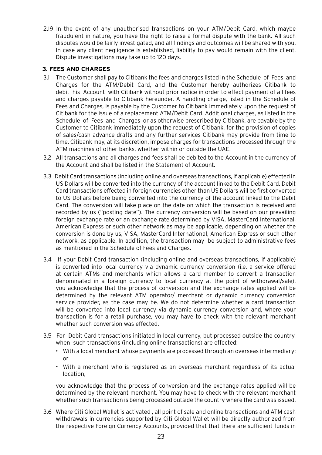<span id="page-23-0"></span>2.19 In the event of any unauthorised transactions on your ATM/Debit Card, which maybe fraudulent in nature, you have the right to raise a formal dispute with the bank. All such disputes would be fairly investigated, and all findings and outcomes will be shared with you. In case any client negligence is established, liability to pay would remain with the client. Dispute investigations may take up to 120 days.

# **3. FEES AND CHARGES**

- 3.1 The Customer shall pay to Citibank the fees and charges listed in the Schedule of Fees and Charges for the ATM/Debit Card, and the Customer hereby authorizes Citibank to debit his Account with Citibank without prior notice in order to effect payment of all fees and charges payable to Citibank hereunder. A handling charge, listed in the Schedule of Fees and Charges, is payable by the Customer to Citibank immediately upon the request of Citibank for the issue of a replacement ATM/Debit Card. Additional charges, as listed in the Schedule of Fees and Charges or as otherwise prescribed by Citibank, are payable by the Customer to Citibank immediately upon the request of Citibank, for the provision of copies of sales/cash advance drafts and any further services Citibank may provide from time to time. Citibank may, at its discretion, impose charges for transactions processed through the ATM machines of other banks, whether within or outside the UAE.
- 3.2 All transactions and all charges and fees shall be debited to the Account in the currency of the Account and shall be listed in the Statement of Account.
- 3.3 Debit Card transactions (including online and overseas transactions, if applicable) effected in US Dollars will be converted into the currency of the account linked to the Debit Card. Debit Card transactions effected in foreign currencies other than US Dollars will be first converted to US Dollars before being converted into the currency of the account linked to the Debit Card. The conversion will take place on the date on which the transaction is received and recorded by us ("posting date"). The currency conversion will be based on our prevailing foreign exchange rate or an exchange rate determined by VISA, MasterCard International, American Express or such other network as may be applicable, depending on whether the conversion is done by us, VISA, MasterCard International, American Express or such other network, as applicable. In addition, the transaction may be subject to administrative fees as mentioned in the Schedule of Fees and Charges.
- 3.4 If your Debit Card transaction (including online and overseas transactions, if applicable) is converted into local currency via dynamic currency conversion (i.e. a service offered at certain ATMs and merchants which allows a card member to convert a transaction denominated in a foreign currency to local currency at the point of withdrawal/sale), you acknowledge that the process of conversion and the exchange rates applied will be determined by the relevant ATM operator/ merchant or dynamic currency conversion service provider, as the case may be. We do not determine whether a card transaction will be converted into local currency via dynamic currency conversion and, where your transaction is for a retail purchase, you may have to check with the relevant merchant whether such conversion was effected
- 3.5 For Debit Card transactions initiated in local currency, but processed outside the country, when such transactions (including online transactions) are effected:
	- With a local merchant whose payments are processed through an overseas intermediary; or
	- With a merchant who is registered as an overseas merchant regardless of its actual location,

you acknowledge that the process of conversion and the exchange rates applied will be determined by the relevant merchant. You may have to check with the relevant merchant whether such transaction is being processed outside the country where the card was issued.

3.6 Where Citi Global Wallet is activated , all point of sale and online transactions and ATM cash withdrawals in currencies supported by Citi Global Wallet will be directly authorized from the respective Foreign Currency Accounts, provided that that there are sufficient funds in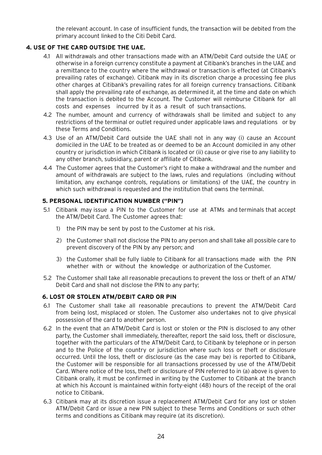the relevant account. In case of insufficient funds, the transaction will be debited from the primary account linked to the Citi Debit Card.

# <span id="page-24-0"></span>**4. USE OF THE CARD OUTSIDE THE UAE.**

- 4.1 All withdrawals and other transactions made with an ATM/Debit Card outside the UAE or otherwise in a foreign currency constitute a payment at Citibank's branches in the UAE and a remittance to the country where the withdrawal or transaction is effected (at Citibank's prevailing rates of exchange). Citibank may in its discretion charge a processing fee plus other charges at Citibank's prevailing rates for all foreign currency transactions. Citibank shall apply the prevailing rate of exchange, as determined it, at the time and date on which the transaction is debited to the Account. The Customer will reimburse Citibank for all costs and expenses incurred by it as a result of such transactions.
- 4.2 The number, amount and currency of withdrawals shall be limited and subject to any restrictions of the terminal or outlet required under applicable laws and regulations or by these Terms and Conditions.
- <span id="page-24-1"></span>4.3 Use of an ATM/Debit Card outside the UAE shall not in any way (i) cause an Account domiciled in the UAE to be treated as or deemed to be an Account domiciled in any other country or jurisdiction in which Citibank is located or (ii) cause or give rise to any liability to any other branch, subsidiary, parent or affiliate of Citibank.
- 4.4 The Customer agrees that the Customer's right to make a withdrawal and the number and amount of withdrawals are subject to the laws, rules and regulations (including without limitation, any exchange controls, regulations or limitations) of the UAE, the country in which such withdrawal is requested and the institution that owns the terminal.

#### **5. PERSONAL IDENTIFICATION NUMBER ("PIN")**

- 5.1 Citibank may issue a PIN to the Customer for use at ATMs and terminals that accept the ATM/Debit Card. The Customer agrees that:
	- 1) the PIN may be sent by post to the Customer at his risk.
	- 2) the Customer shall not disclose the PIN to any person and shall take all possible care to prevent discovery of the PIN by any person; and
	- 3) the Customer shall be fully liable to Citibank for all transactions made with the PIN whether with or without the knowledge or authorization of the Customer.
- <span id="page-24-2"></span>5.2 The Customer shall take all reasonable precautions to prevent the loss or theft of an ATM/ Debit Card and shall not disclose the PIN to any party;

#### **6. LOST OR STOLEN ATM/DEBIT CARD OR PIN**

- 6.1 The Customer shall take all reasonable precautions to prevent the ATM/Debit Card from being lost, misplaced or stolen. The Customer also undertakes not to give physical possession of the card to another person.
- 6.2 In the event that an ATM/Debit Card is lost or stolen or the PIN is disclosed to any other party, the Customer shall immediately, thereafter, report the said loss, theft or disclosure, together with the particulars of the ATM/Debit Card, to Citibank by telephone or in person and to the Police of the country or jurisdiction where such loss or theft or disclosure occurred. Until the loss, theft or disclosure (as the case may be) is reported to Citibank, the Customer will be responsible for all transactions processed by use of the ATM/Debit Card. Where notice of the loss, theft or disclosure of PIN referred to in (a) above is given to Citibank orally, it must be confirmed in writing by the Customer to Citibank at the branch at which his Account is maintained within forty-eight (48) hours of the receipt of the oral notice to Citibank.
- 6.3 Citibank may at its discretion issue a replacement ATM/Debit Card for any lost or stolen ATM/Debit Card or issue a new PIN subject to these Terms and Conditions or such other terms and conditions as Citibank may require (at its discretion).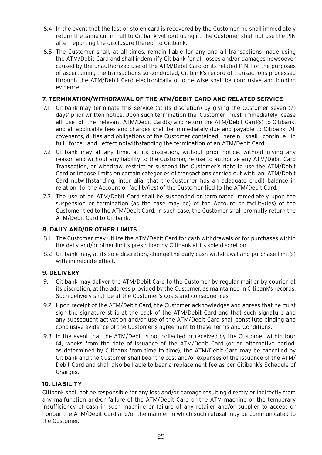- 6.4 In the event that the lost or stolen card is recovered by the Customer, he shall immediately return the same cut in half to Citibank without using it. The Customer shall not use the PIN after reporting the disclosure thereof to Citibank.
- 6.5 The Customer shall, at all times, remain liable for any and all transactions made using the ATM/Debit Card and shall indemnify Citibank for all losses and/or damages howsoever caused by the unauthorized use of the ATM/Debit Card or its related PIN. For the purposes of ascertaining the transactions so conducted, Citibank's record of transactions processed through the ATM/Debit Card electronically or otherwise shall be conclusive and binding evidence.

# <span id="page-25-0"></span>**7. TERMINATION/WITHDRAWAL OF THE ATM/DEBIT CARD AND RELATED SERVICE**

- 7.1 Citibank may terminate this service (at its discretion) by giving the Customer seven (7) days' prior written notice. Upon such termination the Customer must immediately cease all use of the relevant ATM/Debit Card(s) and return the ATM/Debit Card(s) to Citibank, and all applicable fees and charges shall be immediately due and payable to Citibank. All covenants, duties and obligations of the Customer contained herein shall continue in full force and effect notwithstanding the termination of an ATM/Debit Card.
- 7.2 Citibank may at any time, at its discretion, without prior notice, without giving any reason and without any liability to the Customer, refuse to authorize any ATM/Debit Card Transaction, or withdraw, restrict or suspend the Customer's right to use the ATM/Debit Card or impose limits on certain categories of transactions carried out with an ATM/Debit Card notwithstanding, inter alia, that the Customer has an adequate credit balance in relation to the Account or facility(ies) of the Customer tied to the ATM/Debit Card.
- <span id="page-25-1"></span>7.3 The use of an ATM/Debit Card shall be suspended or terminated immediately upon the suspension or termination (as the case may be) of the Account or facility(ies) of the Customer tied to the ATM/Debit Card. In such case, the Customer shall promptly return the ATM/Debit Card to Citibank.

# <span id="page-25-2"></span>**8. DAILY AND/OR OTHER LIMITS**

- <span id="page-25-3"></span>8.1 The Customer may utilize the ATM/Debit Card for cash withdrawals or for purchases within the daily and/or other limits prescribed by Citibank at its sole discretion.
- 8.2 Citibank may, at its sole discretion, change the daily cash withdrawal and purchase limit(s) with immediate effect.

# **9. DELIVERY**

- 9.1 Citibank may deliver the ATM/Debit Card to the Customer by regular mail or by courier, at its discretion, at the address provided by the Customer, as maintained in Citibank's records. Such delivery shall be at the Customer's costs and consequences.
- 9.2 Upon receipt of the ATM/Debit Card, the Customer acknowledges and agrees that he must sign the signature strip at the back of the ATM/Debit Card and that such signature and any subsequent activation and/or use of the ATM/Debit Card shall constitute binding and conclusive evidence of the Customer's agreement to these Terms and Conditions.
- 9.3 In the event that the ATM/Debit is not collected or received by the Customer within four (4) weeks from the date of issuance of the ATM/Debit Card (or an alternative period, as determined by Citibank from time to time), the ATM/Debit Card may be cancelled by Citibank and the Customer shall bear the cost and/or expenses of the issuance of the ATM/ Debit Card and shall also be liable to bear a replacement fee as per Citibank's Schedule of Charges.

#### **10. LIABILITY**

Citibank shall not be responsible for any loss and/or damage resulting directly or indirectly from any malfunction and/or failure of the ATM/Debit Card or the ATM machine or the temporary insufficiency of cash in such machine or failure of any retailer and/or supplier to accept or honour the ATM/Debit Card and/or the manner in which such refusal may be communicated to the Customer.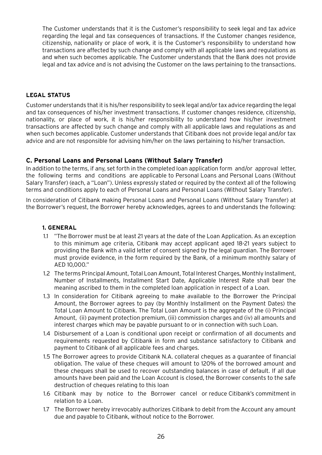The Customer understands that it is the Customer's responsibility to seek legal and tax advice regarding the legal and tax consequences of transactions. If the Customer changes residence, citizenship, nationality or place of work, it is the Customer's responsibility to understand how transactions are affected by such change and comply with all applicable laws and regulations as and when such becomes applicable. The Customer understands that the Bank does not provide legal and tax advice and is not advising the Customer on the laws pertaining to the transactions.

#### **LEGAL STATUS**

<span id="page-26-0"></span>Customer understands that it is his/her responsibility to seek legal and/or tax advice regarding the legal and tax consequences of his/her investment transactions. If customer changes residence, citizenship, nationality, or place of work, it is his/her responsibility to understand how his/her investment transactions are affected by such change and comply with all applicable laws and regulations as and when such becomes applicable. Customer understands that Citibank does not provide legal and/or tax advice and are not responsible for advising him/her on the laws pertaining to his/her transaction.

# <span id="page-26-1"></span>**C. Personal Loans and Personal Loans (Without Salary Transfer)**

In addition to the terms, if any, set forth in the completed loan application form and/or approval letter, the following terms and conditions are applicable to Personal Loans and Personal Loans (Without Salary Transfer) (each, a "Loan"). Unless expressly stated or required by the context all of the following terms and conditions apply to each of Personal Loans and Personal Loans (Without Salary Transfer).

In consideration of Citibank making Personal Loans and Personal Loans (Without Salary Transfer) at the Borrower's request, the Borrower hereby acknowledges, agrees to and understands the following:

# **1. GENERAL**

- 1.1 "The Borrower must be at least 21 years at the date of the Loan Application. As an exception to this minimum age criteria, Citibank may accept applicant aged 18-21 years subject to providing the Bank with a valid letter of consent signed by the legal guardian. The Borrower must provide evidence, in the form required by the Bank, of a minimum monthly salary of AED 10,000."
- 1.2 The terms Principal Amount, Total Loan Amount, Total Interest Charges, Monthly Installment, Number of Installments, Installment Start Date, Applicable Interest Rate shall bear the meaning ascribed to them in the completed loan application in respect of a Loan.
- 1.3 In consideration for Citibank agreeing to make available to the Borrower the Principal Amount, the Borrower agrees to pay (by Monthly Installment on the Payment Dates) the Total Loan Amount to Citibank. The Total Loan Amount is the aggregate of the (i) Principal Amount, (ii) payment protection premium, (iii) commission charges and (iv) all amounts and interest charges which may be payable pursuant to or in connection with such Loan.
- 1.4 Disbursement of a Loan is conditional upon receipt or confirmation of all documents and requirements requested by Citibank in form and substance satisfactory to Citibank and payment to Citibank of all applicable fees and charges.
- 1.5 The Borrower agrees to provide Citibank N.A. collateral cheques as a guarantee of financial obligation. The value of these cheques will amount to 120% of the borrowed amount and these cheques shall be used to recover outstanding balances in case of default. If all due amounts have been paid and the Loan Account is closed, the Borrower consents to the safe destruction of cheques relating to this loan
- 1.6 Citibank may by notice to the Borrower cancel or reduce Citibank's commitment in relation to a Loan.
- 1.7 The Borrower hereby irrevocably authorizes Citibank to debit from the Account any amount due and payable to Citibank, without notice to the Borrower.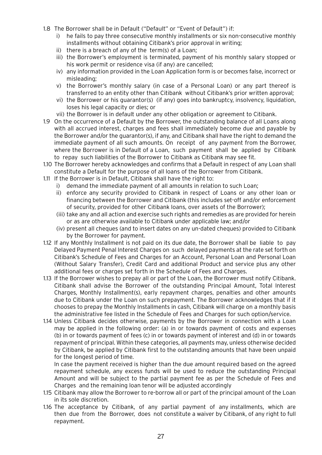- 1.8 The Borrower shall be in Default ("Default" or "Event of Default") if:
	- i) he fails to pay three consecutive monthly installments or six non-consecutive monthly installments without obtaining Citibank's prior approval in writing;
	- ii) there is a breach of any of the term(s) of a Loan;
	- iii) the Borrower's employment is terminated, payment of his monthly salary stopped or his work permit or residence visa (if any) are cancelled;
	- iv) any information provided in the Loan Application form is or becomes false, incorrect or misleading;
	- v) the Borrower's monthly salary (in case of a Personal Loan) or any part thereof is transferred to an entity other than Citibank without Citibank's prior written approval;
	- vi) the Borrower or his guarantor(s) (if any) goes into bankruptcy, insolvency, liquidation, loses his legal capacity or dies; or
	- vii) the Borrower is in default under any other obligation or agreement to Citibank.
- 1.9 On the occurrence of a Default by the Borrower, the outstanding balance of all Loans along with all accrued interest, charges and fees shall immediately become due and payable by the Borrower and/or the guarantor(s), if any, and Citibank shall have the right to demand the immediate payment of all such amounts. On receipt of any payment from the Borrower, where the Borrower is in Default of a Loan, such payment shall be applied by Citibank to repay such liabilities of the Borrower to Citibank as Citibank may see fit.
- 1.10 The Borrower hereby acknowledges and confirms that a Default in respect of any Loan shall constitute a Default for the purpose of all loans of the Borrower from Citibank.
- 1.11 If the Borrower is in Default, Citibank shall have the right to:
	- i) demand the immediate payment of all amounts in relation to such Loan;
	- ii) enforce any security provided to Citibank in respect of Loans or any other loan or financing between the Borrower and Citibank (this includes set-off and/or enforcement of security, provided for other Citibank loans, over assets of the Borrower);
	- (iii) take any and all action and exercise such rights and remedies as are provided for herein or as are otherwise available to Citibank under applicable law; and/or
	- (iv) present all cheques (and to insert dates on any un-dated cheques) provided to Citibank by the Borrower for payment.
- 1.12 If any Monthly Installment is not paid on its due date, the Borrower shall be liable to pay Delayed Payment Penal Interest Charges on such delayed payments at the rate set forth on Citibank's Schedule of Fees and Charges for an Account, Personal Loan and Personal Loan (Without Salary Transfer), Credit Card and additional Product and service plus any other additional fees or charges set forth in the Schedule of Fees and Charges.
- 1.13 If the Borrower wishes to prepay all or part of the Loan, the Borrower must notify Citibank. Citibank shall advise the Borrower of the outstanding Principal Amount, Total Interest Charges, Monthly Installment(s), early repayment charges, penalties and other amounts due to Citibank under the Loan on such prepayment. The Borrower acknowledges that if it chooses to prepay the Monthly Installments in cash, Citibank will charge on a monthly basis the administrative fee listed in the Schedule of Fees and Charges for such option/service.
- 1.14 Unless Citibank decides otherwise, payments by the Borrower in connection with a Loan may be applied in the following order: (a) in or towards payment of costs and expenses (b) in or towards payment of fees (c) in or towards payment of interest and (d) in or towards repayment of principal. Within these categories, all payments may, unless otherwise decided by Citibank, be applied by Citibank first to the outstanding amounts that have been unpaid for the longest period of time.

In case the payment received is higher than the due amount required based on the agreed repayment schedule, any excess funds will be used to reduce the outstanding Principal Amount and will be subject to the partial payment fee as per the Schedule of Fees and Charges and the remaining loan tenor will be adjusted accordingly

- 1.15 Citibank may allow the Borrower to re-borrow all or part of the principal amount of the Loan in its sole discretion.
- 1.16 The acceptance by Citibank, of any partial payment of any installments, which are then due from the Borrower, does not constitute a waiver by Citibank, of any right to full repayment.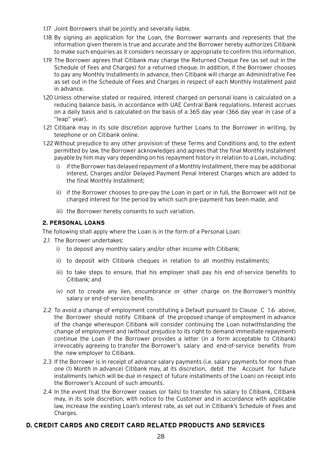- 1.17 Joint Borrowers shall be jointly and severally liable.
- 1.18 By signing an application for the Loan, the Borrower warrants and represents that the information given therein is true and accurate and the Borrower hereby authorizes Citibank to make such enquiries as it considers necessary or appropriate to confirm this information.
- 1.19 The Borrower agrees that Citibank may charge the Returned Cheque Fee (as set out in the Schedule of Fees and Charges) for a returned cheque. In addition, if the Borrower chooses to pay any Monthly Installments in advance, then Citibank will charge an Administrative Fee as set out in the Schedule of Fees and Charges in respect of each Monthly Installment paid in advance.
- 1.20 Unless otherwise stated or required, interest charged on personal loans is calculated on a reducing balance basis, in accordance with UAE Central Bank regulations. Interest accrues on a daily basis and is calculated on the basis of a 365 day year (366 day year in case of a "leap" year).
- 1.21 Citibank may in its sole discretion approve further Loans to the Borrower in writing, by telephone or on Citibank online.
- <span id="page-28-0"></span>1.22 Without prejudice to any other provision of these Terms and Conditions and, to the extent permitted by law, the Borrower acknowledges and agrees that the final Monthly Installment payable by him may vary depending on his repayment history in relation to a Loan, including:
	- i) if the Borrower has delayed repayment of a Monthly Installment, there may be additional interest, Charges and/or Delayed Payment Penal Interest Charges which are added to the final Monthly Installment;
	- ii) if the Borrower chooses to pre-pay the Loan in part or in full, the Borrower will not be charged interest for the period by which such pre-payment has been made, and
	- iii) the Borrower hereby consents to such variation.

# **2. PERSONAL LOANS**

The following shall apply where the Loan is in the form of a Personal Loan:

- 2.1 The Borrower undertakes:
	- i) to deposit any monthly salary and/or other income with Citibank;
	- ii) to deposit with Citibank cheques in relation to all monthly installments;
	- iii) to take steps to ensure, that his employer shall pay his end of-service benefits to Citibank; and
	- iv) not to create any lien, encumbrance or other charge on the Borrower's monthly salary or end-of-service benefits.
- 2.2 To avoid a change of employment constituting a Default pursuant to Clause C 1.6 above, the Borrower should notify Citibank of the proposed change of employment in advance of the change whereupon Citibank will consider continuing the Loan notwithstanding the change of employment and (without prejudice to its right to demand immediate repayment) continue the Loan if the Borrower provides a letter (in a form acceptable to Citibank) irrevocably agreeing to transfer the Borrower's salary and end-of-service benefits from the new employer to Citibank.
- 2.3 If the Borrower is in receipt of advance salary payments (i.e. salary payments for more than one (1) Month in advance) Citibank may, at its discretion, debit the Account for future installments (which will be due in respect of future installments of the Loan) on receipt into the Borrower's Account of such amounts.
- 2.4 In the event that the Borrower ceases (or fails) to transfer his salary to Citibank, Citibank may, in its sole discretion, with notice to the Customer and in accordance with applicable law, increase the existing Loan's interest rate, as set out in Citibank's Schedule of Fees and Charges.

# **D. CREDIT CARDS AND CREDIT CARD RELATED PRODUCTS AND SERVICES**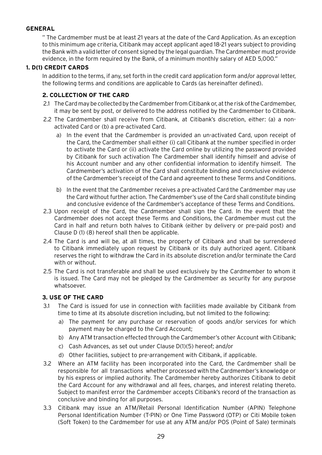# <span id="page-29-1"></span><span id="page-29-0"></span>**GENERAL**

" The Cardmember must be at least 21 years at the date of the Card Application. As an exception to this minimum age criteria, Citibank may accept applicant aged 18-21 years subject to providing the Bank with a valid letter of consent signed by the legal guardian. The Cardmember must provide evidence, in the form required by the Bank, of a minimum monthly salary of AED 5,000."

# **1. D(1) CREDIT CARDS**

In addition to the terms, if any, set forth in the credit card application form and/or approval letter, the following terms and conditions are applicable to Cards (as hereinafter defined).

# **2. COLLECTION OF THE CARD**

- 2.1 The Card may be collected by the Cardmember from Citibank or, at the risk of the Cardmember, it may be sent by post, or delivered to the address notified by the Cardmember to Citibank.
- 2.2 The Cardmember shall receive from Citibank, at Citibank's discretion, either: (a) a nonactivated Card or (b) a pre-activated Card.
	- a) In the event that the Cardmember is provided an un-activated Card, upon receipt of the Card, the Cardmember shall either (i) call Citibank at the number specified in order to activate the Card or (ii) activate the Card online by utilizing the password provided by Citibank for such activation The Cardmember shall identify himself and advise of his Account number and any other confidential information to identify himself. The Cardmember's activation of the Card shall constitute binding and conclusive evidence of the Cardmember's receipt of the Card and agreement to these Terms and Conditions.
	- b) In the event that the Cardmember receives a pre-activated Card the Cardmember may use the Card without further action. The Cardmember's use of the Card shall constitute binding and conclusive evidence of the Cardmember's acceptance of these Terms and Conditions.
- 2.3 Upon receipt of the Card, the Cardmember shall sign the Card. In the event that the Cardmember does not accept these Terms and Conditions, the Cardmember must cut the Card in half and return both halves to Citibank (either by delivery or pre-paid post) and Clause D (1) (8) hereof shall then be applicable.
- <span id="page-29-2"></span>2.4 The Card is and will be, at all times, the property of Citibank and shall be surrendered to Citibank immediately upon request by Citibank or its duly authorized agent. Citibank reserves the right to withdraw the Card in its absolute discretion and/or terminate the Card with or without.
- 2.5 The Card is not transferable and shall be used exclusively by the Cardmember to whom it is issued. The Card may not be pledged by the Cardmember as security for any purpose whatsoever.

# **3. USE OF THE CARD**

- 3.1 The Card is issued for use in connection with facilities made available by Citibank from time to time at its absolute discretion including, but not limited to the following:
	- a) The payment for any purchase or reservation of goods and/or services for which payment may be charged to the Card Account;
	- b) Any ATM transaction effected through the Cardmember's other Account with Citibank;
	- c) Cash Advances, as set out under Clause D(1)(5) hereof; and/or
	- d) Other facilities, subject to pre-arrangement with Citibank, if applicable.
- 3.2 Where an ATM facility has been incorporated into the Card, the Cardmember shall be responsible for all transactions whether processed with the Cardmember's knowledge or by his express or implied authority. The Cardmember hereby authorizes Citibank to debit the Card Account for any withdrawal and all fees, charges, and interest relating thereto. Subject to manifest error the Cardmember accepts Citibank's record of the transaction as conclusive and binding for all purposes.
- 3.3 Citibank may issue an ATM/Retail Personal Identification Number (APIN) Telephone Personal Identification Number (T-PIN) or One Time Password (OTP) or Citi Mobile token (Soft Token) to the Cardmember for use at any ATM and/or POS (Point of Sale) terminals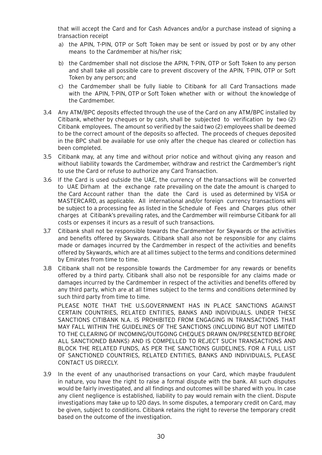that will accept the Card and for Cash Advances and/or a purchase instead of signing a transaction receipt

- a) the APIN, T-PIN, OTP or Soft Token may be sent or issued by post or by any other means to the Cardmember at his/her risk;
- b) the Cardmember shall not disclose the APIN, T-PIN, OTP or Soft Token to any person and shall take all possible care to prevent discovery of the APIN, T-PIN, OTP or Soft Token by any person; and
- c) the Cardmember shall be fully liable to Citibank for all Card Transactions made with the APIN, T-PIN, OTP or Soft Token whether with or without the knowledge of the Cardmember.
- 3.4 Any ATM/BPC deposits effected through the use of the Card on any ATM/BPC installed by Citibank, whether by cheques or by cash, shall be subjected to verification by two (2) Citibank employees. The amount so verified by the said two (2) employees shall be deemed to be the correct amount of the deposits so affected. The proceeds of cheques deposited in the BPC shall be available for use only after the cheque has cleared or collection has been completed.
- 3.5 Citibank may, at any time and without prior notice and without giving any reason and without liability towards the Cardmember, withdraw and restrict the Cardmember's right to use the Card or refuse to authorize any Card Transaction.
- 3.6 If the Card is used outside the UAE, the currency of the transactions will be converted to UAE Dirham at the exchange rate prevailing on the date the amount is charged to the Card Account rather than the date the Card is used as determined by VISA or MASTERCARD, as applicable. All international and/or foreign currency transactions will be subject to a processing fee as listed in the Schedule of Fees and Charges plus other charges at Citibank's prevailing rates, and the Cardmember will reimburse Citibank for all costs or expenses it incurs as a result of such transactions.
- 3.7 Citibank shall not be responsible towards the Cardmember for Skywards or the activities and benefits offered by Skywards. Citibank shall also not be responsible for any claims made or damages incurred by the Cardmember in respect of the activities and benefits offered by Skywards, which are at all times subject to the terms and conditions determined by Emirates from time to time.
- 3.8 Citibank shall not be responsible towards the Cardmember for any rewards or benefits offered by a third party. Citibank shall also not be responsible for any claims made or damages incurred by the Cardmember in respect of the activities and benefits offered by any third party, which are at all times subject to the terms and conditions determined by such third party from time to time.

PLEASE NOTE THAT THE U.S.GOVERNMENT HAS IN PLACE SANCTIONS AGAINST CERTAIN COUNTRIES, RELATED ENTITIES, BANKS AND INDIVIDUALS. UNDER THESE SANCTIONS CITIBANK N.A. IS PROHIBITED FROM ENGAGING IN TRANSACTIONS THAT MAY FALL WITHIN THE GUIDELINES OF THE SANCTIONS (INCLUDING BUT NOT LIMITED TO THE CLEARING OF INCOMING/OUTGOING CHEQUES DRAWN ON/PRESENTED BEFORE ALL SANCTIONED BANKS) AND IS COMPELLED TO REJECT SUCH TRANSACTIONS AND BLOCK THE RELATED FUNDS, AS PER THE SANCTIONS GUIDELINES. FOR A FULL LIST OF SANCTIONED COUNTRIES, RELATED ENTITIES, BANKS AND INDIVIDUALS, PLEASE CONTACT US DIRECLY.

3.9 In the event of any unauthorised transactions on your Card, which maybe fraudulent in nature, you have the right to raise a formal dispute with the bank. All such disputes would be fairly investigated, and all findings and outcomes will be shared with you. In case any client negligence is established, liability to pay would remain with the client. Dispute investigations may take up to 120 days. In some disputes, a temporary credit on Card, may be given, subject to conditions. Citibank retains the right to reverse the temporary credit based on the outcome of the investigation.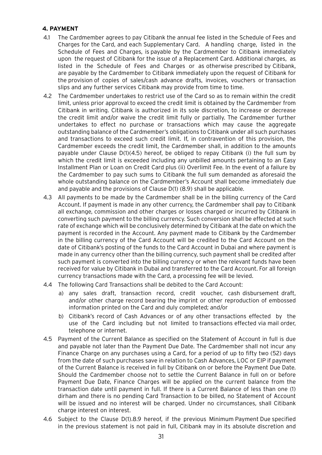# <span id="page-31-0"></span>**4. PAYMENT**

- 4.1 The Cardmember agrees to pay Citibank the annual fee listed in the Schedule of Fees and Charges for the Card, and each Supplementary Card. A handling charge, listed in the Schedule of Fees and Charges, is payable by the Cardmember to Citibank immediately upon the request of Citibank for the issue of a Replacement Card. Additional charges, as listed in the Schedule of Fees and Charges or as otherwise prescribed by Citibank, are payable by the Cardmember to Citibank immediately upon the request of Citibank for the provision of copies of sales/cash advance drafts, invoices, vouchers or transaction slips and any further services Citibank may provide from time to time.
- 4.2 The Cardmember undertakes to restrict use of the Card so as to remain within the credit limit, unless prior approval to exceed the credit limit is obtained by the Cardmember from Citibank in writing. Citibank is authorized in its sole discretion, to increase or decrease the credit limit and/or waive the credit limit fully or partially. The Cardmember further undertakes to effect no purchase or transactions which may cause the aggregate outstanding balance of the Cardmember's obligations to Citibank under all such purchases and transactions to exceed such credit limit. If, in contravention of this provision, the Cardmember exceeds the credit limit, the Cardmember shall, in addition to the amounts payable under Clause D(1)(4.5) hereof, be obliged to repay Citibank (i) the full sum by which the credit limit is exceeded including any unbilled amounts pertaining to an Easy Installment Plan or Loan on Credit Card plus (ii) Overlimit Fee. In the event of a failure by the Cardmember to pay such sums to Citibank the full sum demanded as aforesaid the whole outstanding balance on the Cardmember's Account shall become immediately due and payable and the provisions of Clause D(1) (8.9) shall be applicable.
- 4.3 All payments to be made by the Cardmember shall be in the billing currency of the Card Account. If payment is made in any other currency, the Cardmember shall pay to Citibank all exchange, commission and other charges or losses charged or incurred by Citibank in converting such payment to the billing currency. Such conversion shall be effected at such rate of exchange which will be conclusively determined by Citibank at the date on which the payment is recorded in the Account. Any payment made to Citibank by the Cardmember in the billing currency of the Card Account will be credited to the Card Account on the date of Citibank's posting of the funds to the Card Account in Dubai and where payment is made in any currency other than the billing currency, such payment shall be credited after such payment is converted into the billing currency or when the relevant funds have been received for value by Citibank in Dubai and transferred to the Card Account. For all foreign currency transactions made with the Card, a processing fee will be levied.
- 4.4 The following Card Transactions shall be debited to the Card Account:
	- a) any sales draft, transaction record, credit voucher, cash disbursement draft, and/or other charge record bearing the imprint or other reproduction of embossed information printed on the Card and duly completed; and/or
	- b) Citibank's record of Cash Advances or of any other transactions effected by the use of the Card including but not limited to transactions effected via mail order, telephone or internet.
- 4.5 Payment of the Current Balance as specified on the Statement of Account in full is due and payable not later than the Payment Due Date. The Cardmember shall not incur any Finance Charge on any purchases using a Card, for a period of up to fifty two (52) days from the date of such purchases save in relation to Cash Advances, LOC or EIP if payment of the Current Balance is received in full by Citibank on or before the Payment Due Date. Should the Cardmember choose not to settle the Current Balance in full on or before Payment Due Date, Finance Charges will be applied on the current balance from the transaction date until payment in full. If there is a Current Balance of less than one (1) dirham and there is no pending Card Transaction to be billed, no Statement of Account will be issued and no interest will be charged. Under no circumstances, shall Citibank charge interest on interest.
- 4.6 Subject to the Clause D(1).8.9 hereof, if the previous Minimum Payment Due specified in the previous statement is not paid in full, Citibank may in its absolute discretion and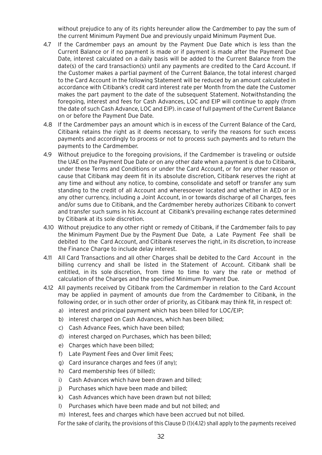without prejudice to any of its rights hereunder allow the Cardmember to pay the sum of the current Minimum Payment Due and previously unpaid Minimum Payment Due.

- 4.7 If the Cardmember pays an amount by the Payment Due Date which is less than the Current Balance or if no payment is made or if payment is made after the Payment Due Date, interest calculated on a daily basis will be added to the Current Balance from the date(s) of the card transaction(s) until any payments are credited to the Card Account. If the Customer makes a partial payment of the Current Balance, the total interest charged to the Card Account in the following Statement will be reduced by an amount calculated in accordance with Citibank's credit card interest rate per Month from the date the Customer makes the part payment to the date of the subsequent Statement. Notwithstanding the foregoing, interest and fees for Cash Advances, LOC and EIP will continue to apply (from the date of such Cash Advance, LOC and EIP). in case of full payment of the Current Balance on or before the Payment Due Date.
- 4.8 If the Cardmember pays an amount which is in excess of the Current Balance of the Card, Citibank retains the right as it deems necessary, to verify the reasons for such excess payments and accordingly to process or not to process such payments and to return the payments to the Cardmember.
- 4.9 Without prejudice to the foregoing provisions, if the Cardmember is traveling or outside the UAE on the Payment Due Date or on any other date when a payment is due to Citibank, under these Terms and Conditions or under the Card Account, or for any other reason or cause that Citibank may deem fit in its absolute discretion, Citibank reserves the right at any time and without any notice, to combine, consolidate and setoff or transfer any sum standing to the credit of all Account and wheresoever located and whether in AED or in any other currency, including a Joint Account, in or towards discharge of all Charges, fees and/or sums due to Citibank, and the Cardmember hereby authorizes Citibank to convert and transfer such sums in his Account at Citibank's prevailing exchange rates determined by Citibank at its sole discretion.
- 4.10 Without prejudice to any other right or remedy of Citibank, if the Cardmember fails to pay the Minimum Payment Due by the Payment Due Date, a Late Payment Fee shall be debited to the Card Account, and Citibank reserves the right, in its discretion, to increase the Finance Charge to include delay interest.
- 4.11 All Card Transactions and all other Charges shall be debited to the Card Account in the billing currency and shall be listed in the Statement of Account. Citibank shall be entitled, in its sole discretion, from time to time to vary the rate or method of calculation of the Charges and the specified Minimum Payment Due.
- 4.12 All payments received by Citibank from the Cardmember in relation to the Card Account may be applied in payment of amounts due from the Cardmember to Citibank, in the following order, or in such other order of priority, as Citibank may think fit, in respect of:
	- a) interest and principal payment which has been billed for LOC/EIP;
	- b) interest charged on Cash Advances, which has been billed;
	- c) Cash Advance Fees, which have been billed;
	- d) interest charged on Purchases, which has been billed;
	- e) Charges which have been billed;
	- f) Late Payment Fees and Over limit Fees;
	- g) Card insurance charges and fees (if any);
	- h) Card membership fees (if billed);
	- i) Cash Advances which have been drawn and billed;
	- j) Purchases which have been made and billed;
	- k) Cash Advances which have been drawn but not billed;
	- l) Purchases which have been made and but not billed; and
	- m) Interest, fees and charges which have been accrued but not billed.

For the sake of clarity, the provisions of this Clause D (1)(4.12) shall apply to the payments received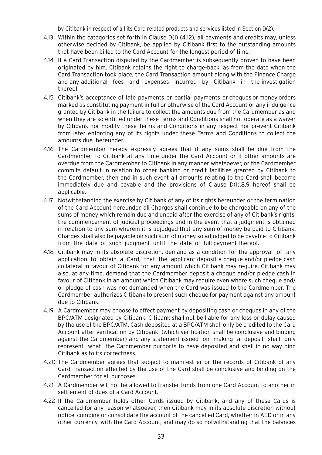by Citibank in respect of all its Card related products and services listed in Section D(2).

- 4.13 Within the categories set forth in Clause D(1) (4.12), all payments and credits may, unless otherwise decided by Citibank, be applied by Citibank first to the outstanding amounts that have been billed to the Card Account for the longest period of time.
- 4.14 If a Card Transaction disputed by the Cardmember is subsequently proven to have been originated by him, Citibank retains the right to charge-back, as from the date when the Card Transaction took place, the Card Transaction amount along with the Finance Charge and any additional fees and expenses incurred by Citibank in the investigation thereof.
- 4.15 Citibank's acceptance of late payments or partial payments or cheques or money orders marked as constituting payment in full or otherwise of the Card Account or any indulgence granted by Citibank in the failure to collect the amounts due from the Cardmember as and when they are so entitled under these Terms and Conditions shall not operate as a waiver by Citibank nor modify these Terms and Conditions in any respect nor prevent Citibank from later enforcing any of its rights under these Terms and Conditions to collect the amounts due hereunder.
- 4.16 The Cardmember hereby expressly agrees that if any sums shall be due from the Cardmember to Citibank at any time under the Card Account or if other amounts are overdue from the Cardmember to Citibank in any manner whatsoever, or the Cardmember commits default in relation to other banking or credit facilities granted by Citibank to the Cardmember, then and in such event all amounts relating to the Card shall become immediately due and payable and the provisions of Clause D(1).8.9 hereof shall be applicable.
- 4.17 Notwithstanding the exercise by Citibank of any of its rights hereunder or the termination of the Card Account hereunder, all Charges shall continue to be chargeable on any of the sums of money which remain due and unpaid after the exercise of any of Citibank's rights, the commencement of judicial proceedings and in the event that a judgment is obtained in relation to any sum wherein it is adjudged that any sum of money be paid to Citibank. Charges shall also be payable on such sum of money so adjudged to be payable to Citibank from the date of such judgment until the date of full payment thereof.
- 4.18 Citibank may in its absolute discretion, demand as a condition for the approval of any application to obtain a Card, that the applicant deposit a cheque and/or pledge cash collateral in favour of Citibank for any amount which Citibank may require. Citibank may also, at any time, demand that the Cardmember deposit a cheque and/or pledge cash in favour of Citibank in an amount which Citibank may require even where such cheque and/ or pledge of cash was not demanded when the Card was issued to the Cardmember. The Cardmember authorizes Citibank to present such cheque for payment against any amount due to Citibank.
- 4.19 A Cardmember may choose to effect payment by depositing cash or cheques in any of the BPC/ATM designated by Citibank. Citibank shall not be liable for any loss or delay caused by the use of the BPC/ATM. Cash deposited at a BPC/ATM shall only be credited to the Card Account after verification by Citibank (which verification shall be conclusive and binding against the Cardmember) and any statement issued on making a deposit shall only represent what the Cardmember purports to have deposited and shall in no way bind Citibank as to its correctness.
- 4.20 The Cardmember agrees that subject to manifest error the records of Citibank of any Card Transaction effected by the use of the Card shall be conclusive and binding on the Cardmember for all purposes.
- 4.21 A Cardmember will not be allowed to transfer funds from one Card Account to another in settlement of dues of a Card Account.
- 4.22 If the Cardmember holds other Cards issued by Citibank, and any of these Cards is cancelled for any reason whatsoever, then Citibank may in its absolute discretion without notice, combine or consolidate the account of the cancelled Card, whether in AED or in any other currency, with the Card Account, and may do so notwithstanding that the balances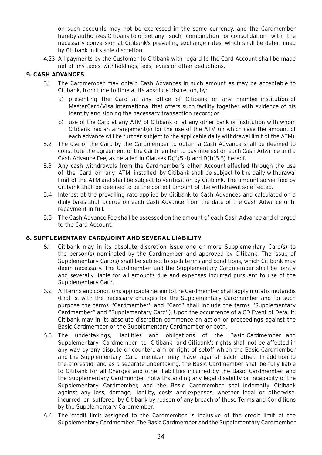<span id="page-34-0"></span>on such accounts may not be expressed in the same currency, and the Cardmember hereby authorizes Citibank to offset any such combination or consolidation with the necessary conversion at Citibank's prevailing exchange rates, which shall be determined by Citibank in its sole discretion.

4.23 All payments by the Customer to Citibank with regard to the Card Account shall be made net of any taxes, withholdings, fees, levies or other deductions.

# **5. CASH ADVANCES**

- 5.1 The Cardmember may obtain Cash Advances in such amount as may be acceptable to Citibank, from time to time at its absolute discretion, by:
	- a) presenting the Card at any office of Citibank or any member institution of MasterCard/Visa International that offers such facility together with evidence of his identity and signing the necessary transaction record; or
	- b) use of the Card at any ATM of Citibank or at any other bank or institution with whom Citibank has an arrangement(s) for the use of the ATM (in which case the amount of each advance will be further subject to the applicable daily withdrawal limit of the ATM).
- 5.2 The use of the Card by the Cardmember to obtain a Cash Advance shall be deemed to constitute the agreement of the Cardmember to pay interest on each Cash Advance and a Cash Advance Fee, as detailed in Clauses D(1)(5.4) and D(1)(5.5) hereof.
- 5.3 Any cash withdrawals from the Cardmember's other Account effected through the use of the Card on any ATM installed by Citibank shall be subject to the daily withdrawal limit of the ATM and shall be subject to verification by Citibank. The amount so verified by Citibank shall be deemed to be the correct amount of the withdrawal so effected.
- 5.4 Interest at the prevailing rate applied by Citibank to Cash Advances and calculated on a daily basis shall accrue on each Cash Advance from the date of the Cash Advance until repayment in full.
- 5.5 The Cash Advance Fee shall be assessed on the amount of each Cash Advance and charged to the Card Account.

# <span id="page-34-1"></span>**6. SUPPLEMENTARY CARD/JOINT AND SEVERAL LIABILITY**

- 6.1 Citibank may in its absolute discretion issue one or more Supplementary Card(s) to the person(s) nominated by the Cardmember and approved by Citibank. The issue of Supplementary Card(s) shall be subject to such terms and conditions, which Citibank may deem necessary. The Cardmember and the Supplementary Cardmember shall be jointly and severally liable for all amounts due and expenses incurred pursuant to use of the Supplementary Card.
- 6.2 All terms and conditions applicable herein to the Cardmember shall apply mutatis mutandis (that is, with the necessary changes for the Supplementary Cardmember and for such purpose the terms "Cardmember" and "Card" shall include the terms "Supplementary Cardmember" and "Supplementary Card"). Upon the occurrence of a CD Event of Default, Citibank may in its absolute discretion commence an action or proceedings against the Basic Cardmember or the Supplementary Cardmember or both.
- 6.3 The undertakings, liabilities and obligations of the Basic Cardmember and Supplementary Cardmember to Citibank and Citibank's rights shall not be affected in any way by any dispute or counterclaim or right of setoff which the Basic Cardmember and the Supplementary Card member may have against each other. In addition to the aforesaid, and as a separate undertaking, the Basic Cardmember shall be fully liable to Citibank for all Charges and other liabilities incurred by the Basic Cardmember and the Supplementary Cardmember notwithstanding any legal disability or incapacity of the Supplementary Cardmember, and the Basic Cardmember shall indemnify Citibank against any loss, damage, liability, costs and expenses, whether legal or otherwise, incurred or suffered by Citibank by reason of any breach of these Terms and Conditions by the Supplementary Cardmember.
- 6.4 The credit limit assigned to the Cardmember is inclusive of the credit limit of the Supplementary Cardmember. The Basic Cardmember and the Supplementary Cardmember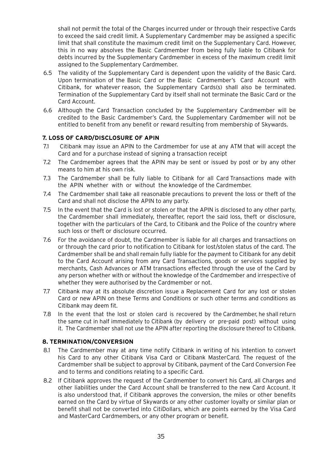shall not permit the total of the Charges incurred under or through their respective Cards to exceed the said credit limit. A Supplementary Cardmember may be assigned a specific limit that shall constitute the maximum credit limit on the Supplementary Card. However, this in no way absolves the Basic Cardmember from being fully liable to Citibank for debts incurred by the Supplementary Cardmember in excess of the maximum credit limit assigned to the Supplementary Cardmember.

- <span id="page-35-0"></span>6.5 The validity of the Supplementary Card is dependent upon the validity of the Basic Card. Upon termination of the Basic Card or the Basic Cardmember's Card Account with Citibank, for whatever reason, the Supplementary Cards(s) shall also be terminated. Termination of the Supplementary Card by itself shall not terminate the Basic Card or the Card Account.
- 6.6 Although the Card Transaction concluded by the Supplementary Cardmember will be credited to the Basic Cardmember's Card, the Supplementary Cardmember will not be entitled to benefit from any benefit or reward resulting from membership of Skywards.

# **7. LOSS OF CARD/DISCLOSURE OF APIN**

- 7.1 Citibank may issue an APIN to the Cardmember for use at any ATM that will accept the Card and for a purchase instead of signing a transaction receipt
- 7.2 The Cardmember agrees that the APIN may be sent or issued by post or by any other means to him at his own risk.
- 7.3 The Cardmember shall be fully liable to Citibank for all Card Transactions made with the APIN whether with or without the knowledge of the Cardmember.
- 7.4 The Cardmember shall take all reasonable precautions to prevent the loss or theft of the Card and shall not disclose the APIN to any party.
- 7.5 In the event that the Card is lost or stolen or that the APIN is disclosed to any other party, the Cardmember shall immediately, thereafter, report the said loss, theft or disclosure, together with the particulars of the Card, to Citibank and the Police of the country where such loss or theft or disclosure occurred.
- 7.6 For the avoidance of doubt, the Cardmember is liable for all charges and transactions on or through the card prior to notification to Citibank for lost/stolen status of the card. The Cardmember shall be and shall remain fully liable for the payment to Citibank for any debit to the Card Account arising from any Card Transactions, goods or services supplied by merchants, Cash Advances or ATM transactions effected through the use of the Card by any person whether with or without the knowledge of the Cardmember and irrespective of whether they were authorised by the Cardmember or not.
- <span id="page-35-1"></span>7.7 Citibank may at its absolute discretion issue a Replacement Card for any lost or stolen Card or new APIN on these Terms and Conditions or such other terms and conditions as Citibank may deem fit.
- 7.8 In the event that the lost or stolen card is recovered by the Cardmember, he shall return the same cut in half immediately to Citibank (by delivery or pre-paid post) without using it. The Cardmember shall not use the APIN after reporting the disclosure thereof to Citibank.

#### **8. TERMINATION/CONVERSION**

- 8.1 The Cardmember may at any time notify Citibank in writing of his intention to convert his Card to any other Citibank Visa Card or Citibank MasterCard. The request of the Cardmember shall be subject to approval by Citibank, payment of the Card Conversion Fee and to terms and conditions relating to a specific Card.
- 8.2 If Citibank approves the request of the Cardmember to convert his Card, all Charges and other liabilities under the Card Account shall be transferred to the new Card Account. It is also understood that, if Citibank approves the conversion, the miles or other benefits earned on the Card by virtue of Skywards or any other customer loyalty or similar plan or benefit shall not be converted into CitiDollars, which are points earned by the Visa Card and MasterCard Cardmembers, or any other program or benefit.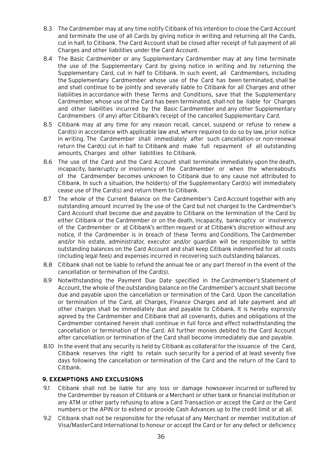- 8.3 The Cardmember may at any time notify Citibank of his intention to close the Card Account and terminate the use of all Cards by giving notice in writing and returning all the Cards, cut in half, to Citibank. The Card Account shall be closed after receipt of full payment of all Charges and other liabilities under the Card Account.
- 8.4 The Basic Cardmember or any Supplementary Cardmember may at any time terminate the use of the Supplementary Card by giving notice in writing and by returning the Supplementary Card, cut in half to Citibank. In such event, all Cardmembers, including the Supplementary Cardmember whose use of the Card has been terminated, shall be and shall continue to be jointly and severally liable to Citibank for all Charges and other liabilities in accordance with these Terms and Conditions, save that the Supplementary Cardmember, whose use of the Card has been terminated, shall not be liable for Charges and other liabilities incurred by the Basic Cardmember and any other Supplementary Cardmembers (if any) after Citibank's receipt of the cancelled Supplementary Card.
- 8.5 Citibank may at any time for any reason recall, cancel, suspend or refuse to renew a Card(s) in accordance with applicable law and, where required to do so by law, prior notice in writing. The Cardmember shall immediately after such cancellation or non-renewal return the Card(s) cut in half to Citibank and make full repayment of all outstanding amounts, Charges and other liabilities to Citibank.
- 8.6 The use of the Card and the Card Account shall terminate immediately upon the death, incapacity, bankruptcy or insolvency of the Cardmember or when the whereabouts of the Cardmember becomes unknown to Citibank due to any cause not attributed to Citibank. In such a situation, the holder(s) of the Supplementary Card(s) will immediately cease use of the Card(s) and return them to Citibank.
- 8.7 The whole of the Current Balance on the Cardmember's Card Account together with any outstanding amount incurred by the use of the Card but not charged to the Cardmember's Card Account shall become due and payable to Citibank on the termination of the Card by either Citibank or the Cardmember or on the death, incapacity, bankruptcy or insolvency of the Cardmember or at Citibank's written request or at Citibank's discretion without any notice, if the Cardmember is in breach of these Terms and Conditions. The Cardmember and/or his estate, administrator, executor and/or guardian will be responsible to settle outstanding balances on the Card Account and shall keep Citibank indemnified for all costs (including legal fees) and expenses incurred in recovering such outstanding balances.
- 8.8 Citibank shall not be liable to refund the annual fee or any part thereof in the event of the cancellation or termination of the Card(s).
- 8.9 Notwithstanding the Payment Due Date specified in the Cardmember's Statement of Account, the whole of the outstanding balance on the Cardmember's account shall become due and payable upon the cancellation or termination of the Card. Upon the cancellation or termination of the Card, all Charges, Finance Charges and all late payment and all other charges shall be immediately due and payable to Citibank. It is hereby expressly agreed by the Cardmember and Citibank that all covenants, duties and obligations of the Cardmember contained herein shall continue in full force and effect notwithstanding the cancellation or termination of the Card. All further monies debited to the Card Account after cancellation or termination of the Card shall become immediately due and payable.
- 8.10 In the event that any security is held by Citibank as collateral for the issuance of the Card, Citibank reserves the right to retain such security for a period of at least seventy five days following the cancellation or termination of the Card and the return of the Card to Citibank.

## **9. EXEMPTIONS AND EXCLUSIONS**

- 9.1 Citibank shall not be liable for any loss or damage howsoever incurred or suffered by the Cardmember by reason of Citibank or a Merchant or other bank or financial institution or any ATM or other party refusing to allow a Card Transaction or accept the Card or the Card numbers or the APIN or to extend or provide Cash Advances up to the credit limit or at all.
- 9.2 Citibank shall not be responsible for the refusal of any Merchant or member institution of Visa/MasterCard International to honour or accept the Card or for any defect or deficiency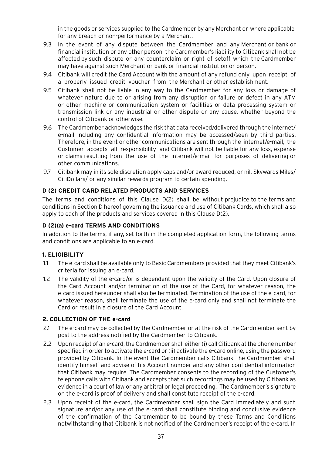in the goods or services supplied to the Cardmember by any Merchant or, where applicable, for any breach or non-performance by a Merchant.

- 9.3 In the event of any dispute between the Cardmember and any Merchant or bank or financial institution or any other person, the Cardmember's liability to Citibank shall not be affected by such dispute or any counterclaim or right of setoff which the Cardmember may have against such Merchant or bank or financial institution or person.
- 9.4 Citibank will credit the Card Account with the amount of any refund only upon receipt of a properly issued credit voucher from the Merchant or other establishment.
- 9.5 Citibank shall not be liable in any way to the Cardmember for any loss or damage of whatever nature due to or arising from any disruption or failure or defect in any ATM or other machine or communication system or facilities or data processing system or transmission link or any industrial or other dispute or any cause, whether beyond the control of Citibank or otherwise.
- 9.6 The Cardmember acknowledges the risk that data received/delivered through the internet/ e-mail including any confidential information may be accessed/seen by third parties. Therefore, in the event or other communications are sent through the internet/e-mail, the Customer accepts all responsibility and Citibank will not be liable for any loss, expense or claims resulting from the use of the internet/e-mail for purposes of delivering or other communications.
- 9.7 Citibank may in its sole discretion apply caps and/or award reduced, or nil, Skywards Miles/ CitiDollars/ or any similar rewards program to certain spending.

## **D (2) CREDIT CARD RELATED PRODUCTS AND SERVICES**

The terms and conditions of this Clause D(2) shall be without prejudice to the terms and conditions in Section D hereof governing the issuance and use of Citibank Cards, which shall also apply to each of the products and services covered in this Clause D(2).

## **D (2)(a) e-card TERMS AND CONDITIONS**

In addition to the terms, if any, set forth in the completed application form, the following terms and conditions are applicable to an e-card.

## **1. ELIGIBILITY**

- 1.1 The e-card shall be available only to Basic Cardmembers provided that they meet Citibank's criteria for issuing an e-card.
- 1.2 The validity of the e-card/or is dependent upon the validity of the Card. Upon closure of the Card Account and/or termination of the use of the Card, for whatever reason, the e-card issued hereunder shall also be terminated. Termination of the use of the e-card, for whatever reason, shall terminate the use of the e-card only and shall not terminate the Card or result in a closure of the Card Account.

## **2. COLLECTION OF THE e-card**

- 2.1 The e-card may be collected by the Cardmember or at the risk of the Cardmember sent by post to the address notified by the Cardmember to Citibank.
- 2.2 Upon receipt of an e-card, the Cardmember shall either (i) call Citibank at the phone number specified in order to activate the e-card or (ii) activate the e-card online, using the password provided by Citibank. In the event the Cardmember calls Citibank, he Cardmember shall identify himself and advise of his Account number and any other confidential information that Citibank may require. The Cardmember consents to the recording of the Customer's telephone calls with Citibank and accepts that such recordings may be used by Citibank as evidence in a court of law or any arbitral or legal proceeding. The Cardmember's signature on the e-card is proof of delivery and shall constitute receipt of the e-card.
- 2.3 Upon receipt of the e-card, the Cardmember shall sign the Card immediately and such signature and/or any use of the e-card shall constitute binding and conclusive evidence of the confirmation of the Cardmember to be bound by these Terms and Conditions notwithstanding that Citibank is not notified of the Cardmember's receipt of the e-card. In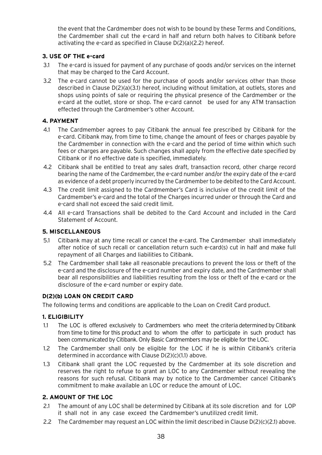the event that the Cardmember does not wish to be bound by these Terms and Conditions, the Cardmember shall cut the e-card in half and return both halves to Citibank before activating the e-card as specified in Clause D(2)(a)(2.2) hereof.

## **3. USE OF THE e-card**

- 3.1 The e-card is issued for payment of any purchase of goods and/or services on the internet that may be charged to the Card Account.
- 3.2 The e-card cannot be used for the purchase of goods and/or services other than those described in Clause D(2)(a)(3.1) hereof, including without limitation, at outlets, stores and shops using points of sale or requiring the physical presence of the Cardmember or the e-card at the outlet, store or shop. The e-card cannot be used for any ATM transaction effected through the Cardmember's other Account.

## **4. PAYMENT**

- 4.1 The Cardmember agrees to pay Citibank the annual fee prescribed by Citibank for the e-card. Citibank may, from time to time, change the amount of fees or charges payable by the Cardmember in connection with the e-card and the period of time within which such fees or charges are payable. Such changes shall apply from the effective date specified by Citibank or if no effective date is specified, immediately.
- 4.2 Citibank shall be entitled to treat any sales draft, transaction record, other charge record bearing the name of the Cardmember, the e-card number and/or the expiry date of the e-card as evidence of a debt properly incurred by the Cardmember to be debited to the Card Account.
- 4.3 The credit limit assigned to the Cardmember's Card is inclusive of the credit limit of the Cardmember's e-card and the total of the Charges incurred under or through the Card and e-card shall not exceed the said credit limit.
- 4.4 All e-card Transactions shall be debited to the Card Account and included in the Card Statement of Account.

## **5. MISCELLANEOUS**

- 5.1 Citibank may at any time recall or cancel the e-card. The Cardmember shall immediately after notice of such recall or cancellation return such e-card(s) cut in half and make full repayment of all Charges and liabilities to Citibank.
- 5.2 The Cardmember shall take all reasonable precautions to prevent the loss or theft of the e-card and the disclosure of the e-card number and expiry date, and the Cardmember shall bear all responsibilities and liabilities resulting from the loss or theft of the e-card or the disclosure of the e-card number or expiry date.

## **D(2)(b) LOAN ON CREDIT CARD**

The following terms and conditions are applicable to the Loan on Credit Card product.

## **1. ELIGIBILITY**

- 1.1 The LOC is offered exclusively to Cardmembers who meet the criteria determined by Citibank from time to time for this product and to whom the offer to participate in such product has been communicated by Citibank. Only Basic Cardmembers may be eligible for the LOC.
- 1.2 The Cardmember shall only be eligible for the LOC if he is within Citibank's criteria determined in accordance with Clause D(2)(c)(1.1) above.
- 1.3 Citibank shall grant the LOC requested by the Cardmember at its sole discretion and reserves the right to refuse to grant an LOC to any Cardmember without revealing the reasons for such refusal. Citibank may by notice to the Cardmember cancel Citibank's commitment to make available an LOC or reduce the amount of LOC.

## **2. AMOUNT OF THE LOC**

- 2.1 The amount of any LOC shall be determined by Citibank at its sole discretion and for LOP it shall not in any case exceed the Cardmember's unutilized credit limit.
- 2.2 The Cardmember may request an LOC within the limit described in Clause D(2)(c)(2.1) above.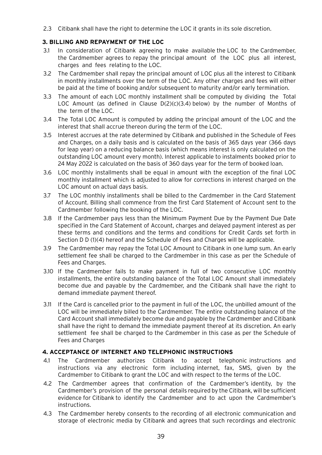2.3 Citibank shall have the right to determine the LOC it grants in its sole discretion.

## **3. BILLING AND REPAYMENT OF THE LOC**

- 3.1 In consideration of Citibank agreeing to make available the LOC to the Cardmember, the Cardmember agrees to repay the principal amount of the LOC plus all interest, charges and fees relating to the LOC.
- 3.2 The Cardmember shall repay the principal amount of LOC plus all the interest to Citibank in monthly installments over the term of the LOC. Any other charges and fees will either be paid at the time of booking and/or subsequent to maturity and/or early termination.
- 3.3 The amount of each LOC monthly installment shall be computed by dividing the Total LOC Amount (as defined in Clause D(2)(c)(3.4) below) by the number of Months of the term of the LOC.
- 3.4 The Total LOC Amount is computed by adding the principal amount of the LOC and the interest that shall accrue thereon during the term of the LOC.
- 3.5 Interest accrues at the rate determined by Citibank and published in the Schedule of Fees and Charges, on a daily basis and is calculated on the basis of 365 days year (366 days for leap year) on a reducing balance basis (which means interest is only calculated on the outstanding LOC amount every month). Interest applicable to instalments booked prior to 24 May 2022 is calculated on the basis of 360 days year for the term of booked loan.
- 3.6 LOC monthly installments shall be equal in amount with the exception of the final LOC monthly installment which is adjusted to allow for corrections in interest charged on the LOC amount on actual days basis.
- 3.7 The LOC monthly installments shall be billed to the Cardmember in the Card Statement of Account. Billing shall commence from the first Card Statement of Account sent to the Cardmember following the booking of the LOC.
- 3.8 If the Cardmember pays less than the Minimum Payment Due by the Payment Due Date specified in the Card Statement of Account, charges and delayed payment interest as per these terms and conditions and the terms and conditions for Credit Cards set forth in Section D D (1)(4) hereof and the Schedule of Fees and Charges will be applicable.
- 3.9 The Cardmember may repay the Total LOC Amount to Citibank in one lump sum. An early settlement fee shall be charged to the Cardmember in this case as per the Schedule of Fees and Charges.
- 3.10 If the Cardmember fails to make payment in full of two consecutive LOC monthly installments, the entire outstanding balance of the Total LOC Amount shall immediately become due and payable by the Cardmember, and the Citibank shall have the right to demand immediate payment thereof.
- 3.11 If the Card is cancelled prior to the payment in full of the LOC, the unbilled amount of the LOC will be immediately billed to the Cardmember. The entire outstanding balance of the Card Account shall immediately become due and payable by the Cardmember and Citibank shall have the right to demand the immediate payment thereof at its discretion. An early settlement fee shall be charged to the Cardmember in this case as per the Schedule of Fees and Charges

## **4. ACCEPTANCE OF INTERNET AND TELEPHONIC INSTRUCTIONS**

- 4.1 The Cardmember authorizes Citibank to accept telephonic instructions and instructions via any electronic form including internet, fax, SMS, given by the Cardmember to Citibank to grant the LOC and with respect to the terms of the LOC.
- 4.2 The Cardmember agrees that confirmation of the Cardmember's identity, by the Cardmember's provision of the personal details required by the Citibank, will be sufficient evidence for Citibank to identify the Cardmember and to act upon the Cardmember's instructions.
- 4.3 The Cardmember hereby consents to the recording of all electronic communication and storage of electronic media by Citibank and agrees that such recordings and electronic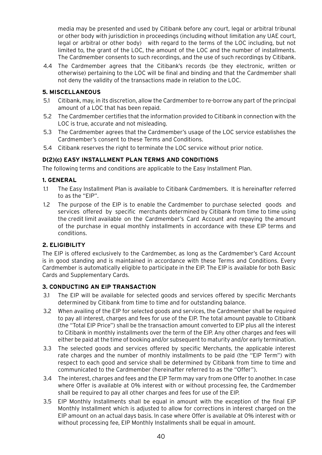media may be presented and used by Citibank before any court, legal or arbitral tribunal or other body with jurisdiction in proceedings (including without limitation any UAE court, legal or arbitral or other body) with regard to the terms of the LOC including, but not limited to, the grant of the LOC, the amount of the LOC and the number of installments. The Cardmember consents to such recordings, and the use of such recordings by Citibank.

4.4 The Cardmember agrees that the Citibank's records (be they electronic, written or otherwise) pertaining to the LOC will be final and binding and that the Cardmember shall not deny the validity of the transactions made in relation to the LOC.

## **5. MISCELLANEOUS**

- 5.1 Citibank, may, in its discretion, allow the Cardmember to re-borrow any part of the principal amount of a LOC that has been repaid.
- 5.2 The Cardmember certifies that the information provided to Citibank in connection with the LOC is true, accurate and not misleading.
- 5.3 The Cardmember agrees that the Cardmember's usage of the LOC service establishes the Cardmember's consent to these Terms and Conditions.
- 5.4 Citibank reserves the right to terminate the LOC service without prior notice.

### **D(2)(c) EASY INSTALLMENT PLAN TERMS AND CONDITIONS**

The following terms and conditions are applicable to the Easy Installment Plan.

### **1. GENERAL**

- 1.1 The Easy Installment Plan is available to Citibank Cardmembers. It is hereinafter referred to as the "EIP".
- 1.2 The purpose of the EIP is to enable the Cardmember to purchase selected goods and services offered by specific merchants determined by Citibank from time to time using the credit limit available on the Cardmember's Card Account and repaying the amount of the purchase in equal monthly installments in accordance with these EIP terms and conditions.

### **2. ELIGIBILITY**

The EIP is offered exclusively to the Cardmember, as long as the Cardmember's Card Account is in good standing and is maintained in accordance with these Terms and Conditions. Every Cardmember is automatically eligible to participate in the EIP. The EIP is available for both Basic Cards and Supplementary Cards.

### **3. CONDUCTING AN EIP TRANSACTION**

- 3.1 The EIP will be available for selected goods and services offered by specific Merchants determined by Citibank from time to time and for outstanding balance.
- 3.2 When availing of the EIP for selected goods and services, the Cardmember shall be required to pay all interest, charges and fees for use of the EIP. The total amount payable to Citibank (the "Total EIP Price") shall be the transaction amount converted to EIP plus all the interest to Citibank in monthly installments over the term of the EIP. Any other charges and fees will either be paid at the time of booking and/or subsequent to maturity and/or early termination.
- 3.3 The selected goods and services offered by specific Merchants, the applicable interest rate charges and the number of monthly installments to be paid (the "EIP Term") with respect to each good and service shall be determined by Citibank from time to time and communicated to the Cardmember (hereinafter referred to as the "Offer").
- 3.4 The interest, charges and fees and the EIP Term may vary from one Offer to another. In case where Offer is available at 0% interest with or without processing fee, the Cardmember shall be required to pay all other charges and fees for use of the EIP.
- 3.5 EIP Monthly Installments shall be equal in amount with the exception of the final EIP Monthly Installment which is adjusted to allow for corrections in interest charged on the EIP amount on an actual days basis. In case where Offer is available at 0% interest with or without processing fee, EIP Monthly Installments shall be equal in amount.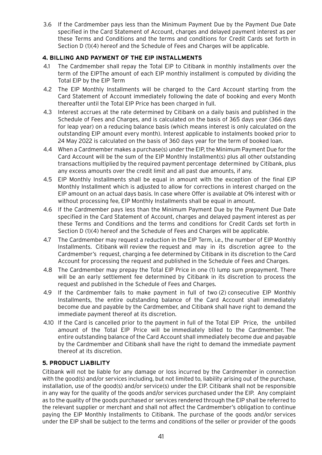3.6 If the Cardmember pays less than the Minimum Payment Due by the Payment Due Date specified in the Card Statement of Account, charges and delayed payment interest as per these Terms and Conditions and the terms and conditions for Credit Cards set forth in Section D (1)(4) hereof and the Schedule of Fees and Charges will be applicable.

## **4. BILLING AND PAYMENT OF THE EIP INSTALLMENTS**

- 4.1 The Cardmember shall repay the Total EIP to Citibank in monthly installments over the term of the EIPThe amount of each EIP monthly installment is computed by dividing the Total EIP by the EIP Term
- 4.2 The EIP Monthly Installments will be charged to the Card Account starting from the Card Statement of Account immediately following the date of booking and every Month thereafter until the Total EIP Price has been charged in full.
- 4.3 Interest accrues at the rate determined by Citibank on a daily basis and published in the Schedule of Fees and Charges, and is calculated on the basis of 365 days year (366 days for leap year) on a reducing balance basis (which means interest is only calculated on the outstanding EIP amount every month). Interest applicable to instalments booked prior to 24 May 2022 is calculated on the basis of 360 days year for the term of booked loan.
- 4.4 When a Cardmember makes a purchase(s) under the EIP, the Minimum Payment Due for the Card Account will be the sum of the EIP Monthly Installment(s) plus all other outstanding transactions multiplied by the required payment percentage determined by Citibank, plus any excess amounts over the credit limit and all past due amounts, if any.
- 4.5 EIP Monthly Installments shall be equal in amount with the exception of the final EIP Monthly Installment which is adjusted to allow for corrections in interest charged on the EIP amount on an actual days basis. In case where Offer is available at 0% interest with or without processing fee, EIP Monthly Installments shall be equal in amount.
- 4.6 If the Cardmember pays less than the Minimum Payment Due by the Payment Due Date specified in the Card Statement of Account, charges and delayed payment interest as per these Terms and Conditions and the terms and conditions for Credit Cards set forth in Section D (1)(4) hereof and the Schedule of Fees and Charges will be applicable.
- 4.7 The Cardmember may request a reduction in the EIP Term, i.e., the number of EIP Monthly Installments. Citibank will review the request and may in its discretion agree to the Cardmember's request, charging a fee determined by Citibank in its discretion to the Card Account for processing the request and published in the Schedule of Fees and Charges.
- 4.8 The Cardmember may prepay the Total EIP Price in one (1) lump sum prepayment. There will be an early settlement fee determined by Citibank in its discretion to process the request and published in the Schedule of Fees and Charges.
- 4.9 If the Cardmember fails to make payment in full of two (2) consecutive EIP Monthly Installments, the entire outstanding balance of the Card Account shall immediately become due and payable by the Cardmember, and Citibank shall have right to demand the immediate payment thereof at its discretion.
- 4.10 If the Card is cancelled prior to the payment in full of the Total EIP Price, the unbilled amount of the Total EIP Price will be immediately billed to the Cardmember. The entire outstanding balance of the Card Account shall immediately become due and payable by the Cardmember and Citibank shall have the right to demand the immediate payment thereof at its discretion.

# **5. PRODUCT LIABILITY**

Citibank will not be liable for any damage or loss incurred by the Cardmember in connection with the good(s) and/or services including, but not limited to, liability arising out of the purchase, installation, use of the good(s) and/or service(s) under the EIP. Citibank shall not be responsible in any way for the quality of the goods and/or services purchased under the EIP. Any complaint as to the quality of the goods purchased or services rendered through the EIP shall be referred to the relevant supplier or merchant and shall not affect the Cardmember's obligation to continue paying the EIP Monthly Installments to Citibank. The purchase of the goods and/or services under the EIP shall be subject to the terms and conditions of the seller or provider of the goods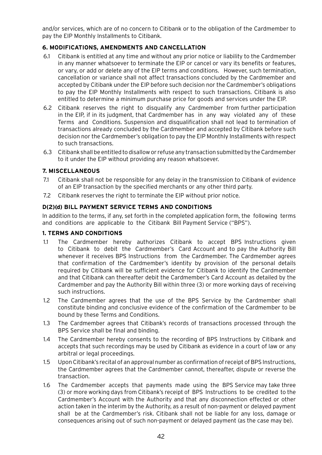and/or services, which are of no concern to Citibank or to the obligation of the Cardmember to pay the EIP Monthly Installments to Citibank.

# **6. MODIFICATIONS, AMENDMENTS AND CANCELLATION**

- 6.1 Citibank is entitled at any time and without any prior notice or liability to the Cardmember in any manner whatsoever to terminate the EIP or cancel or vary its benefits or features, or vary, or add or delete any of the EIP terms and conditions. However, such termination, cancellation or variance shall not affect transactions concluded by the Cardmember and accepted by Citibank under the EIP before such decision nor the Cardmember's obligations to pay the EIP Monthly Installments with respect to such transactions. Citibank is also entitled to determine a minimum purchase price for goods and services under the EIP.
- 6.2 Citibank reserves the right to disqualify any Cardmember from further participation in the EIP, if in its judgment, that Cardmember has in any way violated any of these Terms and Conditions. Suspension and disqualification shall not lead to termination of transactions already concluded by the Cardmember and accepted by Citibank before such decision nor the Cardmember's obligation to pay the EIP Monthly Installments with respect to such transactions.
- 6.3 Citibank shall be entitled to disallow or refuse any transaction submitted by the Cardmember to it under the EIP without providing any reason whatsoever.

### **7. MISCELLANEOUS**

- 7.1 Citibank shall not be responsible for any delay in the transmission to Citibank of evidence of an EIP transaction by the specified merchants or any other third party.
- 7.2 Citibank reserves the right to terminate the EIP without prior notice.

### **D(2)(d) BILL PAYMENT SERVICE TERMS AND CONDITIONS**

In addition to the terms, if any, set forth in the completed application form, the following terms and conditions are applicable to the Citibank Bill Payment Service ("BPS").

### **1. TERMS AND CONDITIONS**

- 1.1 The Cardmember hereby authorizes Citibank to accept BPS Instructions given to Citibank to debit the Cardmember's Card Account and to pay the Authority Bill whenever it receives BPS Instructions from the Cardmember. The Cardmember agrees that confirmation of the Cardmember's identity by provision of the personal details required by Citibank will be sufficient evidence for Citibank to identify the Cardmember and that Citibank can thereafter debit the Cardmember's Card Account as detailed by the Cardmember and pay the Authority Bill within three (3) or more working days of receiving such instructions.
- 1.2 The Cardmember agrees that the use of the BPS Service by the Cardmember shall constitute binding and conclusive evidence of the confirmation of the Cardmember to be bound by these Terms and Conditions.
- 1.3 The Cardmember agrees that Citibank's records of transactions processed through the BPS Service shall be final and binding.
- 1.4 The Cardmember hereby consents to the recording of BPS Instructions by Citibank and accepts that such recordings may be used by Citibank as evidence in a court of law or any arbitral or legal proceedings.
- 1.5 Upon Citibank's recital of an approval number as confirmation of receipt of BPS Instructions, the Cardmember agrees that the Cardmember cannot, thereafter, dispute or reverse the transaction.
- 1.6 The Cardmember accepts that payments made using the BPS Service may take three (3) or more working days from Citibank's receipt of BPS Instructions to be credited to the Cardmember's Account with the Authority and that any disconnection effected or other action taken in the interim by the Authority, as a result of non-payment or delayed payment shall be at the Cardmember's risk. Citibank shall not be liable for any loss, damage or consequences arising out of such non-payment or delayed payment (as the case may be).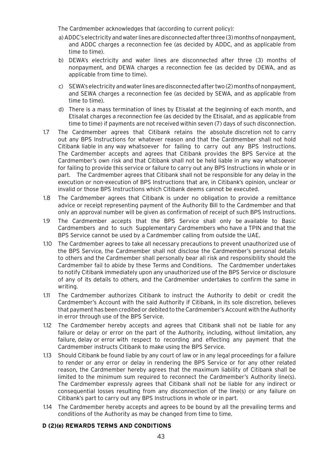The Cardmember acknowledges that (according to current policy):

- a) ADDC's electricity and water lines are disconnected after three (3) months of nonpayment, and ADDC charges a reconnection fee (as decided by ADDC, and as applicable from time to time).
- b) DEWA's electricity and water lines are disconnected after three (3) months of nonpayment, and DEWA charges a reconnection fee (as decided by DEWA, and as applicable from time to time).
- c) SEWA's electricity and water lines are disconnected after two (2) months of nonpayment, and SEWA charges a reconnection fee (as decided by SEWA, and as applicable from time to time).
- d) There is a mass termination of lines by Etisalat at the beginning of each month, and Etisalat charges a reconnection fee (as decided by the Etisalat, and as applicable from time to time) if payments are not received within seven (7) days of such disconnection.
- 1.7 The Cardmember agrees that Citibank retains the absolute discretion not to carry out any BPS Instructions for whatever reason and that the Cardmember shall not hold Citibank liable in any way whatsoever for failing to carry out any BPS Instructions. The Cardmember accepts and agrees that Citibank provides the BPS Service at the Cardmember's own risk and that Citibank shall not be held liable in any way whatsoever for failing to provide this service or failure to carry out any BPS Instructions in whole or in part. The Cardmember agrees that Citibank shall not be responsible for any delay in the execution or non-execution of BPS Instructions that are, in Citibank's opinion, unclear or invalid or those BPS Instructions which Citibank deems cannot be executed.
- 1.8 The Cardmember agrees that Citibank is under no obligation to provide a remittance advice or receipt representing payment of the Authority Bill to the Cardmember and that only an approval number will be given as confirmation of receipt of such BPS Instructions.
- 1.9 The Cardmember accepts that the BPS Service shall only be available to Basic Cardmembers and to such Supplementary Cardmembers who have a TPIN and that the BPS Service cannot be used by a Cardmember calling from outside the UAE.
- 1.10 The Cardmember agrees to take all necessary precautions to prevent unauthorized use of the BPS Service, the Cardmember shall not disclose the Cardmember's personal details to others and the Cardmember shall personally bear all risk and responsibility should the Cardmember fail to abide by these Terms and Conditions. The Cardmember undertakes to notify Citibank immediately upon any unauthorized use of the BPS Service or disclosure of any of its details to others, and the Cardmember undertakes to confirm the same in writing.
- 1.11 The Cardmember authorizes Citibank to instruct the Authority to debit or credit the Cardmember's Account with the said Authority if Citibank, in its sole discretion, believes that payment has been credited or debited to the Cardmember's Account with the Authority in error through use of the BPS Service.
- 1.12 The Cardmember hereby accepts and agrees that Citibank shall not be liable for any failure or delay or error on the part of the Authority, including, without limitation, any failure, delay or error with respect to recording and effecting any payment that the Cardmember instructs Citibank to make using the BPS Service.
- 1.13 Should Citibank be found liable by any court of law or in any legal proceedings for a failure to render or any error or delay in rendering the BPS Service or for any other related reason, the Cardmember hereby agrees that the maximum liability of Citibank shall be limited to the minimum sum required to reconnect the Cardmember's Authority line(s). The Cardmember expressly agrees that Citibank shall not be liable for any indirect or consequential losses resulting from any disconnection of the line(s) or any failure on Citibank's part to carry out any BPS Instructions in whole or in part.
- 1.14 The Cardmember hereby accepts and agrees to be bound by all the prevailing terms and conditions of the Authority as may be changed from time to time.

## **D (2)(e) REWARDS TERMS AND CONDITIONS**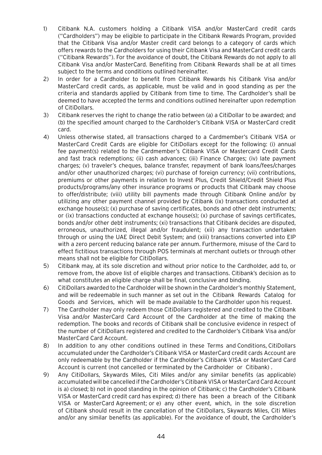- 1) Citibank N.A. customers holding a Citibank VISA and/or MasterCard credit cards ("Cardholders") may be eligible to participate in the Citibank Rewards Program, provided that the Citibank Visa and/or Master credit card belongs to a category of cards which offers rewards to the Cardholders for using their Citibank Visa and MasterCard credit cards ("Citibank Rewards"). For the avoidance of doubt, the Citibank Rewards do not apply to all Citibank Visa and/or MasterCard. Benefiting from Citibank Rewards shall be at all times subject to the terms and conditions outlined hereinafter.
- 2) In order for a Cardholder to benefit from Citibank Rewards his Citibank Visa and/or MasterCard credit cards, as applicable, must be valid and in good standing as per the criteria and standards applied by Citibank from time to time. The Cardholder's shall be deemed to have accepted the terms and conditions outlined hereinafter upon redemption of CitiDollars.
- 3) Citibank reserves the right to change the ratio between (a) a CitiDollar to be awarded; and (b) the specified amount charged to the Cardholder's Citibank VISA or MasterCard credit card.
- 4) Unless otherwise stated, all transactions charged to a Cardmember's Citibank VISA or MasterCard Credit Cards are eligible for CitiDollars except for the following: (i) annual fee payment(s) related to the Cardmember's Citibank VISA or Mastercard Credit Cards and fast track redemptions; (ii) cash advances; (iii) Finance Charges; (iv) late payment charges; (v) traveler's cheques, balance transfer, repayment of bank loans/fees/charges and/or other unauthorized charges; (vi) purchase of foreign currency; (vii) contributions, premiums or other payments in relation to Invest Plus, Credit Shield/Credit Shield Plus products/programs/any other insurance programs or products that Citibank may choose to offer/distribute; (viii) utility bill payments made through Citibank Online and/or by utilizing any other payment channel provided by Citibank (ix) transactions conducted at exchange house(s); (x) purchase of saving certificates, bonds and other debt instruments; or (ix) transactions conducted at exchange house(s); (x) purchase of savings certificates, bonds and/or other debt instruments; (xi) transactions that Citibank decides are disputed, erroneous, unauthorized, illegal and/or fraudulent; (xii) any transaction undertaken through or using the UAE Direct Debit System; and (xiii) transactions converted into EIP with a zero percent reducing balance rate per annum. Furthermore, misuse of the Card to effect fictitious transactions through POS terminals at merchant outlets or through other means shall not be eligible for CitiDollars.
- 5) Citibank may, at its sole discretion and without prior notice to the Cardholder, add to, or remove from, the above list of eligible charges and transactions. Citibank's decision as to what constitutes an eligible charge shall be final, conclusive and binding.
- 6) CitiDollars awarded to the Cardholder will be shown in the Cardholder's monthly Statement, and will be redeemable in such manner as set out in the Citibank Rewards Catalog for Goods and Services, which will be made available to the Cardholder upon his request.
- 7) The Cardholder may only redeem those CitiDollars registered and credited to the Citibank Visa and/or MasterCard Card Account of the Cardholder at the time of making the redemption. The books and records of Citibank shall be conclusive evidence in respect of the number of CitiDollars registered and credited to the Cardholder's Citibank Visa and/or MasterCard Card Account.
- 8) In addition to any other conditions outlined in these Terms and Conditions, CitiDollars accumulated under the Cardholder's Citibank VISA or MasterCard credit cards Account are only redeemable by the Cardholder if the Cardholder's Citibank VISA or MasterCard Card Account is current (not cancelled or terminated by the Cardholder or Citibank) .
- 9) Any CitiDollars, Skywards Miles, Citi Miles and/or any similar benefits (as applicable) accumulated will be cancelled if the Cardholder's Citibank VISA or MasterCard Card Account is a) closed; b) not in good standing in the opinion of Citibank; c) the Cardholder's Citibank VISA or MasterCard credit card has expired; d) there has been a breach of the Citibank VISA or MasterCard Agreement; or e) any other event, which, in the sole discretion of Citibank should result in the cancellation of the CitiDollars, Skywards Miles, Citi Miles and/or any similar benefits (as applicable). For the avoidance of doubt, the Cardholder's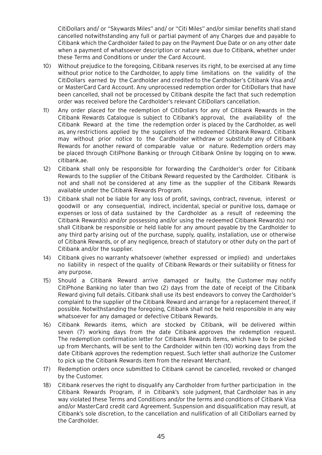CitiDollars and/ or "Skywards Miles" and/ or "Citi Miles" and/or similar benefits shall stand cancelled notwithstanding any full or partial payment of any Charges due and payable to Citibank which the Cardholder failed to pay on the Payment Due Date or on any other date when a payment of whatsoever description or nature was due to Citibank, whether under these Terms and Conditions or under the Card Account.

- 10) Without prejudice to the foregoing, Citibank reserves its right, to be exercised at any time without prior notice to the Cardholder, to apply time limitations on the validity of the CitiDollars earned by the Cardholder and credited to the Cardholder's Citibank Visa and/ or MasterCard Card Account. Any unprocessed redemption order for CitiDollars that have been cancelled, shall not be processed by Citibank despite the fact that such redemption order was received before the Cardholder's relevant CitiDollars cancellation.
- 11) Any order placed for the redemption of CitiDollars for any of Citibank Rewards in the Citibank Rewards Catalogue is subject to Citibank's approval, the availability of the Citibank Reward at the time the redemption order is placed by the Cardholder, as well as, any restrictions applied by the suppliers of the redeemed Citibank Reward. Citibank may without prior notice to the Cardholder withdraw or substitute any of Citibank Rewards for another reward of comparable value or nature. Redemption orders may be placed through CitiPhone Banking or through Citibank Online by logging on to www. citibank.ae.
- 12) Citibank shall only be responsible for forwarding the Cardholder's order for Citibank Rewards to the supplier of the Citibank Reward requested by the Cardholder. Citibank is not and shall not be considered at any time as the supplier of the Citibank Rewards available under the Citibank Rewards Program.
- 13) Citibank shall not be liable for any loss of profit, savings, contract, revenue, interest or goodwill or any consequential, indirect, incidental, special or punitive loss, damage or expenses or loss of data sustained by the Cardholder as a result of redeeming the Citibank Reward(s) and/or possessing and/or using the redeemed Citibank Reward(s) nor shall Citibank be responsible or held liable for any amount payable by the Cardholder to any third party arising out of the purchase, supply, quality, installation, use or otherwise of Citibank Rewards, or of any negligence, breach of statutory or other duty on the part of Citibank and/or the supplier.
- 14) Citibank gives no warranty whatsoever (whether expressed or implied) and undertakes no liability in respect of the quality of Citibank Rewards or their suitability or fitness for any purpose.
- 15) Should a Citibank Reward arrive damaged or faulty, the Customer may notify CitiPhone Banking no later than two (2) days from the date of receipt of the Citibank Reward giving full details. Citibank shall use its best endeavors to convey the Cardholder's complaint to the supplier of the Citibank Reward and arrange for a replacement thereof, if possible. Notwithstanding the foregoing, Citibank shall not be held responsible in any way whatsoever for any damaged or defective Citibank Rewards.
- 16) Citibank Rewards items, which are stocked by Citibank, will be delivered within seven (7) working days from the date Citibank approves the redemption request. The redemption confirmation letter for Citibank Rewards items, which have to be picked up from Merchants, will be sent to the Cardholder within ten (10) working days from the date Citibank approves the redemption request. Such letter shall authorize the Customer to pick up the Citibank Rewards item from the relevant Merchant.
- 17) Redemption orders once submitted to Citibank cannot be cancelled, revoked or changed by the Customer.
- 18) Citibank reserves the right to disqualify any Cardholder from further participation in the Citibank Rewards Program, if in Citibank's sole judgment, that Cardholder has in any way violated these Terms and Conditions and/or the terms and conditions of Citibank Visa and/or MasterCard credit card Agreement. Suspension and disqualification may result, at Citibank's sole discretion, to the cancellation and nullification of all CitiDollars earned by the Cardholder.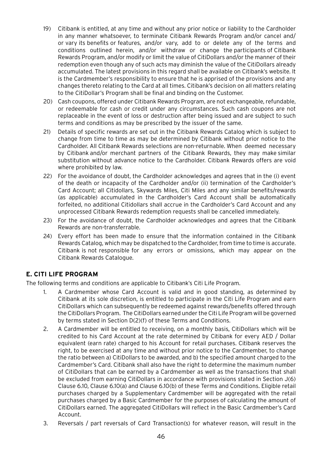- 19) Citibank is entitled, at any time and without any prior notice or liability to the Cardholder in any manner whatsoever, to terminate Citibank Rewards Program and/or cancel and/ or vary its benefits or features, and/or vary, add to or delete any of the terms and conditions outlined herein, and/or withdraw or change the participants of Citibank Rewards Program, and/or modify or limit the value of CitiDollars and/or the manner of their redemption even though any of such acts may diminish the value of the CitiDollars already accumulated. The latest provisions in this regard shall be available on Citibank's website. It is the Cardmember's responsibility to ensure that he is apprised of the provisions and any changes thereto relating to the Card at all times. Citibank's decision on all matters relating to the CitiDollar's Program shall be final and binding on the Customer.
- 20) Cash coupons, offered under Citibank Rewards Program, are not exchangeable, refundable, or redeemable for cash or credit under any circumstances. Such cash coupons are not replaceable in the event of loss or destruction after being issued and are subject to such terms and conditions as may be prescribed by the issuer of the same.
- 21) Details of specific rewards are set out in the Citibank Rewards Catalog which is subject to change from time to time as may be determined by Citibank without prior notice to the Cardholder. All Citibank Rewards selections are non-returnable. When deemed necessary by Citibank and/or merchant partners of the Citibank Rewards, they may make similar substitution without advance notice to the Cardholder. Citibank Rewards offers are void where prohibited by law.
- 22) For the avoidance of doubt, the Cardholder acknowledges and agrees that in the (i) event of the death or incapacity of the Cardholder and/or (ii) termination of the Cardholder's Card Account; all Citidollars, Skywards Miles, Citi Miles and any similar benefits/rewards (as applicable) accumulated in the Cardholder's Card Account shall be automatically forfeited, no additional Citidollars shall accrue in the Cardholder's Card Account and any unprocessed Citibank Rewards redemption requests shall be cancelled immediately.
- 23) For the avoidance of doubt, the Cardholder acknowledges and agrees that the Citibank Rewards are non-transferrable.
- 24) Every effort has been made to ensure that the information contained in the Citibank Rewards Catalog, which may be dispatched to the Cardholder, from time to time is accurate. Citibank is not responsible for any errors or omissions, which may appear on the Citibank Rewards Catalogue.

# **E. CITI LIFE PROGRAM**

The following terms and conditions are applicable to Citibank's Citi Life Program.

- 1. A Cardmember whose Card Account is valid and in good standing, as determined by Citibank at its sole discretion, is entitled to participate in the Citi Life Program and earn CitiDollars which can subsequently be redeemed against rewards/benefits offered through the CitiDollars Program. The CitiDollars earned under the Citi Life Program will be governed by terms stated in Section D(2)(f) of these Terms and Conditions.
- 2. A Cardmember will be entitled to receiving, on a monthly basis, CitiDollars which will be credited to his Card Account at the rate determined by Citibank for every AED / Dollar equivalent (earn rate) charged to his Account for retail purchases. Citibank reserves the right, to be exercised at any time and without prior notice to the Cardmember, to change the ratio between a) CitiDollars to be awarded, and b) the specified amount charged to the Cardmember's Card. Citibank shall also have the right to determine the maximum number of CitiDollars that can be earned by a Cardmember as well as the transactions that shall be excluded from earning CitiDollars in accordance with provisions stated in Section J(6) Clause 6.10, Clause 6.10(a) and Clause 6.10(b) of these Terms and Conditions. Eligible retail purchases charged by a Supplementary Cardmember will be aggregated with the retail purchases charged by a Basic Cardmember for the purposes of calculating the amount of CitiDollars earned. The aggregated CitiDollars will reflect in the Basic Cardmember's Card Account.
- 3. Reversals / part reversals of Card Transaction(s) for whatever reason, will result in the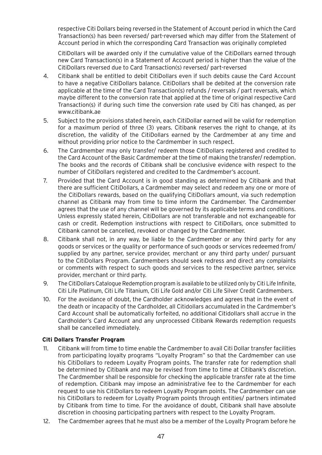respective Citi Dollars being reversed in the Statement of Account period in which the Card Transaction(s) has been reversed/ part-reversed which may differ from the Statement of Account period in which the corresponding Card Transaction was originally completed

CitiDollars will be awarded only if the cumulative value of the CitiDollars earned through new Card Transaction(s) in a Statement of Account period is higher than the value of the CitiDollars reversed due to Card Transaction(s) reversed/ part-reversed

- 4. Citibank shall be entitled to debit CitiDollars even if such debits cause the Card Account to have a negative CitiDollars balance. CitiDollars shall be debited at the conversion rate applicable at the time of the Card Transaction(s) refunds / reversals / part reversals, which maybe different to the conversion rate that applied at the time of original respective Card Transaction(s) if during such time the conversion rate used by Citi has changed, as per www.citibank.ae
- 5. Subject to the provisions stated herein, each CitiDollar earned will be valid for redemption for a maximum period of three (3) years. Citibank reserves the right to change, at its discretion, the validity of the CitiDollars earned by the Cardmember at any time and without providing prior notice to the Cardmember in such respect.
- 6. The Cardmember may only transfer/ redeem those CitiDollars registered and credited to the Card Account of the Basic Cardmember at the time of making the transfer/ redemption. The books and the records of Citibank shall be conclusive evidence with respect to the number of CitiDollars registered and credited to the Cardmember's account.
- 7. Provided that the Card Account is in good standing as determined by Citibank and that there are sufficient CitiDollars, a Cardmember may select and redeem any one or more of the CitiDollars rewards, based on the qualifying CitiDollars amount, via such redemption channel as Citibank may from time to time inform the Cardmember. The Cardmember agrees that the use of any channel will be governed by its applicable terms and conditions. Unless expressly stated herein, CitiDollars are not transferable and not exchangeable for cash or credit. Redemption instructions with respect to CitiDollars, once submitted to Citibank cannot be cancelled, revoked or changed by the Cardmember.
- 8. Citibank shall not, in any way, be liable to the Cardmember or any third party for any goods or services or the quality or performance of such goods or services redeemed from/ supplied by any partner, service provider, merchant or any third party under/ pursuant to the CitiDollars Program. Cardmembers should seek redress and direct any complaints or comments with respect to such goods and services to the respective partner, service provider, merchant or third party.
- 9. The CitiDollars Catalogue Redemption program is available to be utilized only by Citi Life Infinite, Citi Life Platinum, Citi Life Titanium, Citi Life Gold and/or Citi Life Silver Credit Cardmembers.
- 10. For the avoidance of doubt, the Cardholder acknowledges and agrees that in the event of the death or incapacity of the Cardholder, all Citidollars accumulated in the Cardmember's Card Account shall be automatically forfeited, no additional Citidollars shall accrue in the Cardholder's Card Account and any unprocessed Citibank Rewards redemption requests shall be cancelled immediately.

## **Citi Dollars Transfer Program**

- 11. Citibank will from time to time enable the Cardmember to avail Citi Dollar transfer facilities from participating loyalty programs "Loyalty Program" so that the Cardmember can use his CitiDollars to redeem Loyalty Program points. The transfer rate for redemption shall be determined by Citibank and may be revised from time to time at Citibank's discretion. The Cardmember shall be responsible for checking the applicable transfer rate at the time of redemption. Citibank may impose an administrative fee to the Cardmember for each request to use his CitiDollars to redeem Loyalty Program points. The Cardmember can use his CitiDollars to redeem for Loyalty Program points through entities/ partners intimated by Citibank from time to time. For the avoidance of doubt, Citibank shall have absolute discretion in choosing participating partners with respect to the Loyalty Program.
- 12. The Cardmember agrees that he must also be a member of the Loyalty Program before he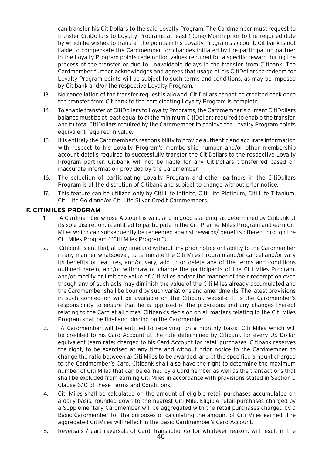can transfer his CitiDollars to the said Loyalty Program. The Cardmember must request to transfer CitiDollars to Loyalty Programs at least 1 (one) Month prior to the required date by which he wishes to transfer the points in his Loyalty Program's account. Citibank is not liable to compensate the Cardmember for changes initiated by the participating partner in the Loyalty Program points redemption values required for a specific reward during the process of the transfer or due to unavoidable delays in the transfer from Citibank. The Cardmember further acknowledges and agrees that usage of his CitiDollars to redeem for Loyalty Program points will be subject to such terms and conditions, as may be imposed by Citibank and/or the respective Loyalty Program.

- 13. No cancellation of the transfer request is allowed. CitiDollars cannot be credited back once the transfer from Citibank to the participating Loyalty Program is complete.
- 14. To enable transfer of CitiDollars to Loyalty Programs, the Cardmember's current CitiDollars balance must be at least equal to a) the minimum CitiDollars required to enable the transfer, and b) total CitiDollars required by the Cardmember to achieve the Loyalty Program points equivalent required in value.
- 15. It is entirely the Cardmember's responsibility to provide authentic and accurate information with respect to his Loyalty Program's membership number and/or other membership account details required to successfully transfer the CitiDollars to the respective Loyalty Program partner. Citibank will not be liable for any CitiDollars transferred based on inaccurate information provided by the Cardmember.
- 16. The selection of participating Loyalty Program and other partners in the CitiDollars Program is at the discretion of Citibank and subject to change without prior notice.
- 17. This feature can be utilized only by Citi Life Infinite, Citi Life Platinum, Citi Life Titanium, Citi Life Gold and/or Citi Life Silver Credit Cardmembers.

## **F. CITIMILES PROGRAM**

- 1. A Cardmember whose Account is valid and in good standing, as determined by Citibank at its sole discretion, is entitled to participate in the Citi PremierMiles Program and earn Citi Miles which can subsequently be redeemed against rewards/ benefits offered through the Citi Miles Program ("Citi Miles Program").
- 2. Citibank is entitled, at any time and without any prior notice or liability to the Cardmember in any manner whatsoever, to terminate the Citi Miles Program and/or cancel and/or vary its benefits or features, and/or vary, add to or delete any of the terms and conditions outlined herein, and/or withdraw or change the participants of the Citi Miles Program, and/or modify or limit the value of Citi Miles and/or the manner of their redemption even though any of such acts may diminish the value of the Citi Miles already accumulated and the Cardmember shall be bound by such variations and amendments. The latest provisions in such connection will be available on the Citibank website. It is the Cardmember's responsibility to ensure that he is apprised of the provisions and any changes thereof relating to the Card at all times. Citibank's decision on all matters relating to the Citi Miles Program shall be final and binding on the Cardmember.
- 3. A Cardmember will be entitled to receiving, on a monthly basis, Citi Miles which will be credited to his Card Account at the rate determined by Citibank for every US Dollar equivalent (earn rate) charged to his Card Account for retail purchases. Citibank reserves the right, to be exercised at any time and without prior notice to the Cardmember, to change the ratio between a) Citi Miles to be awarded, and b) the specified amount charged to the Cardmember's Card. Citibank shall also have the right to determine the maximum number of Citi Miles that can be earned by a Cardmember as well as the transactions that shall be excluded from earning Citi Miles in accordance with provisions stated in Section J Clause 6.10 of these Terms and Conditions.
- 4. Citi Miles shall be calculated on the amount of eligible retail purchases accumulated on a daily basis, rounded down to the nearest Citi Mile. Eligible retail purchases charged by a Supplementary Cardmember will be aggregated with the retail purchases charged by a Basic Cardmember for the purposes of calculating the amount of Citi Miles earned. The aggregated CitiMiles will reflect in the Basic Cardmember's Card Account.
- 5. Reversals / part reversals of Card Transaction(s) for whatever reason, will result in the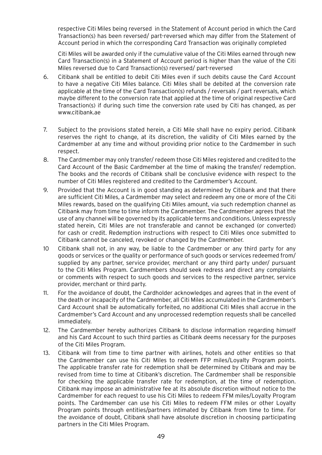respective Citi Miles being reversed in the Statement of Account period in which the Card Transaction(s) has been reversed/ part-reversed which may differ from the Statement of Account period in which the corresponding Card Transaction was originally completed

Citi Miles will be awarded only if the cumulative value of the Citi Miles earned through new Card Transaction(s) in a Statement of Account period is higher than the value of the Citi Miles reversed due to Card Transaction(s) reversed/ part-reversed

- 6. Citibank shall be entitled to debit Citi Miles even if such debits cause the Card Account to have a negative Citi Miles balance. Citi Miles shall be debited at the conversion rate applicable at the time of the Card Transaction(s) refunds / reversals / part reversals, which maybe different to the conversion rate that applied at the time of original respective Card Transaction(s) if during such time the conversion rate used by Citi has changed, as per www.citibank.ae
- 7. Subject to the provisions stated herein, a Citi Mile shall have no expiry period. Citibank reserves the right to change, at its discretion, the validity of Citi Miles earned by the Cardmember at any time and without providing prior notice to the Cardmember in such respect.
- 8. The Cardmember may only transfer/ redeem those Citi Miles registered and credited to the Card Account of the Basic Cardmember at the time of making the transfer/ redemption. The books and the records of Citibank shall be conclusive evidence with respect to the number of Citi Miles registered and credited to the Cardmember's Account.
- 9. Provided that the Account is in good standing as determined by Citibank and that there are sufficient Citi Miles, a Cardmember may select and redeem any one or more of the Citi Miles rewards, based on the qualifying Citi Miles amount, via such redemption channel as Citibank may from time to time inform the Cardmember. The Cardmember agrees that the use of any channel will be governed by its applicable terms and conditions. Unless expressly stated herein, Citi Miles are not transferable and cannot be exchanged (or converted) for cash or credit. Redemption instructions with respect to Citi Miles once submitted to Citibank cannot be canceled, revoked or changed by the Cardmember.
- 10 Citibank shall not, in any way, be liable to the Cardmember or any third party for any goods or services or the quality or performance of such goods or services redeemed from/ supplied by any partner, service provider, merchant or any third party under/ pursuant to the Citi Miles Program. Cardmembers should seek redress and direct any complaints or comments with respect to such goods and services to the respective partner, service provider, merchant or third party.
- 11. For the avoidance of doubt, the Cardholder acknowledges and agrees that in the event of the death or incapacity of the Cardmember, all Citi Miles accumulated in the Cardmember's Card Account shall be automatically forfeited, no additional Citi Miles shall accrue in the Cardmember's Card Account and any unprocessed redemption requests shall be cancelled immediately.
- 12. The Cardmember hereby authorizes Citibank to disclose information regarding himself and his Card Account to such third parties as Citibank deems necessary for the purposes of the Citi Miles Program.
- 13. Citibank will from time to time partner with airlines, hotels and other entities so that the Cardmember can use his Citi Miles to redeem FFP miles/Loyalty Program points. The applicable transfer rate for redemption shall be determined by Citibank and may be revised from time to time at Citibank's discretion. The Cardmember shall be responsible for checking the applicable transfer rate for redemption, at the time of redemption. Citibank may impose an administrative fee at its absolute discretion without notice to the Cardmember for each request to use his Citi Miles to redeem FFM miles/Loyalty Program points. The Cardmember can use his Citi Miles to redeem FFM miles or other Loyalty Program points through entities/partners intimated by Citibank from time to time. For the avoidance of doubt, Citibank shall have absolute discretion in choosing participating partners in the Citi Miles Program.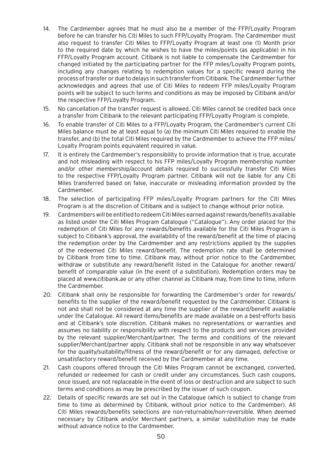- 14. The Cardmember agrees that he must also be a member of the FFP/Loyalty Program before he can transfer his Citi Miles to such FFP/Loyalty Program. The Cardmember must also request to transfer Citi Miles to FFP/Loyalty Program at least one (1) Month prior to the required date by which he wishes to have the miles/points (as applicable) in his FFP/Loyalty Program account. Citibank is not liable to compensate the Cardmember for changed initiated by the participating partner for the FFP miles/Loyalty Program points, including any changes relating to redemption values for a specific reward during the process of transfer or due to delays in such transfer from Citibank. The Cardmember further acknowledges and agrees that use of Citi Miles to redeem FFP miles/Loyalty Program points will be subject to such terms and conditions as may be imposed by Citibank and/or the respective FFP/Loyalty Program.
- 15. No cancellation of the transfer request is allowed. Citi Miles cannot be credited back once a transfer from Citibank to the relevant participating FFP/Loyalty Program is complete.
- 16. To enable transfer of Citi Miles to a FFP/Loyalty Program, the Cardmember's current Citi Miles balance must be at least equal to (a) the minimum Citi Miles required to enable the transfer, and (b) the total Citi Miles required by the Cardmember to achieve the FFP miles/ Loyalty Program points equivalent required in value.
- 17. It is entirely the Cardmember's responsibility to provide information that is true, accurate and not misleading with respect to his FFP miles/Loyalty Program membership number and/or other membership/account details required to successfully transfer Citi Miles to the respective FFP/Loyalty Program partner. Citibank will not be liable for any Citi Miles transferred based on false, inaccurate or misleading information provided by the Cardmember.
- 18. The selection of participating FFP miles/Loyalty Program partners for the Citi Miles Program is at the discretion of Citibank and is subject to change without prior notice.
- 19. Cardmembers will be entitled to redeem Citi Miles earned against rewards/benefits available as listed under the Citi Miles Program Catalogue ("Catalogue"). Any order placed for the redemption of Citi Miles for any rewards/benefits available for the Citi Miles Program is subject to Citibank's approval, the availability of the reward/benefit at the time of placing the redemption order by the Cardmember and any restrictions applied by the supplies of the redeemed Citi Miles reward/benefit. The redemption rate shall be determined by Citibank from time to time. Citibank may, without prior notice to the Cardmember, withdraw or substitute any reward/benefit listed in the Catalogue for another reward/ benefit of comparable value (in the event of a substitution). Redemption orders may be placed at www.citibank.ae or any other channel as Citibank may, from time to time, inform the Cardmember.
- 20. Citibank shall only be responsible for forwarding the Cardmember's order for rewards/ benefits to the supplier of the reward/benefit requested by the Cardmember. Citibank is not and shall not be considered at any time the supplier of the reward/benefit available under the Catalogue. All reward items/benefits are made available on a best-efforts basis and at Citibank's sole discretion. Citibank makes no representations or warranties and assumes no liability or responsibility with respect to the products and services provided by the relevant supplier/Merchant/partner. The terms and conditions of the relevant supplier/Merchant/partner apply. Citibank shall not be responsible in any way whatsoever for the quality/suitability/fitness of the reward/benefit or for any damaged, defective or unsatisfactory reward/benefit received by the Cardmember at any time.
- 21. Cash coupons offered through the Citi Miles Program cannot be exchanged, converted, refunded or redeemed for cash or credit under any circumstances. Such cash coupons, once issued, are not replaceable in the event of loss or destruction and are subject to such terms and conditions as may be prescribed by the issuer of such coupon.
- 22. Details of specific rewards are set out in the Catalogue (which is subject to change from time to time as determined by Citibank, without prior notice to the Cardmember). All Citi Miles rewards/benefits selections are non-returnable/non-reversible. When deemed necessary by Citibank and/or Merchant partners, a similar substitution may be made without advance notice to the Cardmember.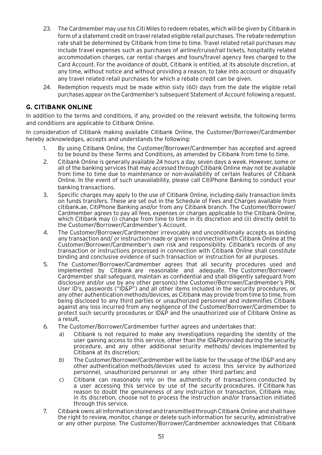- 23. The Cardmember may use his Citi Miles to redeem rebates, which will be given by Citibank in form of a statement credit on travel related eligible retail purchases. The rebate redemption rate shall be determined by Citibank from time to time. Travel related retail purchases may include travel expenses such as purchases of airline/cruise/rail tickets, hospitality related accommodation charges, car rental charges and tours/travel agency fees charged to the Card Account. For the avoidance of doubt, Citibank is entitled, at its absolute discretion, at any time, without notice and without providing a reason, to take into account or disqualify any travel related retail purchases for which a rebate credit can be given.
- 24. Redemption requests must be made within sixty (60) days from the date the eligible retail purchases appear on the Cardmember's subsequent Statement of Account following a request.

# **G. CITIBANK ONLINE**

In addition to the terms and conditions, if any, provided on the relevant website, the following terms and conditions are applicable to Citibank Online.

In consideration of Citibank making available Citibank Online, the Customer/Borrower/Cardmember hereby acknowledges, accepts and understands the following:

- 1. By using Citibank Online, the Customer/Borrower/Cardmember has accepted and agreed to be bound by these Terms and Conditions, as amended by Citibank from time to time.
- 2. Citibank Online is generally available 24 hours a day, seven days a week. However, some or all of the banking services that may accessed through Citibank Online may not be available from time to time due to maintenance or non-availability of certain features of Citibank Online. In the event of such unavailability, please call CitiPhone Banking to conduct your banking transactions.
- 3. Specific charges may apply to the use of Citibank Online, including daily transaction limits on funds transfers. These are set out in the Schedule of Fees and Charges available from citibank.ae, CitiPhone Banking and/or from any Citibank branch. The Customer/Borrower/ Cardmember agrees to pay all fees, expenses or charges applicable to the Citibank Online, which Citibank may (i) change from time to time in its discretion and (ii) directly debit to the Customer/Borrower/Cardmember's Account.
- 4. The Customer/Borrower/Cardmember irrevocably and unconditionally accepts as binding any transaction and/ or instruction made or given in connection with Citibank Online at the Customer/Borrower/Cardmember's own risk and responsibility. Citibank's records of any transaction or instructions processed in connection with Citibank Online shall constitute binding and conclusive evidence of such transaction or instruction for all purposes.
- 5. The Customer/Borrower/Cardmember agrees that all security procedures used and implemented by Citibank are reasonable and adequate. The Customer/Borrower/ Cardmember shall safeguard, maintain as confidential and shall diligently safeguard from disclosure and/or use by any other person(s) the Customer/Borrower/Cardmember's PIN, User ID's, passwords ("ID&P") and all other items included in the security procedures, or any other authentication methods/devices, as Citibank may provide from time to time, from being disclosed to any third parties or unauthorized personnel and indemnifies Citibank against any loss incurred from any negligence of the Customer/Borrower/Cardmember to protect such security procedures or ID&P and the unauthorized use of Citibank Online as a result,
- 6. The Customer/Borrower/Cardmember further agrees and undertakes that:
	- a) Citibank is not required to make any investigations regarding the identity of the user gaining access to this service, other than the ID&Pprovided during the security procedure, and any other additional security methods/ devices implemented by Citibank at its discretion;
	- b) The Customer/Borrower/Cardmember will be liable for the usage of the ID&P and any other authentication methods/devices used to access this service by authorized personnel, unauthorized personnel or any other third parties; and
	- c) Citibank can reasonably rely on the authenticity of transactions conducted by a user accessing this service by use of the security procedures. If Citibank has reason to doubt the genuineness of any instruction or transaction, Citibank may, in its discretion, choose not to process the instruction and/or transaction initiated through this service.
- 7. Citibank owns all information stored and transmitted through Citibank Online and shall have the right to review, monitor, change or delete such information for security, administrative or any other purpose. The Customer/Borrower/Cardmember acknowledges that Citibank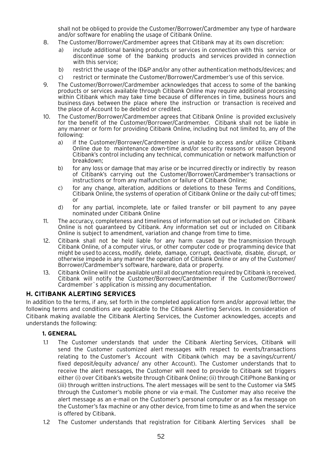shall not be obliged to provide the Customer/Borrower/Cardmember any type of hardware and/or software for enabling the usage of Citibank Online.

- 8. The Customer/Borrower/Cardmember agrees that Citibank may at its own discretion:
	- a) include additional banking products or services in connection with this service or discontinue some of the banking products and services provided in connection with this service;
	- b) restrict the usage of the ID&P and/or any other authentication methods/devices; and
	- c) restrict or terminate the Customer/Borrower/Cardmember's use of this service.
- 9. The Customer/Borrower/Cardmember acknowledges that access to some of the banking products or services available through Citibank Online may require additional processing within Citibank which may take time because of differences in time, business hours and business days between the place where the instruction or transaction is received and the place of Account to be debited or credited.
- 10. The Customer/Borrower/Cardmember agrees that Citibank Online is provided exclusively for the benefit of the Customer/Borrower/Cardmember. Citibank shall not be liable in any manner or form for providing Citibank Online, including but not limited to, any of the following:
	- a) if the Customer/Borrower/Cardmember is unable to access and/or utilize Citibank Online due to maintenance down-time and/or security reasons or reason beyond Citibank's control including any technical, communication or network malfunction or breakdown;
	- b) for any loss or damage that may arise or be incurred directly or indirectly by reason of Citibank's carrying out the Customer/Borrower/Cardmember's transactions or instructions or from any malfunction or failure of Citibank Online;
	- c) for any change, alteration, additions or deletions to these Terms and Conditions, Citibank Online, the systems of operation of Citibank Online or the daily cut-off times; or
	- d) for any partial, incomplete, late or failed transfer or bill payment to any payee nominated under Citibank Online
- 11. The accuracy, completeness and timeliness of information set out or included on Citibank Online is not guaranteed by Citibank. Any information set out or included on Citibank Online is subject to amendment, variation and change from time to time.
- 12. Citibank shall not be held liable for any harm caused by the transmission through Citibank Online, of a computer virus, or other computer code or programming device that might be used to access, modify, delete, damage, corrupt, deactivate, disable, disrupt, or otherwise impede in any manner the operation of Citibank Online or any of the Customer/ Borrower/Cardmember's software, hardware, data or property.
- 13. Citibank Online will not be available until all documentation required by Citibank is received. Citibank will notify the Customer/Borrower/Cardmember if the Customer/Borrower/ Cardmember`s application is missing any documentation.

## **H. CITIBANK ALERTING SERVICES**

In addition to the terms, if any, set forth in the completed application form and/or approval letter, the following terms and conditions are applicable to the Citibank Alerting Services. In consideration of Citibank making available the Citibank Alerting Services, the Customer acknowledges, accepts and understands the following:

### **1. GENERAL**

- 1.1 The Customer understands that under the Citibank Alerting Services, Citibank will send the Customer customized alert messages with respect to events/transactions relating to the Customer's Account with Citibank (which may be a savings/current/ fixed deposit/equity advance/ any other Account). The Customer understands that to receive the alert messages, the Customer will need to provide to Citibank set triggers either (i) over Citibank's website through Citibank Online; (ii) through CitiPhone Banking or (iii) through written instructions. The alert messages will be sent to the Customer via SMS through the Customer's mobile phone or via e-mail. The Customer may also receive the alert message as an e-mail on the Customer's personal computer or as a fax message on the Customer's fax machine or any other device, from time to time as and when the service is offered by Citibank.
- 1.2 The Customer understands that registration for Citibank Alerting Services shall be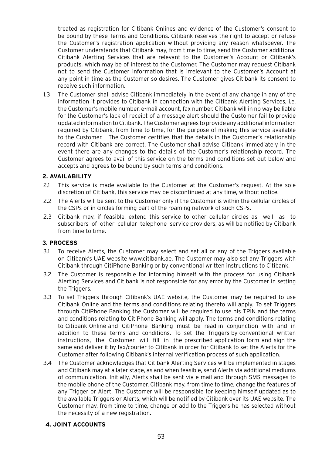treated as registration for Citibank Onlines and evidence of the Customer's consent to be bound by these Terms and Conditions. Citibank reserves the right to accept or refuse the Customer's registration application without providing any reason whatsoever. The Customer understands that Citibank may, from time to time, send the Customer additional Citibank Alerting Services that are relevant to the Customer's Account or Citibank's products, which may be of interest to the Customer. The Customer may request Citibank not to send the Customer information that is irrelevant to the Customer's Account at any point in time as the Customer so desires. The Customer gives Citibank its consent to receive such information.

1.3 The Customer shall advise Citibank immediately in the event of any change in any of the information it provides to Citibank in connection with the Citibank Alerting Services, i.e. the Customer's mobile number, e-mail account, fax number. Citibank will in no way be liable for the Customer's lack of receipt of a message alert should the Customer fail to provide updated information to Citibank. The Customer agrees to provide any additional information required by Citibank, from time to time, for the purpose of making this service available to the Customer. The Customer certifies that the details in the Customer's relationship record with Citibank are correct. The Customer shall advise Citibank immediately in the event there are any changes to the details of the Customer's relationship record. The Customer agrees to avail of this service on the terms and conditions set out below and accepts and agrees to be bound by such terms and conditions.

### **2. AVAILABILITY**

- 2.1 This service is made available to the Customer at the Customer's request. At the sole discretion of Citibank, this service may be discontinued at any time, without notice.
- 2.2 The Alerts will be sent to the Customer only if the Customer is within the cellular circles of the CSPs or in circles forming part of the roaming network of such CSPs.
- 2.3 Citibank may, if feasible, extend this service to other cellular circles as well as to subscribers of other cellular telephone service providers, as will be notified by Citibank from time to time.

### **3. PROCESS**

- 3.1 To receive Alerts, the Customer may select and set all or any of the Triggers available on Citibank's UAE website www.citibank.ae. The Customer may also set any Triggers with Citibank through CitiPhone Banking or by conventional written instructions to Citibank.
- 3.2 The Customer is responsible for informing himself with the process for using Citibank Alerting Services and Citibank is not responsible for any error by the Customer in setting the Triggers.
- 3.3 To set Triggers through Citibank's UAE website, the Customer may be required to use Citibank Online and the terms and conditions relating thereto will apply. To set Triggers through CitiPhone Banking the Customer will be required to use his TPIN and the terms and conditions relating to CitiPhone Banking will apply. The terms and conditions relating to Citibank Online and CitiPhone Banking must be read in conjunction with and in addition to these terms and conditions. To set the Triggers by conventional written instructions, the Customer will fill in the prescribed application form and sign the same and deliver it by fax/courier to Citibank in order for Citibank to set the Alerts for the Customer after following Citibank's internal verification process of such application.
- 3.4 The Customer acknowledges that Citibank Alerting Services will be implemented in stages and Citibank may at a later stage, as and when feasible, send Alerts via additional mediums of communication. Initially, Alerts shall be sent via e-mail and through SMS messages to the mobile phone of the Customer. Citibank may, from time to time, change the features of any Trigger or Alert. The Customer will be responsible for keeping himself updated as to the available Triggers or Alerts, which will be notified by Citibank over its UAE website. The Customer may, from time to time, change or add to the Triggers he has selected without the necessity of a new registration.

### **4. JOINT ACCOUNTS**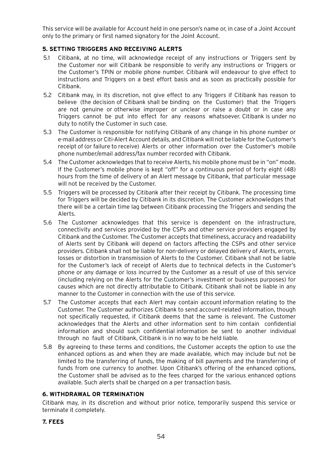This service will be available for Account held in one person's name or, in case of a Joint Account only to the primary or first named signatory for the Joint Account.

## **5. SETTING TRIGGERS AND RECEIVING ALERTS**

- 5.1 Citibank, at no time, will acknowledge receipt of any instructions or Triggers sent by the Customer nor will Citibank be responsible to verify any instructions or Triggers or the Customer's TPIN or mobile phone number. Citibank will endeavour to give effect to instructions and Triggers on a best effort basis and as soon as practically possible for Citibank.
- 5.2 Citibank may, in its discretion, not give effect to any Triggers if Citibank has reason to believe (the decision of Citibank shall be binding on the Customer) that the Triggers are not genuine or otherwise improper or unclear or raise a doubt or in case any Triggers cannot be put into effect for any reasons whatsoever. Citibank is under no duty to notify the Customer in such case.
- 5.3 The Customer is responsible for notifying Citibank of any change in his phone number or e-mail address or Citi-Alert Account details, and Citibank will not be liable for the Customer's receipt of (or failure to receive) Alerts or other information over the Customer's mobile phone number/email address/fax number recorded with Citibank.
- 5.4 The Customer acknowledges that to receive Alerts, his mobile phone must be in "on" mode. If the Customer's mobile phone is kept "off" for a continuous period of forty eight (48) hours from the time of delivery of an Alert message by Citibank, that particular message will not be received by the Customer.
- 5.5 Triggers will be processed by Citibank after their receipt by Citibank. The processing time for Triggers will be decided by Citibank in its discretion. The Customer acknowledges that there will be a certain time lag between Citibank processing the Triggers and sending the Alerts.
- 5.6 The Customer acknowledges that this service is dependent on the infrastructure, connectivity and services provided by the CSPs and other service providers engaged by Citibank and the Customer. The Customer accepts that timeliness, accuracy and readability of Alerts sent by Citibank will depend on factors affecting the CSPs and other service providers. Citibank shall not be liable for non-delivery or delayed delivery of Alerts, errors, losses or distortion in transmission of Alerts to the Customer. Citibank shall not be liable for the Customer's lack of receipt of Alerts due to technical defects in the Customer's phone or any damage or loss incurred by the Customer as a result of use of this service (including relying on the Alerts for the Customer's investment or business purposes) for causes which are not directly attributable to Citibank. Citibank shall not be liable in any manner to the Customer in connection with the use of this service.
- 5.7 The Customer accepts that each Alert may contain account information relating to the Customer. The Customer authorizes Citibank to send account-related information, though not specifically requested, if Citibank deems that the same is relevant. The Customer acknowledges that the Alerts and other information sent to him contain confidential information and should such confidential information be sent to another individual through no fault of Citibank, Citibank is in no way to be held liable.
- 5.8 By agreeing to these terms and conditions, the Customer accepts the option to use the enhanced options as and when they are made available, which may include but not be limited to the transferring of funds, the making of bill payments and the transferring of funds from one currency to another. Upon Citibank's offering of the enhanced options, the Customer shall be advised as to the fees charged for the various enhanced options available. Such alerts shall be charged on a per transaction basis.

## **6. WITHDRAWAL OR TERMINATION**

Citibank may, in its discretion and without prior notice, temporarily suspend this service or terminate it completely.

### **7. FEES**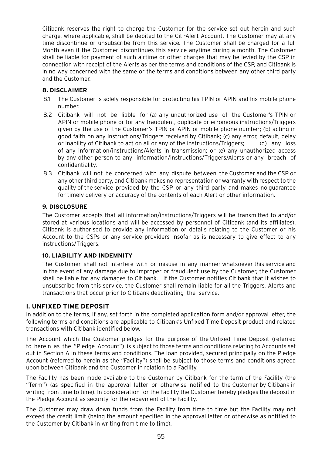Citibank reserves the right to charge the Customer for the service set out herein and such charge, where applicable, shall be debited to the Citi-Alert Account. The Customer may at any time discontinue or unsubscribe from this service. The Customer shall be charged for a full Month even if the Customer discontinues this service anytime during a month. The Customer shall be liable for payment of such airtime or other charges that may be levied by the CSP in connection with receipt of the Alerts as per the terms and conditions of the CSP, and Citibank is in no way concerned with the same or the terms and conditions between any other third party and the Customer.

## **8. DISCLAIMER**

- 8.1 The Customer is solely responsible for protecting his TPIN or APIN and his mobile phone number.
- 8.2 Citibank will not be liable for (a) any unauthorized use of the Customer's TPIN or APIN or mobile phone or for any fraudulent, duplicate or erroneous instructions/Triggers given by the use of the Customer's TPIN or APIN or mobile phone number; (b) acting in good faith on any instructions/Triggers received by Citibank; (c) any error, default, delay or inability of Citibank to act on all or any of the instructions/Triggers; (d) any loss of any information/instructions/Alerts in transmission; or (e) any unauthorized access by any other person to any information/instructions/Triggers/Alerts or any breach of confidentiality.
- 8.3 Citibank will not be concerned with any dispute between the Customer and the CSP or any other third party, and Citibank makes no representation or warranty with respect to the quality of the service provided by the CSP or any third party and makes no guarantee for timely delivery or accuracy of the contents of each Alert or other information.

### **9. DISCLOSURE**

The Customer accepts that all information/instructions/Triggers will be transmitted to and/or stored at various locations and will be accessed by personnel of Citibank (and its affiliates). Citibank is authorised to provide any information or details relating to the Customer or his Account to the CSPs or any service providers insofar as is necessary to give effect to any instructions/Triggers.

## **10. LIABILITY AND INDEMNITY**

The Customer shall not interfere with or misuse in any manner whatsoever this service and in the event of any damage due to improper or fraudulent use by the Customer, the Customer shall be liable for any damages to Citibank. If the Customer notifies Citibank that it wishes to unsubscribe from this service, the Customer shall remain liable for all the Triggers, Alerts and transactions that occur prior to Citibank deactivating the service.

## **I. UNFIXED TIME DEPOSIT**

In addition to the terms, if any, set forth in the completed application form and/or approval letter, the following terms and conditions are applicable to Citibank's Unfixed Time Deposit product and related transactions with Citibank identified below.

The Account which the Customer pledges for the purpose of the Unfixed Time Deposit (referred to herein as the "Pledge Account") is subject to those terms and conditions relating to Accounts set out in Section A in these terms and conditions. The loan provided, secured principally on the Pledge Account (referred to herein as the "Facility") shall be subject to those terms and conditions agreed upon between Citibank and the Customer in relation to a Facility.

The Facility has been made available to the Customer by Citibank for the term of the Facility (the "Term") (as specified in the approval letter or otherwise notified to the Customer by Citibank in writing from time to time). In consideration for the Facility the Customer hereby pledges the deposit in the Pledge Account as security for the repayment of the Facility.

The Customer may draw down funds from the Facility from time to time but the Facility may not exceed the credit limit (being the amount specified in the approval letter or otherwise as notified to the Customer by Citibank in writing from time to time).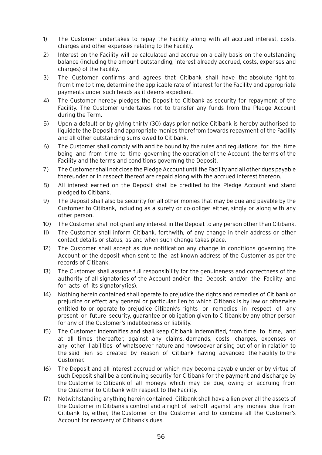- 1) The Customer undertakes to repay the Facility along with all accrued interest, costs, charges and other expenses relating to the Facility.
- 2) Interest on the Facility will be calculated and accrue on a daily basis on the outstanding balance (including the amount outstanding, interest already accrued, costs, expenses and charges) of the Facility.
- 3) The Customer confirms and agrees that Citibank shall have the absolute right to, from time to time, determine the applicable rate of interest for the Facility and appropriate payments under such heads as it deems expedient.
- 4) The Customer hereby pledges the Deposit to Citibank as security for repayment of the Facility. The Customer undertakes not to transfer any funds from the Pledge Account during the Term.
- 5) Upon a default or by giving thirty (30) days prior notice Citibank is hereby authorised to liquidate the Deposit and appropriate monies therefrom towards repayment of the Facility and all other outstanding sums owed to Citibank.
- 6) The Customer shall comply with and be bound by the rules and regulations for the time being and from time to time governing the operation of the Account, the terms of the Facility and the terms and conditions governing the Deposit.
- 7) The Customer shall not close the Pledge Account until the Facility and all other dues payable thereunder or in respect thereof are repaid along with the accrued interest thereon.
- 8) All interest earned on the Deposit shall be credited to the Pledge Account and stand pledged to Citibank.
- 9) The Deposit shall also be security for all other monies that may be due and payable by the Customer to Citibank, including as a surety or co-obliger either, singly or along with any other person.
- 10) The Customer shall not grant any interest in the Deposit to any person other than Citibank.
- 11) The Customer shall inform Citibank, forthwith, of any change in their address or other contact details or status, as and when such change takes place.
- 12) The Customer shall accept as due notification any change in conditions governing the Account or the deposit when sent to the last known address of the Customer as per the records of Citibank.
- 13) The Customer shall assume full responsibility for the genuineness and correctness of the authority of all signatories of the Account and/or the Deposit and/or the Facility and for acts of its signatory(ies).
- 14) Nothing herein contained shall operate to prejudice the rights and remedies of Citibank or prejudice or effect any general or particular lien to which Citibank is by law or otherwise entitled to or operate to prejudice Citibank's rights or remedies in respect of any present or future security, guarantee or obligation given to Citibank by any other person for any of the Customer's indebtedness or liability.
- 15) The Customer indemnifies and shall keep Citibank indemnified, from time to time, and at all times thereafter, against any claims, demands, costs, charges, expenses or any other liabilities of whatsoever nature and howsoever arising out of or in relation to the said lien so created by reason of Citibank having advanced the Facility to the Customer.
- 16) The Deposit and all interest accrued or which may become payable under or by virtue of such Deposit shall be a continuing security for Citibank for the payment and discharge by the Customer to Citibank of all moneys which may be due, owing or accruing from the Customer to Citibank with respect to the Facility.
- 17) Notwithstanding anything herein contained, Citibank shall have a lien over all the assets of the Customer in Citibank's control and a right of set-off against any monies due from Citibank to, either, the Customer or the Customer and to combine all the Customer's Account for recovery of Citibank's dues.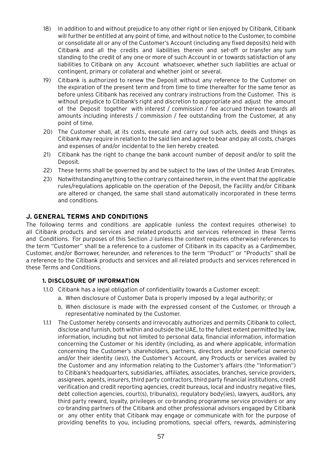- 18) In addition to and without prejudice to any other right or lien enjoyed by Citibank, Citibank will further be entitled at any point of time, and without notice to the Customer, to combine or consolidate all or any of the Customer's Account (including any fixed deposits) held with Citibank and all the credits and liabilities therein and set-off or transfer any sum standing to the credit of any one or more of such Account in or towards satisfaction of any liabilities to Citibank on any Account whatsoever, whether such liabilities are actual or contingent, primary or collateral and whether joint or several.
- 19) Citibank is authorized to renew the Deposit without any reference to the Customer on the expiration of the present term and from time to time thereafter for the same tenor as before unless Citibank has received any contrary instructions from the Customer. This is without prejudice to Citibank's right and discretion to appropriate and adjust the amount of the Deposit together with interest / commission / fee accrued thereon towards all amounts including interests / commission / fee outstanding from the Customer, at any point of time.
- 20) The Customer shall, at its costs, execute and carry out such acts, deeds and things as Citibank may require in relation to the said lien and agree to bear and pay all costs, charges and expenses of and/or incidental to the lien hereby created.
- 21) Citibank has the right to change the bank account number of deposit and/or to split the Deposit.
- 22) These terms shall be governed by and be subject to the laws of the United Arab Emirates.
- 23) Notwithstanding anything to the contrary contained herein, in the event that the applicable rules/regulations applicable on the operation of the Deposit, the Facility and/or Citibank are altered or changed, the same shall stand automatically incorporated in these terms and conditions.

## **J. GENERAL TERMS AND CONDITIONS**

The following terms and conditions are applicable (unless the context requires otherwise) to all Citibank products and services and related products and services referenced in these Terms and Conditions. For purposes of this Section J (unless the context requires otherwise) references to the term "Customer" shall be a reference to a customer of Citibank in its capacity as a Cardmember, Customer, and/or Borrower, hereunder, and references to the term "Product" or "Products" shall be a reference to the Citibank products and services and all related products and services referenced in these Terms and Conditions.

## **1. DISCLOSURE OF INFORMATION**

- 1.1.0 Citibank has a legal obligation of confidentiality towards a Customer except:
	- a. When disclosure of Customer Data is properly imposed by a legal authority; or
	- b. When disclosure is made with the expressed consent of the Customer, or through a representative nominated by the Customer.
- 1.1.1 The Customer hereby consents and irrevocably authorizes and permits Citibank to collect, disclose and furnish, both within and outside the UAE, to the fullest extent permitted by law, information, including but not limited to personal data, financial information, information concerning the Customer or his identity (including, as and where applicable, information concerning the Customer's shareholders, partners, directors and/or beneficial owner(s) and/or their identity (ies)), the Customer's Account, any Products or services availed by the Customer and any information relating to the Customer's affairs (the "Information") to Citibank's headquarters, subsidiaries, affiliates, associates, branches, service providers, assignees, agents, insurers, third party contractors, third party financial institutions, credit verification and credit reporting agencies, credit bureaus, local and industry negative files, debt collection agencies, court(s), tribunal(s), regulatory body(ies), lawyers, auditors, any third party reward, loyalty, privileges or co-branding programme service providers or any co-branding partners of the Citibank and other professional advisors engaged by Citibank or any other entity that Citibank may engage or communicate with for the purpose of providing benefits to you, including promotions, special offers, rewards, administering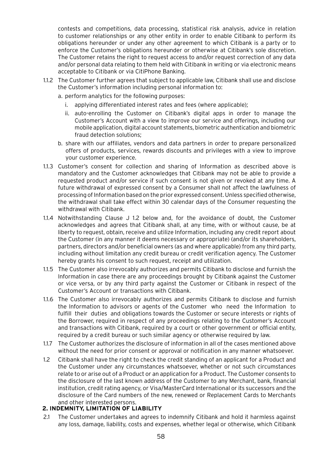contests and competitions, data processing, statistical risk analysis, advice in relation to customer relationships or any other entity in order to enable Citibank to perform its obligations hereunder or under any other agreement to which Citibank is a party or to enforce the Customer's obligations hereunder or otherwise at Citibank's sole discretion. The Customer retains the right to request access to and/or request correction of any data and/or personal data relating to them held with Citibank in writing or via electronic means acceptable to Citibank or via CitiPhone Banking.

- 1.1.2 The Customer further agrees that subject to applicable law, Citibank shall use and disclose the Customer's information including personal information to:
	- a. perform analytics for the following purposes:
		- i. applying differentiated interest rates and fees (where applicable);
		- ii. auto-enrolling the Customer on Citibank's digital apps in order to manage the Customer's Account with a view to improve our service and offerings, including our mobile application, digital account statements, biometric authentication and biometric fraud detection solutions;
	- b. share with our affiliates, vendors and data partners in order to prepare personalized offers of products, services, rewards discounts and privileges with a view to improve your customer experience.
- 1.1.3 Customer's consent for collection and sharing of Information as described above is mandatory and the Customer acknowledges that Citibank may not be able to provide a requested product and/or service if such consent is not given or revoked at any time. A future withdrawal of expressed consent by a Consumer shall not affect the lawfulness of processing of Information based on the prior expressed consent. Unless specified otherwise, the withdrawal shall take effect within 30 calendar days of the Consumer requesting the withdrawal with Citibank.
- 1.1.4 Notwithstanding Clause J 1.2 below and, for the avoidance of doubt, the Customer acknowledges and agrees that Citibank shall, at any time, with or without cause, be at liberty to request, obtain, receive and utilize Information, including any credit report about the Customer (in any manner it deems necessary or appropriate) (and/or its shareholders, partners, directors and/or beneficial owners (as and where applicable) from any third party, including without limitation any credit bureau or credit verification agency. The Customer hereby grants his consent to such request, receipt and utilization.
- 1.1.5 The Customer also irrevocably authorizes and permits Citibank to disclose and furnish the Information in case there are any proceedings brought by Citibank against the Customer or vice versa, or by any third party against the Customer or Citibank in respect of the Customer's Account or transactions with Citibank.
- 1.1.6 The Customer also irrevocably authorizes and permits Citibank to disclose and furnish the Information to advisors or agents of the Customer who need the Information to fulfill their duties and obligations towards the Customer or secure interests or rights of the Borrower, required in respect of any proceedings relating to the Customer's Account and transactions with Citibank, required by a court or other government or official entity, required by a credit bureau or such similar agency or otherwise required by law.
- 1.1.7 The Customer authorizes the disclosure of information in all of the cases mentioned above without the need for prior consent or approval or notification in any manner whatsoever.
- 1.2 Citibank shall have the right to check the credit standing of an applicant for a Product and the Customer under any circumstances whatsoever, whether or not such circumstances relate to or arise out of a Product or an application for a Product. The Customer consents to the disclosure of the last known address of the Customer to any Merchant, bank, financial institution, credit rating agency, or Visa/MasterCard International or its successors and the disclosure of the Card numbers of the new, renewed or Replacement Cards to Merchants and other interested persons.

# **2. INDEMNITY, LIMITATION OF LIABILITY**

2.1 The Customer undertakes and agrees to indemnify Citibank and hold it harmless against any loss, damage, liability, costs and expenses, whether legal or otherwise, which Citibank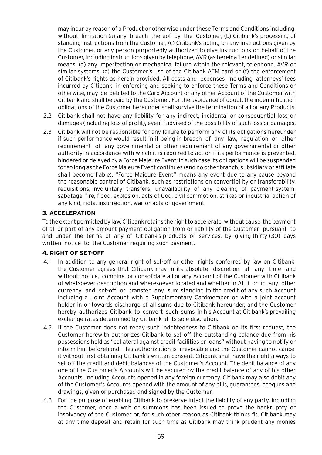may incur by reason of a Product or otherwise under these Terms and Conditions including, without limitation (a) any breach thereof by the Customer, (b) Citibank's processing of standing instructions from the Customer, (c) Citibank's acting on any instructions given by the Customer, or any person purportedly authorized to give instructions on behalf of the Customer, including instructions given by telephone, AVR (as hereinafter defined) or similar means, (d) any imperfection or mechanical failure within the relevant, telephone, AVR or similar systems, (e) the Customer's use of the Citibank ATM card or (f) the enforcement of Citibank's rights as herein provided. All costs and expenses including attorneys' fees incurred by Citibank in enforcing and seeking to enforce these Terms and Conditions or otherwise, may be debited to the Card Account or any other Account of the Customer with Citibank and shall be paid by the Customer. For the avoidance of doubt, the indemnification obligations of the Customer hereunder shall survive the termination of all or any Products.

- 2.2 Citibank shall not have any liability for any indirect, incidental or consequential loss or damages (including loss of profit), even if advised of the possibility of such loss or damages.
- 2.3 Citibank will not be responsible for any failure to perform any of its obligations hereunder if such performance would result in it being in breach of any law, regulation or other requirement of any governmental or other requirement of any governmental or other authority in accordance with which it is required to act or if its performance is prevented, hindered or delayed by a Force Majeure Event; in such case its obligations will be suspended for so long as the Force Majeure Event continues (and no other branch, subsidiary or affiliate shall become liable). "Force Majeure Event" means any event due to any cause beyond the reasonable control of Citibank, such as restrictions on convertibility or transferability, requisitions, involuntary transfers, unavailability of any clearing of payment system, sabotage, fire, flood, explosion, acts of God, civil commotion, strikes or industrial action of any kind, riots, insurrection, war or acts of government.

### **3. ACCELERATION**

To the extent permitted by law, Citibank retains the right to accelerate, without cause, the payment of all or part of any amount payment obligation from or liability of the Customer pursuant to and under the terms of any of Citibank's products or services, by giving thirty (30) days written notice to the Customer requiring such payment.

### **4. RIGHT OF SET-OFF**

- 4.1 In addition to any general right of set-off or other rights conferred by law on Citibank, the Customer agrees that Citibank may in its absolute discretion at any time and without notice, combine or consolidate all or any Account of the Customer with Citibank of whatsoever description and wheresoever located and whether in AED or in any other currency and set-off or transfer any sum standing to the credit of any such Account including a Joint Account with a Supplementary Cardmember or with a joint account holder in or towards discharge of all sums due to Citibank hereunder, and the Customer hereby authorizes Citibank to convert such sums in his Account at Citibank's prevailing exchange rates determined by Citibank at its sole discretion.
- 4.2 If the Customer does not repay such indebtedness to Citibank on its first request, the Customer herewith authorizes Citibank to set off the outstanding balance due from his possessions held as "collateral against credit facilities or loans" without having to notify or inform him beforehand. This authorization is irrevocable and the Customer cannot cancel it without first obtaining Citibank's written consent. Citibank shall have the right always to set off the credit and debit balances of the Customer's Account. The debit balance of any one of the Customer's Accounts will be secured by the credit balance of any of his other Accounts, including Accounts opened in any foreign currency. Citibank may also debit any of the Customer's Accounts opened with the amount of any bills, guarantees, cheques and drawings, given or purchased and signed by the Customer.
- 4.3 For the purpose of enabling Citibank to preserve intact the liability of any party, including the Customer, once a writ or summons has been issued to prove the bankruptcy or insolvency of the Customer or, for such other reason as Citibank thinks fit, Citibank may at any time deposit and retain for such time as Citibank may think prudent any monies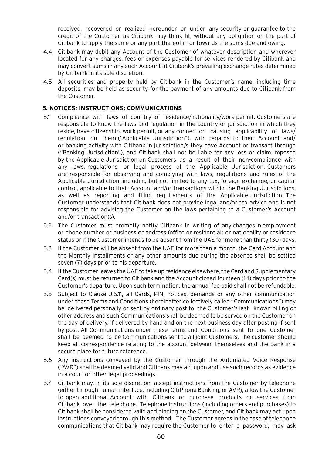received, recovered or realized hereunder or under any security or guarantee to the credit of the Customer, as Citibank may think fit, without any obligation on the part of Citibank to apply the same or any part thereof in or towards the sums due and owing.

- 4.4 Citibank may debit any Account of the Customer of whatever description and wherever located for any charges, fees or expenses payable for services rendered by Citibank and may convert sums in any such Account at Citibank's prevailing exchange rates determined by Citibank in its sole discretion.
- 4.5 All securities and property held by Citibank in the Customer's name, including time deposits, may be held as security for the payment of any amounts due to Citibank from the Customer.

### **5. NOTICES; INSTRUCTIONS; COMMUNICATIONS**

- 5.1 Compliance with laws of country of residence/nationality/work permit: Customers are responsible to know the laws and regulation in the country or jurisdiction in which they reside, have citizenship, work permit, or any connection causing applicability of laws/ regulation on them ("Applicable Jurisdiction"), with regards to their Account and/ or banking activity with Citibank in jurisdiction/s they have Account or transact through ("Banking Jurisdiction"), and Citibank shall not be liable for any loss or claim imposed by the Applicable Jurisdiction on Customers as a result of their non-compliance with any laws, regulations, or legal process of the Applicable Jurisdiction. Customers are responsible for observing and complying with laws, regulations and rules of the Applicable Jurisdiction, including but not limited to any tax, foreign exchange, or capital control, applicable to their Account and/or transactions within the Banking Jurisdictions, as well as reporting and filing requirements of the Applicable Jurisdiction. The Customer understands that Citibank does not provide legal and/or tax advice and is not responsible for advising the Customer on the laws pertaining to a Customer's Account and/or transaction(s).
- 5.2 The Customer must promptly notify Citibank in writing of any changes in employment or phone number or business or address (office or residential) or nationality or residence status or if the Customer intends to be absent from the UAE for more than thirty (30) days.
- 5.3 If the Customer will be absent from the UAE for more than a month, the Card Account and the Monthly Installments or any other amounts due during the absence shall be settled seven (7) days prior to his departure.
- 5.4 If the Customer leaves the UAE to take up residence elsewhere, the Card and Supplementary Card(s) must be returned to Citibank and the Account closed fourteen (14) days prior to the Customer's departure. Upon such termination, the annual fee paid shall not be refundable.
- 5.5 Subject to Clause J.5.11, all Cards, PIN, notices, demands or any other communication under these Terms and Conditions (hereinafter collectively called "Communications") may be delivered personally or sent by ordinary post to the Customer's last known billing or other address and such Communications shall be deemed to be served on the Customer on the day of delivery, if delivered by hand and on the next business day after posting if sent by post. All Communications under these Terms and Conditions sent to one Customer shall be deemed to be Communications sent to all joint Customers. The customer should keep all correspondence relating to the account between themselves and the Bank in a secure place for future reference.
- 5.6 Any instructions conveyed by the Customer through the Automated Voice Response ("AVR") shall be deemed valid and Citibank may act upon and use such records as evidence in a court or other legal proceedings.
- 5.7 Citibank may, in its sole discretion, accept instructions from the Customer by telephone (either through human interface, including CitiPhone Banking, or AVR), allow the Customer to open additional Account with Citibank or purchase products or services from Citibank over the telephone. Telephone instructions (including orders and purchases) to Citibank shall be considered valid and binding on the Customer, and Citibank may act upon instructions conveyed through this method. The Customer agrees in the case of telephone communications that Citibank may require the Customer to enter a password, may ask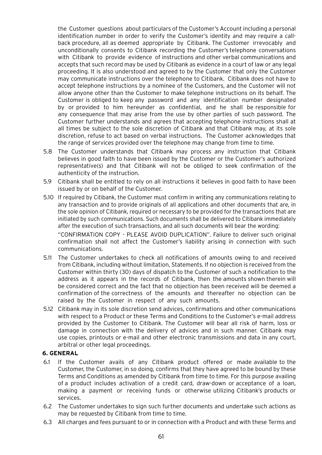the Customer questions about particulars of the Customer's Account including a personal identification number in order to verify the Customer's identity and may require a callback procedure, all as deemed appropriate by Citibank. The Customer irrevocably and unconditionally consents to Citibank recording the Customer's telephone conversations with Citibank to provide evidence of instructions and other verbal communications and accepts that such record may be used by Citibank as evidence in a court of law or any legal proceeding. It is also understood and agreed to by the Customer that only the Customer may communicate instructions over the telephone to Citibank. Citibank does not have to accept telephone instructions by a nominee of the Customers, and the Customer will not allow anyone other than the Customer to make telephone instructions on its behalf. The Customer is obliged to keep any password and any identification number designated by or provided to him hereunder as confidential, and he shall be responsible for any consequence that may arise from the use by other parties of such password. The Customer further understands and agrees that accepting telephone instructions shall at all times be subject to the sole discretion of Citibank and that Citibank may, at its sole discretion, refuse to act based on verbal instructions. The Customer acknowledges that the range of services provided over the telephone may change from time to time.

- 5.8 The Customer understands that Citibank may process any instruction that Citibank believes in good faith to have been issued by the Customer or the Customer's authorized representative(s) and that Citibank will not be obliged to seek confirmation of the authenticity of the instruction.
- 5.9 Citibank shall be entitled to rely on all instructions it believes in good faith to have been issued by or on behalf of the Customer.
- 5.10 If required by Citibank, the Customer must confirm in writing any communications relating to any transaction and to provide originals of all applications and other documents that are, in the sole opinion of Citibank, required or necessary to be provided for the transactions that are initiated by such communications. Such documents shall be delivered to Citibank immediately after the execution of such transactions, and all such documents will bear the wording: "CONFIRMATION COPY - PLEASE AVOID DUPLICATION". Failure to deliver such original

confirmation shall not affect the Customer's liability arising in connection with such communications.

- 5.11 The Customer undertakes to check all notifications of amounts owing to and received from Citibank, including without limitation, Statements. If no objection is received from the Customer within thirty (30) days of dispatch to the Customer of such a notification to the address as it appears in the records of Citibank, then the amounts shown therein will be considered correct and the fact that no objection has been received will be deemed a confirmation of the correctness of the amounts and thereafter no objection can be raised by the Customer in respect of any such amounts.
- 5.12 Citibank may in its sole discretion send advices, confirmations and other communications with respect to a Product or these Terms and Conditions to the Customer's e-mail address provided by the Customer to Citibank. The Customer will bear all risk of harm, loss or damage in connection with the delivery of advices and in such manner. Citibank may use copies, printouts or e-mail and other electronic transmissions and data in any court, arbitral or other legal proceedings.

### **6. GENERAL**

- 6.1 If the Customer avails of any Citibank product offered or made available to the Customer, the Customer, in so doing, confirms that they have agreed to be bound by these Terms and Conditions as amended by Citibank from time to time. For this purpose availing of a product includes activation of a credit card, draw-down or acceptance of a loan, making a payment or receiving funds or otherwise utilizing Citibank's products or services.
- 6.2 The Customer undertakes to sign such further documents and undertake such actions as may be requested by Citibank from time to time.
- 6.3 All charges and fees pursuant to or in connection with a Product and with these Terms and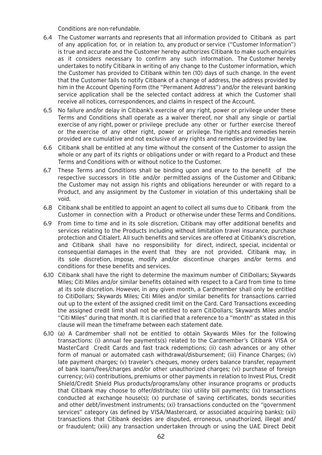Conditions are non-refundable.

- 6.4 The Customer warrants and represents that all information provided to Citibank as part of any application for, or in relation to, any product or service ("Customer Information") is true and accurate and the Customer hereby authorizes Citibank to make such enquiries as it considers necessary to confirm any such information. The Customer hereby undertakes to notify Citibank in writing of any change to the Customer information, which the Customer has provided to Citibank within ten (10) days of such change. In the event that the Customer fails to notify Citibank of a change of address, the address provided by him in the Account Opening Form (the "Permanent Address") and/or the relevant banking service application shall be the selected contact address at which the Customer shall receive all notices, correspondences, and claims in respect of the Account.
- 6.5 No failure and/or delay in Citibank's exercise of any right, power or privilege under these Terms and Conditions shall operate as a waiver thereof, nor shall any single or partial exercise of any right, power or privilege preclude any other or further exercise thereof or the exercise of any other right, power or privilege. The rights and remedies herein provided are cumulative and not exclusive of any rights and remedies provided by law.
- 6.6 Citibank shall be entitled at any time without the consent of the Customer to assign the whole or any part of its rights or obligations under or with regard to a Product and these Terms and Conditions with or without notice to the Customer.
- 6.7 These Terms and Conditions shall be binding upon and enure to the benefit of the respective successors in title and/or permitted assigns of the Customer and Citibank; the Customer may not assign his rights and obligations hereunder or with regard to a Product, and any assignment by the Customer in violation of this undertaking shall be void.
- 6.8 Citibank shall be entitled to appoint an agent to collect all sums due to Citibank from the Customer in connection with a Product or otherwise under these Terms and Conditions.
- 6.9 From time to time and in its sole discretion, Citibank may offer additional benefits and services relating to the Products including without limitation travel insurance, purchase protection and Citialert. All such benefits and services are offered at Citibank's discretion, and Citibank shall have no responsibility for direct, indirect, special, incidental or consequential damages in the event that they are not provided. Citibank may, in its sole discretion, impose, modify and/or discontinue charges and/or terms and conditions for these benefits and services.
- 6.10 Citibank shall have the right to determine the maximum number of CitiDollars; Skywards Miles; Citi Miles and/or similar benefits obtained with respect to a Card from time to time at its sole discretion. However, in any given month, a Cardmember shall only be entitled to CitiDollars; Skywards Miles; Citi Miles and/or similar benefits for transactions carried out up to the extent of the assigned credit limit on the Card. Card Transactions exceeding the assigned credit limit shall not be entitled to earn CitiDollars; Skywards Miles and/or "Citi Miles" during that month. It is clarified that a reference to a "month" as stated in this clause will mean the timeframe between each statement date.
- 6.10 (a) A Cardmember shall not be entitled to obtain Skywards Miles for the following transactions: (i) annual fee payments(s) related to the Cardmember's Citibank VISA or MasterCard Credit Cards and fast track redemptions; (ii) cash advances or any other form of manual or automated cash withdrawal/disbursement; (iii) Finance Charges; (iv) late payment charges; (v) traveler's cheques, money orders balance transfer, repayment of bank loans/fees/charges and/or other unauthorized charges; (vi) purchase of foreign currency; (vii) contributions, premiums or other payments in relation to Invest Plus, Credit Shield/Credit Shield Plus products/programs/any other insurance programs or products that Citibank may choose to offer/distribute; (iix) utility bill payments; (ix) transactions conducted at exchange house(s); (x) purchase of saving certificates, bonds securities and other debt/investment instruments; (xi) transactions conducted on the "government services" category (as defined by VISA/Mastercard, or associated acquiring banks); (xii) transactions that Citibank decides are disputed, erroneous, unauthorized, illegal and/ or fraudulent; (xiii) any transaction undertaken through or using the UAE Direct Debit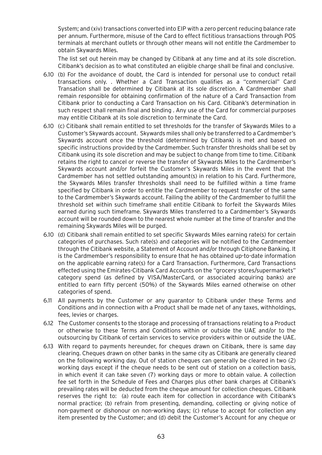System; and (xiv) transactions converted into EIP with a zero percent reducing balance rate per annum. Furthermore, misuse of the Card to effect fictitious transactions through POS terminals at merchant outlets or through other means will not entitle the Cardmember to obtain Skywards Miles.

The list set out herein may be changed by Citibank at any time and at its sole discretion. Citibank's decision as to what constituted an eligible charge shall be final and conclusive.

- 6.10 (b) For the avoidance of doubt, the Card is intended for personal use to conduct retail transactions only. . Whether a Card Transaction qualifies as a "commercial" Card Transation shall be determined by Citibank at its sole discretion. A Cardmember shall remain responsible for obtaining confirmation of the nature of a Card Transaction from Citibank prior to conducting a Card Transaction on his Card. Citibank's determination in such respect shall remain final and binding . Any use of the Card for commercial purposes may entitle Citibank at its sole discretion to terminate the Card.
- 6.10 (c) Citibank shall remain entitled to set thresholds for the transfer of Skywards Miles to a Customer's Skywards account. Skywards miles shall only be transferred to a Cardmember's Skywards account once the threshold (determined by Citibank) is met and based on specific instructions provided by the Cardmember. Such transfer thresholds shall be set by Citibank using its sole discretion and may be subject to change from time to time. Citibank retains the right to cancel or reverse the transfer of Skywards Miles to the Cardmember's Skywards account and/or forfeit the Customer's Skywards Miles in the event that the Cardmember has not settled outstanding amount(s) in relation to his Card. Furthermore, the Skywards Miles transfer thresholds shall need to be fulfilled within a time frame specified by Citibank in order to entitle the Cardmember to request transfer of the same to the Cardmember's Skywards account. Failing the ability of the Cardmember to fulfill the threshold set within such timeframe shall entitle Citibank to forfeit the Skywards Miles earned during such timeframe. Skywards Miles transferred to a Cardmember's Skywards account will be rounded down to the nearest whole number at the time of transfer and the remaining Skywards Miles will be purged.
- 6.10 (d) Citibank shall remain entitled to set specific Skywards Miles earning rate(s) for certain categories of purchases. Such rate(s) and categories will be notified to the Cardmember through the Citibank website, a Statement of Account and/or through Citiphone Banking. It is the Cardmember's responsibility to ensure that he has obtained up-to-date information on the applicable earning rate(s) for a Card Transaction. Furthermore, Card Transactions effected using the Emirates-Citibank Card Accounts on the "grocery stores/supermarkets" category spend (as defined by VISA/MasterCard, or associated acquiring banks) are entitled to earn fifty percent (50%) of the Skywards Miles earned otherwise on other categories of spend.
- 6.11 All payments by the Customer or any guarantor to Citibank under these Terms and Conditions and in connection with a Product shall be made net of any taxes, withholdings, fees, levies or charges.
- 6.12 The Customer consents to the storage and processing of transactions relating to a Product or otherwise to these Terms and Conditions within or outside the UAE and/or to the outsourcing by Citibank of certain services to service providers within or outside the UAE.
- 6.13 With regard to payments hereunder, for cheques drawn on Citibank, there is same day clearing. Cheques drawn on other banks in the same city as Citibank are generally cleared on the following working day. Out of station cheques can generally be cleared in two (2) working days except if the cheque needs to be sent out of station on a collection basis, in which event it can take seven (7) working days or more to obtain value. A collection fee set forth in the Schedule of Fees and Charges plus other bank charges at Citibank's prevailing rates will be deducted from the cheque amount for collection cheques. Citibank reserves the right to: (a) route each item for collection in accordance with Citibank's normal practice; (b) refrain from presenting, demanding, collecting or giving notice of non-payment or dishonour on non-working days; (c) refuse to accept for collection any item presented by the Customer; and (d) debit the Customer's Account for any cheque or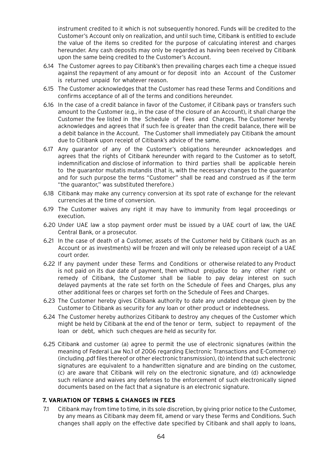instrument credited to it which is not subsequently honored. Funds will be credited to the Customer's Account only on realization, and until such time, Citibank is entitled to exclude the value of the items so credited for the purpose of calculating interest and charges hereunder. Any cash deposits may only be regarded as having been received by Citibank upon the same being credited to the Customer's Account.

- 6.14 The Customer agrees to pay Citibank's then prevailing charges each time a cheque issued against the repayment of any amount or for deposit into an Account of the Customer is returned unpaid for whatever reason.
- 6.15 The Customer acknowledges that the Customer has read these Terms and Conditions and confirms acceptance of all of the terms and conditions hereunder.
- 6.16 In the case of a credit balance in favor of the Customer, if Citibank pays or transfers such amount to the Customer (e.g., in the case of the closure of an Account), it shall charge the Customer the fee listed in the Schedule of Fees and Charges. The Customer hereby acknowledges and agrees that if such fee is greater than the credit balance, there will be a debit balance in the Account. The Customer shall immediately pay Citibank the amount due to Citibank upon receipt of Citibank's advice of the same.
- 6.17 Any guarantor of any of the Customer's obligations hereunder acknowledges and agrees that the rights of Citibank hereunder with regard to the Customer as to setoff, indemnification and disclose of information to third parties shall be applicable herein to the guarantor mutatis mutandis (that is, with the necessary changes to the guarantor and for such purpose the terms "Customer" shall be read and construed as if the term "the guarantor," was substituted therefore.)
- 6.18 Citibank may make any currency conversion at its spot rate of exchange for the relevant currencies at the time of conversion.
- 6.19 The Customer waives any right it may have to immunity from legal proceedings or execution.
- 6.20 Under UAE law a stop payment order must be issued by a UAE court of law, the UAE Central Bank, or a prosecutor.
- 6.21 In the case of death of a Customer, assets of the Customer held by Citibank (such as an Account or as investments) will be frozen and will only be released upon receipt of a UAE court order.
- 6.22 If any payment under these Terms and Conditions or otherwise related to any Product is not paid on its due date of payment, then without prejudice to any other right or remedy of Citibank, the Customer shall be liable to pay delay interest on such delayed payments at the rate set forth on the Schedule of Fees and Charges, plus any other additional fees or charges set forth on the Schedule of Fees and Charges.
- 6.23 The Customer hereby gives Citibank authority to date any undated cheque given by the Customer to Citibank as security for any loan or other product or indebtedness.
- 6.24 The Customer hereby authorizes Citibank to destroy any cheques of the Customer which might be held by Citibank at the end of the tenor or term, subject to repayment of the loan or debt, which such cheques are held as security for.
- 6.25 Citibank and customer (a) agree to permit the use of electronic signatures (within the meaning of Federal Law No.1 of 2006 regarding Electronic Transactions and E-Commerce) (including .pdf files thereof or other electronic transmission), (b) intend that such electronic signatures are equivalent to a handwritten signature and are binding on the customer, (c) are aware that Citibank will rely on the electronic signature, and (d) acknowledge such reliance and waives any defenses to the enforcement of such electronically signed documents based on the fact that a signature is an electronic signature.

### **7. VARIATION OF TERMS & CHANGES IN FEES**

7.1 Citibank may from time to time, in its sole discretion, by giving prior notice to the Customer, by any means as Citibank may deem fit, amend or vary these Terms and Conditions. Such changes shall apply on the effective date specified by Citibank and shall apply to loans,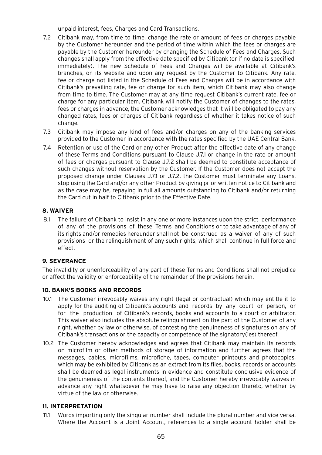unpaid interest, fees, Charges and Card Transactions.

- 7.2 Citibank may, from time to time, change the rate or amount of fees or charges payable by the Customer hereunder and the period of time within which the fees or charges are payable by the Customer hereunder by changing the Schedule of Fees and Charges. Such changes shall apply from the effective date specified by Citibank (or if no date is specified, immediately). The new Schedule of Fees and Charges will be available at Citibank's branches, on its website and upon any request by the Customer to Citibank. Any rate, fee or charge not listed in the Schedule of Fees and Charges will be in accordance with Citibank's prevailing rate, fee or charge for such item, which Citibank may also change from time to time. The Customer may at any time request Citibank's current rate, fee or charge for any particular item. Citibank will notify the Customer of changes to the rates, fees or charges in advance, the Customer acknowledges that it will be obligated to pay any changed rates, fees or charges of Citibank regardless of whether it takes notice of such change.
- 7.3 Citibank may impose any kind of fees and/or charges on any of the banking services provided to the Customer in accordance with the rates specified by the UAE Central Bank.
- 7.4 Retention or use of the Card or any other Product after the effective date of any change of these Terms and Conditions pursuant to Clause J.7.1 or change in the rate or amount of fees or charges pursuant to Clause J.7.2 shall be deemed to constitute acceptance of such changes without reservation by the Customer. If the Customer does not accept the proposed change under Clauses J.7.1 or J.7.2, the Customer must terminate any Loans, stop using the Card and/or any other Product by giving prior written notice to Citibank and as the case may be, repaying in full all amounts outstanding to Citibank and/or returning the Card cut in half to Citibank prior to the Effective Date.

## **8. WAIVER**

8.1 The failure of Citibank to insist in any one or more instances upon the strict performance of any of the provisions of these Terms and Conditions or to take advantage of any of its rights and/or remedies hereunder shall not be construed as a waiver of any of such provisions or the relinquishment of any such rights, which shall continue in full force and effect.

## **9. SEVERANCE**

The invalidity or unenforceability of any part of these Terms and Conditions shall not prejudice or affect the validity or enforceability of the remainder of the provisions herein.

## **10. BANK'S BOOKS AND RECORDS**

- 10.1 The Customer irrevocably waives any right (legal or contractual) which may entitle it to apply for the auditing of Citibank's accounts and records by any court or person, or for the production of Citibank's records, books and accounts to a court or arbitrator. This waiver also includes the absolute relinquishment on the part of the Customer of any right, whether by law or otherwise, of contesting the genuineness of signatures on any of Citibank's transactions or the capacity or competence of the signatory(ies) thereof.
- 10.2 The Customer hereby acknowledges and agrees that Citibank may maintain its records on microfilm or other methods of storage of information and further agrees that the messages, cables, microfilms, microfiche, tapes, computer printouts and photocopies, which may be exhibited by Citibank as an extract from its files, books, records or accounts shall be deemed as legal instruments in evidence and constitute conclusive evidence of the genuineness of the contents thereof, and the Customer hereby irrevocably waives in advance any right whatsoever he may have to raise any objection thereto, whether by virtue of the law or otherwise.

## **11. INTERPRETATION**

11.1 Words importing only the singular number shall include the plural number and vice versa. Where the Account is a Joint Account, references to a single account holder shall be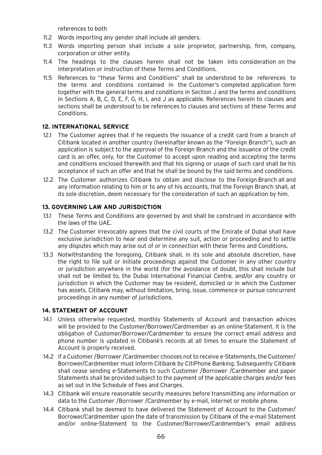references to both

- 11.2 Words importing any gender shall include all genders.
- 11.3 Words importing person shall include a sole proprietor, partnership, firm, company, corporation or other entity.
- 11.4 The headings to the clauses herein shall not be taken into consideration on the interpretation or instruction of these Terms and Conditions.
- 11.5 References to "these Terms and Conditions" shall be understood to be references to the terms and conditions contained in the Customer's completed application form together with the general terms and conditions in Section J and the terms and conditions in Sections A, B, C, D, E, F, G, H, I, and J as applicable. References herein to clauses and sections shall be understood to be references to clauses and sections of these Terms and Conditions.

## **12. INTERNATIONAL SERVICE**

- 12.1 The Customer agrees that if he requests the issuance of a credit card from a branch of Citibank located in another country (hereinafter known as the "Foreign Branch"), such an application is subject to the approval of the Foreign Branch and the issuance of the credit card is an offer, only, for the Customer to accept upon reading and accepting the terms and conditions enclosed therewith and that his signing or usage of such card shall be his acceptance of such an offer and that he shall be bound by the said terms and conditions.
- 12.2 The Customer authorizes Citibank to obtain and disclose to the Foreign Branch all and any information relating to him or to any of his accounts, that the Foreign Branch shall, at its sole discretion, deem necessary for the consideration of such an application by him.

### **13. GOVERNING LAW AND JURISDICTION**

- 13.1 These Terms and Conditions are governed by and shall be construed in accordance with the laws of the UAE.
- 13.2 The Customer irrevocably agrees that the civil courts of the Emirate of Dubai shall have exclusive jurisdiction to hear and determine any suit, action or proceeding and to settle any disputes which may arise out of or in connection with these Terms and Conditions.
- 13.3 Notwithstanding the foregoing, Citibank shall, in its sole and absolute discretion, have the right to file suit or initiate proceedings against the Customer in any other country or jurisdiction anywhere in the world (for the avoidance of doubt, this shall include but shall not be limited to, the Dubai International Financial Centre, and/or any country or jurisdiction in which the Customer may be resident, domiciled or in which the Customer has assets. Citibank may, without limitation, bring, issue, commence or pursue concurrent proceedings in any number of jurisdictions.

### **14. STATEMENT OF ACCOUNT**

- 14.1 Unless otherwise requested, monthly Statements of Account and transaction advices will be provided to the Customer/Borrower/Cardmember as an online-Statement. It is the obligation of Customer/Borrower/Cardmember to ensure the correct email address and phone number is updated in Citibank's records at all times to ensure the Statement of Account is properly received.
- 14.2 If a Customer /Borrower /Cardmember chooses not to receive e-Statements, the Customer/ Borrower/Cardmember must inform Citibank by CitiPhone Banking. Subsequently Citibank shall cease sending e-Statements to such Customer /Borrower /Cardmember and paper Statements shall be provided subject to the payment of the applicable charges and/or fees as set out in the Schedule of Fees and Charges.
- 14.3 Citibank will ensure reasonable security measures before transmitting any information or data to the Customer /Borrower /Cardmember by e-mail, internet or mobile phone.
- 14.4 Citibank shall be deemed to have delivered the Statement of Account to the Customer/ Borrower/Cardmember upon the date of transmission by Citibank of the e-mail Statement and/or online-Statement to the Customer/Borrower/Cardmember's email address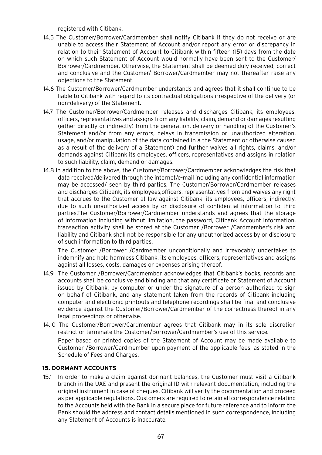registered with Citibank.

- 14.5 The Customer/Borrower/Cardmember shall notify Citibank if they do not receive or are unable to access their Statement of Account and/or report any error or discrepancy in relation to their Statement of Account to Citibank within fifteen (15) days from the date on which such Statement of Account would normally have been sent to the Customer/ Borrower/Cardmember. Otherwise, the Statement shall be deemed duly received, correct and conclusive and the Customer/ Borrower/Cardmember may not thereafter raise any objections to the Statement.
- 14.6 The Customer/Borrower/Cardmember understands and agrees that it shall continue to be liable to Citibank with regard to its contractual obligations irrespective of the delivery (or non-delivery) of the Statement.
- 14.7 The Customer/Borrower/Cardmember releases and discharges Citibank, its employees, officers, representatives and assigns from any liability, claim, demand or damages resulting (either directly or indirectly) from the generation, delivery or handling of the Customer's Statement and/or from any errors, delays in transmission or unauthorized alteration, usage, and/or manipulation of the data contained in a the Statement or otherwise caused as a result of the delivery of a Statement) and further waives all rights, claims, and/or demands against Citibank its employees, officers, representatives and assigns in relation to such liability, claim, demand or damages.
- 14.8 In addition to the above, the Customer/Borrower/Cardmember acknowledges the risk that data received/delivered through the internet/e-mail including any confidential information may be accessed/ seen by third parties. The Customer/Borrower/Cardmember releases and discharges Citibank, its employees,officers, representatives from and waives any right that accrues to the Customer at law against Citibank, its employees, officers, indirectly, due to such unauthorized access by or disclosure of confidential information to third parties.The Customer/Borrower/Cardmember understands and agrees that the storage of information including without limitation, the password, Citibank Account information, transaction activity shall be stored at the Customer /Borrower /Cardmember's risk and liability and Citibank shall not be responsible for any unauthorized access by or disclosure of such information to third parties.

The Customer /Borrower /Cardmember unconditionally and irrevocably undertakes to indemnify and hold harmless Citibank, its employees, officers, representatives and assigns against all losses, costs, damages or expenses arising thereof.

- 14.9 The Customer /Borrower/Cardmember acknowledges that Citibank's books, records and accounts shall be conclusive and binding and that any certificate or Statement of Account issued by Citibank, by computer or under the signature of a person authorized to sign on behalf of Citibank, and any statement taken from the records of Citibank including computer and electronic printouts and telephone recordings shall be final and conclusive evidence against the Customer/Borrower/Cardmember of the correctness thereof in any legal proceedings or otherwise.
- 14.10 The Customer/Borrower/Cardmember agrees that Citibank may in its sole discretion restrict or terminate the Customer/Borrower/Cardmember's use of this service.

Paper based or printed copies of the Statement of Account may be made available to Customer /Borrower/Cardmember upon payment of the applicable fees, as stated in the Schedule of Fees and Charges.

### **15. DORMANT ACCOUNTS**

15.1 In order to make a claim against dormant balances, the Customer must visit a Citibank branch in the UAE and present the original ID with relevant documentation, including the original instrument in case of cheques. Citibank will verify the documentation and proceed as per applicable regulations. Customers are required to retain all correspondence relating to the Accounts held with the Bank in a secure place for future reference and to inform the Bank should the address and contact details mentioned in such correspondence, including any Statement of Accounts is inaccurate.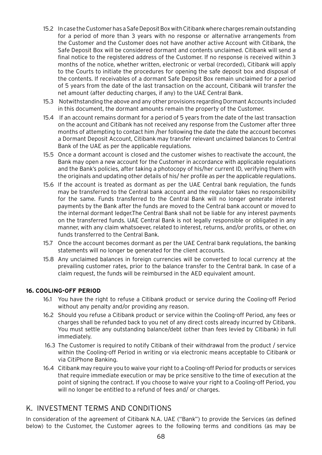- 15.2 In case the Customer has a Safe Deposit Box with Citibank where charges remain outstanding for a period of more than 3 years with no response or alternative arrangements from the Customer and the Customer does not have another active Account with Citibank, the Safe Deposit Box will be considered dormant and contents unclaimed. Citibank will send a final notice to the registered address of the Customer. If no response is received within 3 months of the notice, whether written, electronic or verbal (recorded), Citibank will apply to the Courts to initiate the procedures for opening the safe deposit box and disposal of the contents. If receivables of a dormant Safe Deposit Box remain unclaimed for a period of 5 years from the date of the last transaction on the account, Citibank will transfer the net amount (after deducting charges, if any) to the UAE Central Bank.
- 15.3 Notwithstanding the above and any other provisions regarding Dormant Accounts included in this document, the dormant amounts remain the property of the Customer.
- 15.4 If an account remains dormant for a period of 5 years from the date of the last transaction on the account and Citibank has not received any response from the Customer after three months of attempting to contact him /her following the date the date the account becomes a Dormant Deposit Account, Citibank may transfer relevant unclaimed balances to Central Bank of the UAE as per the applicable regulations.
- 15.5 Once a dormant account is closed and the customer wishes to reactivate the account, the Bank may open a new account for the Customer in accordance with applicable regulations and the Bank's policies, after taking a photocopy of his/her current ID, verifying them with the originals and updating other details of his/ her profile as per the applicable regulations.
- 15.6 If the account is treated as dormant as per the UAE Central bank regulation, the funds may be transferred to the Central bank account and the regulator takes no responsibility for the same. Funds transferred to the Central Bank will no longer generate interest payments by the Bank after the funds are moved to the Central bank account or moved to the internal dormant ledger.The Central Bank shall not be liable for any interest payments on the transferred funds. UAE Central Bank is not legally responsible or obligated in any manner, with any claim whatsoever, related to interest, returns, and/or profits, or other, on funds transferred to the Central Bank.
- 15.7 Once the account becomes dormant as per the UAE Central bank regulations, the banking statements will no longer be generated for the client accounts.
- 15.8 Any unclaimed balances in foreign currencies will be converted to local currency at the prevailing customer rates, prior to the balance transfer to the Central bank. In case of a claim request, the funds will be reimbursed in the AED equivalent amount.

## **16. COOLING-OFF PERIOD**

- 16.1 You have the right to refuse a Citibank product or service during the Cooling-off Period without any penalty and/or providing any reason.
- 16.2 Should you refuse a Citibank product or service within the Cooling-off Period, any fees or charges shall be refunded back to you net of any direct costs already incurred by Citibank. You must settle any outstanding balance/debt (other than fees levied by Citibank) in full immediately.
- 16.3 The Customer is required to notify Citibank of their withdrawal from the product / service within the Cooling-off Period in writing or via electronic means acceptable to Citibank or via CitiPhone Banking.
- 16.4 Citibank may require you to waive your right to a Cooling-off Period for products or services that require immediate execution or may be price sensitive to the time of execution at the point of signing the contract. If you choose to waive your right to a Cooling-off Period, you will no longer be entitled to a refund of fees and/ or charges.

# K. INVESTMENT TERMS AND CONDITIONS

In consideration of the agreement of Citibank N.A. UAE ("Bank") to provide the Services (as defined below) to the Customer, the Customer agrees to the following terms and conditions (as may be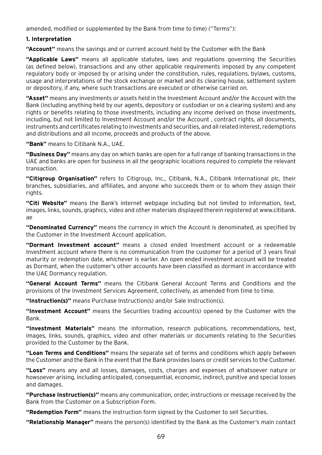amended, modified or supplemented by the Bank from time to time) ("Terms"):

### **1. Interpretation**

**"Account"** means the savings and or current account held by the Customer with the Bank

**"Applicable Laws"** means all applicable statutes, laws and regulations governing the Securities (as defined below), transactions and any other applicable requirements imposed by any competent regulatory body or imposed by or arising under the constitution, rules, regulations, bylaws, customs, usage and interpretations of the stock exchange or market and its clearing house, settlement system or depository, if any, where such transactions are executed or otherwise carried on.

**"Asset"** means any investments or assets held in the Investment Account and/or the Account with the Bank (including anything held by our agents, depository or custodian or on a clearing system) and any rights or benefits relating to those investments, including any income derived on those investments, including, but not limited to Investment Account and/or the Account , contract rights, all documents, instruments and certificates relating to investments and securities, and all related interest, redemptions and distributions and all income, proceeds and products of the above.

**"Bank"** means to Citibank N.A., UAE.

**"Business Day"** means any day on which banks are open for a full range of banking transactions in the UAE and banks are open for business in all the geographic locations required to complete the relevant transaction.

**"Citigroup Organisation"** refers to Citigroup, Inc., Citibank, N.A., Citibank International plc, their branches, subsidiaries, and affiliates, and anyone who succeeds them or to whom they assign their rights.

**"Citi Website"** means the Bank's internet webpage including but not limited to information, text, images, links, sounds, graphics, video and other materials displayed therein registered at www.citibank. ae

**"Denominated Currency"** means the currency in which the Account is denominated, as specified by the Customer in the Investment Account application.

**"Dormant Investment account"** means a closed ended Investment account or a redeemable Investment account where there is no communication from the customer for a period of 3 years final maturity or redemption date, whichever is earlier. An open ended investment account will be treated as Dormant, when the customer's other accounts have been classified as dormant in accordance with the UAE Dormancy regulation.

**"General Account Terms"** means the Citibank General Account Terms and Conditions and the provisions of the Investment Services Agreement, collectively, as amended from time to time.

**"Instruction(s)"** means Purchase Instruction(s) and/or Sale Instruction(s).

**"Investment Account"** means the Securities trading account(s) opened by the Customer with the Bank.

**"Investment Materials"** means the information, research publications, recommendations, text, images, links, sounds, graphics, video and other materials or documents relating to the Securities provided to the Customer by the Bank.

**"Loan Terms and Conditions"** means the separate set of terms and conditions which apply between the Customer and the Bank in the event that the Bank provides loans or credit services to the Customer.

**"Loss"** means any and all losses, damages, costs, charges and expenses of whatsoever nature or howsoever arising, including anticipated, consequential, economic, indirect, punitive and special losses and damages.

**"Purchase Instruction(s)"** means any communication, order, instructions or message received by the Bank from the Customer on a Subscription Form.

**"Redemption Form"** means the instruction form signed by the Customer to sell Securities.

**"Relationship Manager"** means the person(s) identified by the Bank as the Customer's main contact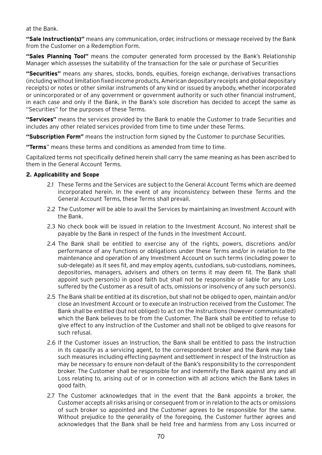at the Bank.

**"Sale Instruction(s)"** means any communication, order, instructions or message received by the Bank from the Customer on a Redemption Form.

**"Sales Planning Tool"** means the computer generated form processed by the Bank's Relationship Manager which assesses the suitability of the transaction for the sale or purchase of Securities

**"Securities"** means any shares, stocks, bonds, equities, foreign exchange, derivatives transactions (including without limitation fixed income products, American depositary receipts and global depositary receipts) or notes or other similar instruments of any kind or issued by anybody, whether incorporated or unincorporated or of any government or government authority or such other financial instrument, in each case and only if the Bank, in the Bank's sole discretion has decided to accept the same as "Securities" for the purposes of these Terms.

**"Services"** means the services provided by the Bank to enable the Customer to trade Securities and includes any other related services provided from time to time under these Terms.

**"Subscription Form"** means the instruction form signed by the Customer to purchase Securities.

**"Terms**" means these terms and conditions as amended from time to time.

Capitalized terms not specifically defined herein shall carry the same meaning as has been ascribed to them in the General Account Terms.

### **2. Applicability and Scope**

- 2.1 These Terms and the Services are subject to the General Account Terms which are deemed incorporated herein. In the event of any inconsistency between these Terms and the General Account Terms, these Terms shall prevail.
- 2.2 The Customer will be able to avail the Services by maintaining an Investment Account with the Bank.
- 2.3 No check book will be issued in relation to the Investment Account. No interest shall be payable by the Bank in respect of the funds in the Investment Account.
- 2.4 The Bank shall be entitled to exercise any of the rights, powers, discretions and/or performance of any functions or obligations under these Terms and/or in relation to the maintenance and operation of any Investment Account on such terms (including power to sub-delegate) as it sees fit, and may employ agents, custodians, sub-custodians, nominees, depositories, managers, advisers and others on terms it may deem fit. The Bank shall appoint such person(s) in good faith but shall not be responsible or liable for any Loss suffered by the Customer as a result of acts, omissions or insolvency of any such person(s).
- 2.5 The Bank shall be entitled at its discretion, but shall not be obliged to open, maintain and/or close an Investment Account or to execute an Instruction received from the Customer. The Bank shall be entitled (but not obliged) to act on the Instructions (however communicated) which the Bank believes to be from the Customer. The Bank shall be entitled to refuse to give effect to any Instruction of the Customer and shall not be obliged to give reasons for such refusal.
- 2.6 If the Customer issues an Instruction, the Bank shall be entitled to pass the Instruction in its capacity as a servicing agent, to the correspondent broker and the Bank may take such measures including effecting payment and settlement in respect of the Instruction as may be necessary to ensure non-default of the Bank's responsibility to the correspondent broker. The Customer shall be responsible for and indemnify the Bank against any and all Loss relating to, arising out of or in connection with all actions which the Bank takes in good faith.
- 2.7 The Customer acknowledges that in the event that the Bank appoints a broker, the Customer accepts all risks arising or consequent from or in relation to the acts or omissions of such broker so appointed and the Customer agrees to be responsible for the same. Without prejudice to the generality of the foregoing, the Customer further agrees and acknowledges that the Bank shall be held free and harmless from any Loss incurred or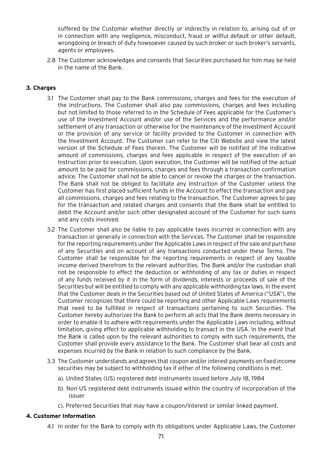suffered by the Customer whether directly or indirectly in relation to, arising out of or in connection with any negligence, misconduct, fraud or willful default or other default, wrongdoing or breach of duty howsoever caused by such broker or such broker's servants, agents or employees.

2.8 The Customer acknowledges and consents that Securities purchased for him may be held in the name of the Bank.

### **3. Charges**

- 3.1 The Customer shall pay to the Bank commissions, charges and fees for the execution of the Instructions. The Customer shall also pay commissions, charges and fees including but not limited to those referred to in the Schedule of Fees applicable for the Customer's use of the Investment Account and/or use of the Services and the performance and/or settlement of any transaction or otherwise for the maintenance of the Investment Account or the provision of any service or facility provided to the Customer in connection with the Investment Account. The Customer can refer to the Citi Website and view the latest version of the Schedule of Fees therein. The Customer will be notified of the indicative amount of commissions, charges and fees applicable in respect of the execution of an Instruction prior to execution. Upon execution, the Customer will be notified of the actual amount to be paid for commissions, charges and fees through a transaction confirmation advice. The Customer shall not be able to cancel or revoke the charges or the transaction. The Bank shall not be obliged to facilitate any Instruction of the Customer unless the Customer has first placed sufficient funds in the Account to effect the transaction and pay all commissions, charges and fees relating to the transaction. The Customer agrees to pay for the transaction and related charges and consents that the Bank shall be entitled to debit the Account and/or such other designated account of the Customer for such sums and any costs involved.
- 3.2 The Customer shall also be liable to pay applicable taxes incurred in connection with any transaction or generally in connection with the Services. The Customer shall be responsible for the reporting requirements under the Applicable Laws in respect of the sale and purchase of any Securities and on account of any transactions conducted under these Terms. The Customer shall be responsible for the reporting requirements in respect of any taxable income derived therefrom to the relevant authorities. The Bank and/or the custodian shall not be responsible to effect the deduction or withholding of any tax or duties in respect of any funds received by it in the form of dividends, interests or proceeds of sale of the Securities but will be entitled to comply with any applicable withholding tax laws. In the event that the Customer deals in the Securities based out of United States of America ("USA"), the Customer recognizes that there could be reporting and other Applicable Laws requirements that need to be fulfilled in respect of transactions pertaining to such Securities. The Customer hereby authorizes the Bank to perform all acts that the Bank deems necessary in order to enable it to adhere with requirements under the Applicable Laws including, without limitation, giving effect to applicable withholding to transact in the USA. In the event that the Bank is called upon by the relevant authorities to comply with such requirements, the Customer shall provide every assistance to the Bank. The Customer shall bear all costs and expenses incurred by the Bank in relation to such compliance by the Bank.
- 3.3 The Customer understands and agrees that coupon and/or interest payments on fixed income securities may be subject to withholding tax if either of the following conditions is met:
	- a). United States (US) registered debt instruments issued before July 18, 1984
	- b). Non-US registered debt instruments issued within the country of incorporation of the issuer
	- c). Preferred Securities that may have a coupon/interest or similar linked payment.

# **4. Customer Information**

4.1 In order for the Bank to comply with its obligations under Applicable Laws, the Customer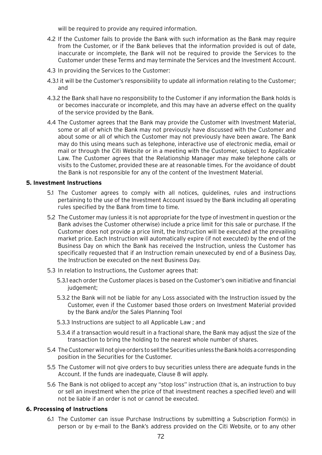will be required to provide any required information.

- 4.2 If the Customer fails to provide the Bank with such information as the Bank may require from the Customer, or if the Bank believes that the information provided is out of date, inaccurate or incomplete, the Bank will not be required to provide the Services to the Customer under these Terms and may terminate the Services and the Investment Account.
- 4.3 In providing the Services to the Customer:
- 4.3.1 it will be the Customer's responsibility to update all information relating to the Customer; and
- 4.3.2 the Bank shall have no responsibility to the Customer if any information the Bank holds is or becomes inaccurate or incomplete, and this may have an adverse effect on the quality of the service provided by the Bank.
- 4.4 The Customer agrees that the Bank may provide the Customer with Investment Material, some or all of which the Bank may not previously have discussed with the Customer and about some or all of which the Customer may not previously have been aware. The Bank may do this using means such as telephone, interactive use of electronic media, email or mail or through the Citi Website or in a meeting with the Customer, subject to Applicable Law. The Customer agrees that the Relationship Manager may make telephone calls or visits to the Customer, provided these are at reasonable times. For the avoidance of doubt the Bank is not responsible for any of the content of the Investment Material.

#### **5. Investment Instructions**

- 5.1 The Customer agrees to comply with all notices, guidelines, rules and instructions pertaining to the use of the Investment Account issued by the Bank including all operating rules specified by the Bank from time to time.
- 5.2 The Customer may (unless it is not appropriate for the type of investment in question or the Bank advises the Customer otherwise) include a price limit for this sale or purchase. If the Customer does not provide a price limit, the Instruction will be executed at the prevailing market price. Each Instruction will automatically expire (if not executed) by the end of the Business Day on which the Bank has received the Instruction, unless the Customer has specifically requested that if an Instruction remain unexecuted by end of a Business Day, the Instruction be executed on the next Business Day.
- 5.3 In relation to Instructions, the Customer agrees that:
	- 5.3.1 each order the Customer places is based on the Customer's own initiative and financial judgement:
	- 5.3.2 the Bank will not be liable for any Loss associated with the Instruction issued by the Customer, even if the Customer based those orders on Investment Material provided by the Bank and/or the Sales Planning Tool
	- 5.3.3 Instructions are subject to all Applicable Law ; and
	- 5.3.4 if a transaction would result in a fractional share, the Bank may adjust the size of the transaction to bring the holding to the nearest whole number of shares.
- 5.4 The Customer will not give orders to sell the Securities unless the Bank holds a corresponding position in the Securities for the Customer.
- 5.5 The Customer will not give orders to buy securities unless there are adequate funds in the Account. If the funds are inadequate, Clause 8 will apply.
- 5.6 The Bank is not obliged to accept any "stop loss" instruction (that is, an instruction to buy or sell an investment when the price of that investment reaches a specified level) and will not be liable if an order is not or cannot be executed.

#### **6. Processing of Instructions**

6.1 The Customer can issue Purchase Instructions by submitting a Subscription Form(s) in person or by e-mail to the Bank's address provided on the Citi Website, or to any other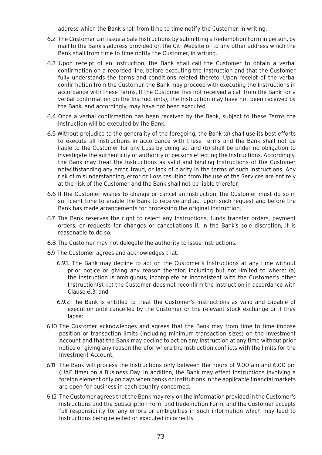address which the Bank shall from time to time notify the Customer, in writing.

- 6.2 The Customer can issue a Sale Instructions by submitting a Redemption Form in person, by mail to the Bank's address provided on the Citi Website or to any other address which the Bank shall from time to time notify the Customer, in writing.
- 6.3 Upon receipt of an Instruction, the Bank shall call the Customer to obtain a verbal confirmation on a recorded line, before executing the Instruction and that the Customer fully understands the terms and conditions related thereto. Upon receipt of the verbal confirmation from the Customer, the Bank may proceed with executing the Instructions in accordance with these Terms. If the Customer has not received a call from the Bank for a verbal confirmation on the Instruction(s), the Instruction may have not been received by the Bank, and accordingly, may have not been executed.
- 6.4 Once a verbal confirmation has been received by the Bank, subject to these Terms the Instruction will be executed by the Bank.
- 6.5 Without prejudice to the generality of the foregoing, the Bank (a) shall use its best efforts to execute all Instructions in accordance with these Terms and the Bank shall not be liable to the Customer for any Loss by doing so; and (b) shall be under no obligation to investigate the authenticity or authority of persons effecting the Instructions. Accordingly, the Bank may treat the Instructions as valid and binding Instructions of the Customer notwithstanding any error, fraud, or lack of clarity in the terms of such Instructions. Any risk of misunderstanding, error or Loss resulting from the use of the Services are entirely at the risk of the Customer and the Bank shall not be liable therefor.
- 6.6 If the Customer wishes to change or cancel an Instruction, the Customer must do so in sufficient time to enable the Bank to receive and act upon such request and before the Bank has made arrangements for processing the original Instruction.
- 6.7 The Bank reserves the right to reject any Instructions, funds transfer orders, payment orders, or requests for changes or cancellations if, in the Bank's sole discretion, it is reasonable to do so.
- 6.8 The Customer may not delegate the authority to issue Instructions.
- 6.9 The Customer agrees and acknowledges that:
	- 6.9.1. The Bank may decline to act on the Customer's Instructions at any time without prior notice or giving any reason therefor, including but not limited to where: (a) the Instruction is ambiguous, incomplete or inconsistent with the Customer's other Instruction(s); (b) the Customer does not reconfirm the Instruction in accordance with Clause 6.3; and
	- 6.9.2 The Bank is entitled to treat the Customer's Instructions as valid and capable of execution until cancelled by the Customer or the relevant stock exchange or if they lapse;
- 6.10 The Customer acknowledges and agrees that the Bank may from time to time impose position or transaction limits (including minimum transaction sizes) on the Investment Account and that the Bank may decline to act on any Instruction at any time without prior notice or giving any reason therefor where the Instruction conflicts with the limits for the Investment Account.
- 6.11 The Bank will process the Instructions only between the hours of 9.00 am and 6.00 pm (UAE time) on a Business Day. In addition, the Bank may effect Instructions involving a foreign element only on days when banks or institutions in the applicable financial markets are open for business in each country concerned.
- 6.12 The Customer agrees that the Bank may rely on the information provided in the Customer's Instructions and the Subscription Form and Redemption Form, and the Customer accepts full responsibility for any errors or ambiguities in such information which may lead to Instructions being rejected or executed incorrectly.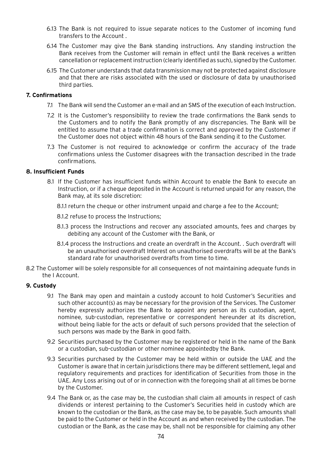- 6.13 The Bank is not required to issue separate notices to the Customer of incoming fund transfers to the Account .
- 6.14 The Customer may give the Bank standing instructions. Any standing instruction the Bank receives from the Customer will remain in effect until the Bank receives a written cancellation or replacement instruction (clearly identified as such), signed by the Customer.
- 6.15 The Customer understands that data transmission may not be protected against disclosure and that there are risks associated with the used or disclosure of data by unauthorised third parties.

#### **7. Confirmations**

- 7.1 The Bank will send the Customer an e-mail and an SMS of the execution of each Instruction.
- 7.2 It is the Customer's responsibility to review the trade confirmations the Bank sends to the Customers and to notify the Bank promptly of any discrepancies. The Bank will be entitled to assume that a trade confirmation is correct and approved by the Customer if the Customer does not object within 48 hours of the Bank sending it to the Customer.
- 7.3 The Customer is not required to acknowledge or confirm the accuracy of the trade confirmations unless the Customer disagrees with the transaction described in the trade confirmations.

#### **8. Insufficient Funds**

- 8.1 If the Customer has insufficient funds within Account to enable the Bank to execute an Instruction, or if a cheque deposited in the Account is returned unpaid for any reason, the Bank may, at its sole discretion:
	- 8.1.1 return the cheque or other instrument unpaid and charge a fee to the Account;
	- 8.1.2 refuse to process the Instructions;
	- 8.1.3 process the Instructions and recover any associated amounts, fees and charges by debiting any account of the Customer with the Bank, or
	- 8.1.4 process the Instructions and create an overdraft in the Account. . Such overdraft will be an unauthorised overdraft Interest on unauthorised overdrafts will be at the Bank's standard rate for unauthorised overdrafts from time to time.
- 8.2 The Customer will be solely responsible for all consequences of not maintaining adequate funds in the I Account.

# **9. Custody**

- 9.1 The Bank may open and maintain a custody account to hold Customer's Securities and such other account(s) as may be necessary for the provision of the Services. The Customer hereby expressly authorizes the Bank to appoint any person as its custodian, agent, nominee, sub-custodian, representative or correspondent hereunder at its discretion, without being liable for the acts or default of such persons provided that the selection of such persons was made by the Bank in good faith.
- 9.2 Securities purchased by the Customer may be registered or held in the name of the Bank or a custodian, sub-custodian or other nominee appointedby the Bank.
- 9.3 Securities purchased by the Customer may be held within or outside the UAE and the Customer is aware that in certain jurisdictions there may be different settlement, legal and regulatory requirements and practices for identification of Securities from those in the UAE. Any Loss arising out of or in connection with the foregoing shall at all times be borne by the Customer.
- 9.4 The Bank or, as the case may be, the custodian shall claim all amounts in respect of cash dividends or interest pertaining to the Customer's Securities held in custody which are known to the custodian or the Bank, as the case may be, to be payable. Such amounts shall be paid to the Customer or held in the Account as and when received by the custodian. The custodian or the Bank, as the case may be, shall not be responsible for claiming any other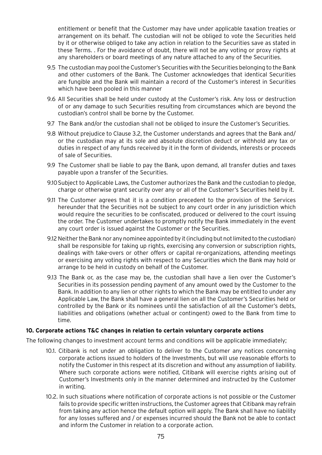entitlement or benefit that the Customer may have under applicable taxation treaties or arrangement on its behalf. The custodian will not be obliged to vote the Securities held by it or otherwise obliged to take any action in relation to the Securities save as stated in these Terms. . For the avoidance of doubt, there will not be any voting or proxy rights at any shareholders or board meetings of any nature attached to any of the Securities.

- 9.5 The custodian may pool the Customer's Securities with the Securities belonging to the Bank and other customers of the Bank. The Customer acknowledges that identical Securities are fungible and the Bank will maintain a record of the Customer's interest in Securities which have been pooled in this manner
- 9.6 All Securities shall be held under custody at the Customer's risk. Any loss or destruction of or any damage to such Securities resulting from circumstances which are beyond the custodian's control shall be borne by the Customer.
- 9.7 The Bank and/or the custodian shall not be obliged to insure the Customer's Securities.
- 9.8 Without prejudice to Clause 3.2, the Customer understands and agrees that the Bank and/ or the custodian may at its sole and absolute discretion deduct or withhold any tax or duties in respect of any funds received by it in the form of dividends, interests or proceeds of sale of Securities.
- 9.9 The Customer shall be liable to pay the Bank, upon demand, all transfer duties and taxes payable upon a transfer of the Securities.
- 9.10Subject to Applicable Laws, the Customer authorizes the Bank and the custodian to pledge, charge or otherwise grant security over any or all of the Customer's Securities held by it.
- 9.11 The Customer agrees that it is a condition precedent to the provision of the Services hereunder that the Securities not be subject to any court order in any jurisdiction which would require the securities to be confiscated, produced or delivered to the court issuing the order. The Customer undertakes to promptly notify the Bank immediately in the event any court order is issued against the Customer or the Securities.
- 9.12 Neither the Bank nor any nominee appointed by it (including but not limited to the custodian) shall be responsible for taking up rights, exercising any conversion or subscription rights, dealings with take-overs or other offers or capital re-organizations, attending meetings or exercising any voting rights with respect to any Securities which the Bank may hold or arrange to be held in custody on behalf of the Customer.
- 9.13 The Bank or, as the case may be, the custodian shall have a lien over the Customer's Securities in its possession pending payment of any amount owed by the Customer to the Bank. In addition to any lien or other rights to which the Bank may be entitled to under any Applicable Law, the Bank shall have a general lien on all the Customer's Securities held or controlled by the Bank or its nominees until the satisfaction of all the Customer's debts, liabilities and obligations (whether actual or contingent) owed to the Bank from time to time.

## **10. Corporate actions T&C changes in relation to certain voluntary corporate actions**

The following changes to investment account terms and conditions will be applicable immediately;

- 10.1. Citibank is not under an obligation to deliver to the Customer any notices concerning corporate actions issued to holders of the Investments, but will use reasonable efforts to notify the Customer in this respect at its discretion and without any assumption of liability. Where such corporate actions were notified, Citibank will exercise rights arising out of Customer's Investments only in the manner determined and instructed by the Customer in writing.
- 10.2. In such situations where notification of corporate actions is not possible or the Customer fails to provide specific written instructions, the Customer agrees that Citibank may refrain from taking any action hence the default option will apply. The Bank shall have no liability for any losses suffered and / or expenses incurred should the Bank not be able to contact and inform the Customer in relation to a corporate action.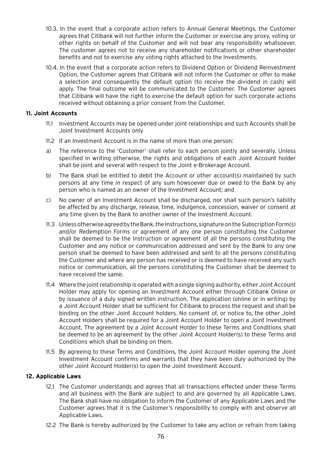- 10.3. In the event that a corporate action refers to Annual General Meetings, the Customer agrees that Citibank will not further inform the Customer or exercise any proxy, voting or other rights on behalf of the Customer and will not bear any responsibility whatsoever. The customer agrees not to receive any shareholder notifications or other shareholder benefits and not to exercise any voting rights attached to the Investments.
- 10.4. In the event that a corporate action refers to Dividend Option or Dividend Reinvestment Option, the Customer agrees that Citibank will not inform the Customer or offer to make a selection and consequently the default option (to receive the dividend in cash) will apply. The final outcome will be communicated to the Customer. The Customer agrees that Citibank will have the right to exercise the default option for such corporate actions received without obtaining a prior consent from the Customer.

#### **11. Joint Accounts**

- 11.1 Investment Accounts may be opened under joint relationships and such Accounts shall be Joint Investment Accounts only
- 11.2 If an Investment Account is in the name of more than one person:
- a) The reference to the 'Customer' shall refer to each person jointly and severally. Unless specified in writing otherwise, the rights and obligations of each Joint Account holder shall be joint and several with respect to the Joint e-Brokerage Account.
- b) The Bank shall be entitled to debit the Account or other account(s) maintained by such persons at any time in respect of any sum howsoever due or owed to the Bank by any person who is named as an owner of the Investment Account; and
- c) No owner of an Investment Account shall be discharged, nor shall such person's liability be affected by any discharge, release, time, indulgence, concession, waiver or consent at any time given by the Bank to another owner of the Investment Account.
- 11.3 Unless otherwise agreed by the Bank, the Instructions, signature on the Subscription Form(s) and/or Redemption Forms or agreement of any one person constituting the Customer shall be deemed to be the Instruction or agreement of all the persons constituting the Customer and any notice or communication addressed and sent by the Bank to any one person shall be deemed to have been addressed and sent to all the persons constituting the Customer and where any person has received or is deemed to have received any such notice or communication, all the persons constituting the Customer shall be deemed to have received the same.
- 11.4 Where the joint relationship is operated with a single signing authority, either Joint Account Holder may apply for opening an Investment Account either through Citibank Online or by issuance of a duly signed written instruction. The application (online or in writing) by a Joint Account Holder shall be sufficient for Citibank to process the request and shall be binding on the other Joint Account holders. No consent of, or notice to, the other Joint Account Holders shall be required for a Joint Account Holder to open a Joint Investment Account. The agreement by a Joint Account Holder to these Terms and Conditions shall be deemed to be an agreement by the other Joint Account Holder(s) to these Terms and Conditions which shall be binding on them.
- 11.5 By agreeing to these Terms and Conditions, the Joint Account Holder opening the Joint Investment Account confirms and warrants that they have been duly authorized by the other Joint Account Holder(s) to open the Joint Investment Account.

## **12. Applicable Laws**

- 12.1 The Customer understands and agrees that all transactions effected under these Terms and all business with the Bank are subject to and are governed by all Applicable Laws. The Bank shall have no obligation to inform the Customer of any Applicable Laws and the Customer agrees that it is the Customer's responsibility to comply with and observe all Applicable Laws.
- 12.2 The Bank is hereby authorized by the Customer to take any action or refrain from taking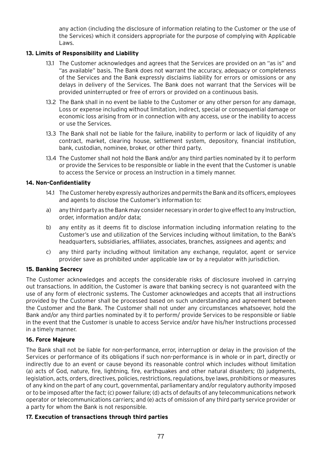any action (including the disclosure of information relating to the Customer or the use of the Services) which it considers appropriate for the purpose of complying with Applicable Laws.

# **13. Limits of Responsibility and Liability**

- 13.1 The Customer acknowledges and agrees that the Services are provided on an "as is" and "as available" basis. The Bank does not warrant the accuracy, adequacy or completeness of the Services and the Bank expressly disclaims liability for errors or omissions or any delays in delivery of the Services. The Bank does not warrant that the Services will be provided uninterrupted or free of errors or provided on a continuous basis.
- 13.2 The Bank shall in no event be liable to the Customer or any other person for any damage, Loss or expense including without limitation, indirect, special or consequential damage or economic loss arising from or in connection with any access, use or the inability to access or use the Services.
- 13.3 The Bank shall not be liable for the failure, inability to perform or lack of liquidity of any contract, market, clearing house, settlement system, depository, financial institution, bank, custodian, nominee, broker, or other third party.
- 13.4 The Customer shall not hold the Bank and/or any third parties nominated by it to perform or provide the Services to be responsible or liable in the event that the Customer is unable to access the Service or process an Instruction in a timely manner.

# **14. Non-Confidentiality**

- 14.1 The Customer hereby expressly authorizes and permits the Bank and its officers, employees and agents to disclose the Customer's information to:
- a) any third party as the Bank may consider necessary in order to give effect to any Instruction, order, information and/or data;
- b) any entity as it deems fit to disclose information including information relating to the Customer's use and utilization of the Services including without limitation, to the Bank's headquarters, subsidiaries, affiliates, associates, branches, assignees and agents; and
- c) any third party including without limitation any exchange, regulator, agent or service provider save as prohibited under applicable law or by a regulator with jurisdiction.

## **15. Banking Secrecy**

The Customer acknowledges and accepts the considerable risks of disclosure involved in carrying out transactions. In addition, the Customer is aware that banking secrecy is not guaranteed with the use of any form of electronic systems. The Customer acknowledges and accepts that all instructions provided by the Customer shall be processed based on such understanding and agreement between the Customer and the Bank. The Customer shall not under any circumstances whatsoever, hold the Bank and/or any third parties nominated by it to perform/ provide Services to be responsible or liable in the event that the Customer is unable to access Service and/or have his/her Instructions processed in a timely manner.

## **16. Force Majeure**

The Bank shall not be liable for non-performance, error, interruption or delay in the provision of the Services or performance of its obligations if such non-performance is in whole or in part, directly or indirectly due to an event or cause beyond its reasonable control which includes without limitation (a) acts of God, nature, fire, lightning, fire, earthquakes and other natural disasters; (b) judgments, legislation, acts, orders, directives, policies, restrictions, regulations, bye laws, prohibitions or measures of any kind on the part of any court, governmental, parliamentary and/or regulatory authority imposed or to be imposed after the fact; (c) power failure; (d) acts of defaults of any telecommunications network operator or telecommunications carriers; and (e) acts of omission of any third party service provider or a party for whom the Bank is not responsible.

## **17. Execution of transactions through third parties**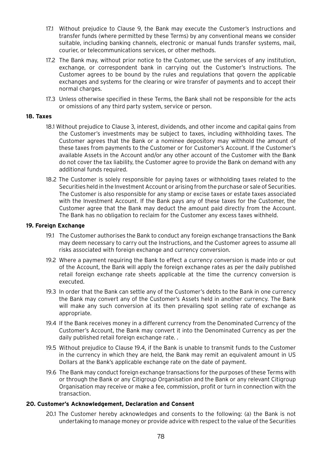- 17.1 Without prejudice to Clause 9, the Bank may execute the Customer's Instructions and transfer funds (where permitted by these Terms) by any conventional means we consider suitable, including banking channels, electronic or manual funds transfer systems, mail, courier, or telecommunications services, or other methods.
- 17.2 The Bank may, without prior notice to the Customer, use the services of any institution, exchange, or correspondent bank in carrying out the Customer's Instructions. The Customer agrees to be bound by the rules and regulations that govern the applicable exchanges and systems for the clearing or wire transfer of payments and to accept their normal charges.
- 17.3 Unless otherwise specified in these Terms, the Bank shall not be responsible for the acts or omissions of any third party system, service or person.

#### **18. Taxes**

- 18.1 Without prejudice to Clause 3, interest, dividends, and other income and capital gains from the Customer's investments may be subject to taxes, including withholding taxes. The Customer agrees that the Bank or a nominee depository may withhold the amount of these taxes from payments to the Customer or for Customer's Account. If the Customer's available Assets in the Account and/or any other account of the Customer with the Bank do not cover the tax liability, the Customer agree to provide the Bank on demand with any additional funds required.
- 18.2 The Customer is solely responsible for paying taxes or withholding taxes related to the Securities held in the Investment Account or arising from the purchase or sale of Securities. The Customer is also responsible for any stamp or excise taxes or estate taxes associated with the Investment Account. If the Bank pays any of these taxes for the Customer, the Customer agree that the Bank may deduct the amount paid directly from the Account. The Bank has no obligation to reclaim for the Customer any excess taxes withheld.

#### **19. Foreign Exchange**

- 19.1 The Customer authorises the Bank to conduct any foreign exchange transactions the Bank may deem necessary to carry out the Instructions, and the Customer agrees to assume all risks associated with foreign exchange and currency conversion.
- 19.2 Where a payment requiring the Bank to effect a currency conversion is made into or out of the Account, the Bank will apply the foreign exchange rates as per the daily published retail foreign exchange rate sheets applicable at the time the currency conversion is executed.
- 19.3 In order that the Bank can settle any of the Customer's debts to the Bank in one currency the Bank may convert any of the Customer's Assets held in another currency. The Bank will make any such conversion at its then prevailing spot selling rate of exchange as appropriate.
- 19.4 If the Bank receives money in a different currency from the Denominated Currency of the Customer's Account, the Bank may convert it into the Denominated Currency as per the daily published retail foreign exchange rate. .
- 19.5 Without prejudice to Clause 19.4, if the Bank is unable to transmit funds to the Customer in the currency in which they are held, the Bank may remit an equivalent amount in US Dollars at the Bank's applicable exchange rate on the date of payment.
- 19.6 The Bank may conduct foreign exchange transactions for the purposes of these Terms with or through the Bank or any Citigroup Organisation and the Bank or any relevant Citigroup Organisation may receive or make a fee, commission, profit or turn in connection with the transaction.

#### **20. Customer's Acknowledgement, Declaration and Consent**

20.1 The Customer hereby acknowledges and consents to the following: (a) the Bank is not undertaking to manage money or provide advice with respect to the value of the Securities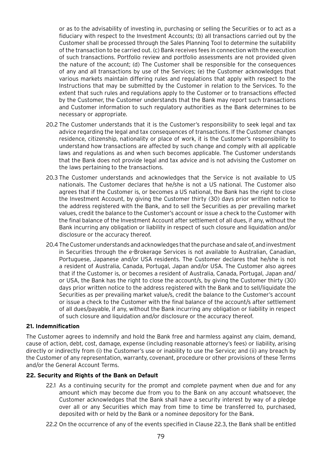or as to the advisability of investing in, purchasing or selling the Securities or to act as a fiduciary with respect to the Investment Accounts; (b) all transactions carried out by the Customer shall be processed through the Sales Planning Tool to determine the suitability of the transaction to be carried out. (c) Bank receives fees in connection with the execution of such transactions. Portfolio review and portfolio assessments are not provided given the nature of the account; (d) The Customer shall be responsible for the consequences of any and all transactions by use of the Services; (e) the Customer acknowledges that various markets maintain differing rules and regulations that apply with respect to the Instructions that may be submitted by the Customer in relation to the Services. To the extent that such rules and regulations apply to the Customer or to transactions effected by the Customer, the Customer understands that the Bank may report such transactions and Customer information to such regulatory authorities as the Bank determines to be necessary or appropriate.

- 20.2 The Customer understands that it is the Customer's responsibility to seek legal and tax advice regarding the legal and tax consequences of transactions. If the Customer changes residence, citizenship, nationality or place of work, it is the Customer's responsibility to understand how transactions are affected by such change and comply with all applicable laws and regulations as and when such becomes applicable. The Customer understands that the Bank does not provide legal and tax advice and is not advising the Customer on the laws pertaining to the transactions.
- 20.3 The Customer understands and acknowledges that the Service is not available to US nationals. The Customer declares that he/she is not a US national. The Customer also agrees that if the Customer is, or becomes a US national, the Bank has the right to close the Investment Account, by giving the Customer thirty (30) days prior written notice to the address registered with the Bank, and to sell the Securities as per prevailing market values, credit the balance to the Customer's account or issue a check to the Customer with the final balance of the Investment Account after settlement of all dues, if any, without the Bank incurring any obligation or liability in respect of such closure and liquidation and/or disclosure or the accuracy thereof.
- 20.4 The Customer understands and acknowledges that the purchase and sale of, and investment in Securities through the e-Brokerage Services is not available to Australian, Canadian, Portuguese, Japanese and/or USA residents. The Customer declares that he/she is not a resident of Australia, Canada, Portugal, Japan and/or USA. The Customer also agrees that if the Customer is, or becomes a resident of Australia, Canada, Portugal, Japan and/ or USA, the Bank has the right to close the account/s, by giving the Customer thirty (30) days prior written notice to the address registered with the Bank and to sell/liquidate the Securities as per prevailing market value/s, credit the balance to the Customer's account or issue a check to the Customer with the final balance of the account/s after settlement of all dues/payable, if any, without the Bank incurring any obligation or liability in respect of such closure and liquidation and/or disclosure or the accuracy thereof.

## **21. Indemnification**

The Customer agrees to indemnify and hold the Bank free and harmless against any claim, demand, cause of action, debt, cost, damage, expense (including reasonable attorney's fees) or liability, arising directly or indirectly from (i) the Customer's use or inability to use the Service; and (ii) any breach by the Customer of any representation, warranty, covenant, procedure or other provisions of these Terms and/or the General Account Terms.

## **22. Security and Rights of the Bank on Default**

22.1 As a continuing security for the prompt and complete payment when due and for any amount which may become due from you to the Bank on any account whatsoever, the Customer acknowledges that the Bank shall have a security interest by way of a pledge over all or any Securities which may from time to time be transferred to, purchased, deposited with or held by the Bank or a nominee depository for the Bank.

22.2 On the occurrence of any of the events specified in Clause 22.3, the Bank shall be entitled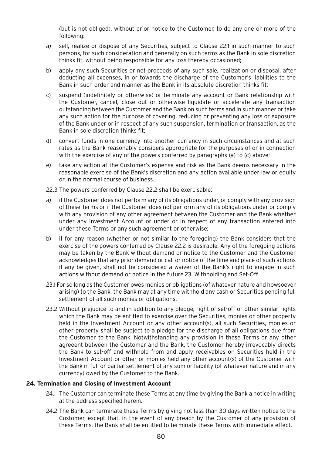(but is not obliged), without prior notice to the Customer, to do any one or more of the following:

- a) sell, realize or dispose of any Securities, subject to Clause 22.1 in such manner to such persons, for such consideration and generally on such terms as the Bank in sole discretion thinks fit, without being responsible for any loss thereby occasioned;
- b) apply any such Securities or net proceeds of any such sale, realization or disposal, after deducting all expenses, in or towards the discharge of the Customer's liabilities to the Bank in such order and manner as the Bank in its absolute discretion thinks fit;
- c) suspend (indefinitely or otherwise) or terminate any account or Bank relationship with the Customer, cancel, close out or otherwise liquidate or accelerate any transaction outstanding between the Customer and the Bank on such terms and in such manner or take any such action for the purpose of covering, reducing or preventing any loss or exposure of the Bank under or in respect of any such suspension, termination or transaction, as the Bank in sole discretion thinks fit;
- d) convert funds in one currency into another currency in such circumstances and at such rates as the Bank reasonably considers appropriate for the purposes of or in connection with the exercise of any of the powers conferred by paragraphs (a) to (c) above;
- e) take any action at the Customer's expense and risk as the Bank deems necessary in the reasonable exercise of the Bank's discretion and any action available under law or equity or in the normal course of business.
- 22.3 The powers conferred by Clause 22.2 shall be exercisable:
- a) if the Customer does not perform any of its obligations under, or comply with any provision of these Terms or if the Customer does not perform any of its obligations under or comply with any provision of any other agreement between the Customer and the Bank whether under any Investment Account or under or in respect of any transaction entered into under these Terms or any such agreement or otherwise;
- b) if for any reason (whether or not similar to the foregoing) the Bank considers that the exercise of the powers conferred by Clause 22.2 is desirable. Any of the foregoing actions may be taken by the Bank without demand or notice to the Customer and the Customer acknowledges that any prior demand or call or notice of the time and place of such actions if any be given, shall not be considered a waiver of the Bank's right to engage in such actions without demand or notice in the future.23. Withholding and Set-Off
- 23.1 For so long as the Customer owes monies or obligations (of whatever nature and howsoever arising) to the Bank, the Bank may at any time withhold any cash or Securities pending full settlement of all such monies or obligations.
- 23.2 Without prejudice to and in addition to any pledge, right of set-off or other similar rights which the Bank may be entitled to exercise over the Securities, monies or other property held in the Investment Account or any other account(s), all such Securities, monies or other property shall be subject to a pledge for the discharge of all obligations due from the Customer to the Bank. Notwithstanding any provision in these Terms or any other agreeent between the Customer and the Bank, the Customer hereby irrevocably directs the Bank to set-off and withhold from and apply receivables on Securities held in the Investment Account or other or monies held any other account(s) of the Customer with the Bank in full or partial settlement of any sum or liability (of whatever nature and in any currency) owed by the Customer to the Bank.

## **24. Termination and Closing of Investment Account**

- 24.1 The Customer can terminate these Terms at any time by giving the Bank a notice in writing at the address specified herein.
- 24.2 The Bank can terminate these Terms by giving not less than 30 days written notice to the Customer, except that, in the event of any breach by the Customer of any provision of these Terms, the Bank shall be entitled to terminate these Terms with immediate effect.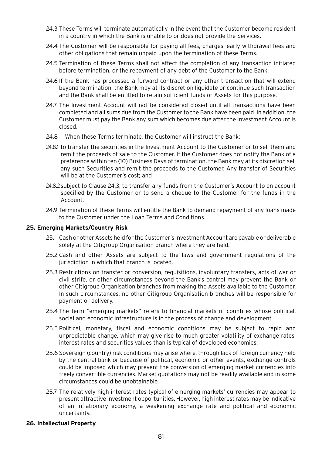- 24.3 These Terms will terminate automatically in the event that the Customer become resident in a country in which the Bank is unable to or does not provide the Services.
- 24.4 The Customer will be responsible for paying all fees, charges, early withdrawal fees and other obligations that remain unpaid upon the termination of these Terms.
- 24.5 Termination of these Terms shall not affect the completion of any transaction initiated before termination, or the repayment of any debt of the Customer to the Bank.
- 24.6 If the Bank has processed a forward contract or any other transaction that will extend beyond termination, the Bank may at its discretion liquidate or continue such transaction and the Bank shall be entitled to retain sufficient funds or Assets for this purpose.
- 24.7 The Investment Account will not be considered closed until all transactions have been completed and all sums due from the Customer to the Bank have been paid. In addition, the Customer must pay the Bank any sum which becomes due after the Investment Account is closed.
- 24.8 When these Terms terminate, the Customer will instruct the Bank:
- 24.8.1 to transfer the securities in the Investment Account to the Customer or to sell them and remit the proceeds of sale to the Customer. If the Customer does not notify the Bank of a preference within ten (10) Business Days of termination, the Bank may at its discretion sell any such Securities and remit the proceeds to the Customer. Any transfer of Securities will be at the Customer's cost; and
- 24.8.2subject to Clause 24.3, to transfer any funds from the Customer's Account to an account specified by the Customer or to send a cheque to the Customer for the funds in the Account.
- 24.9 Termination of these Terms will entitle the Bank to demand repayment of any loans made to the Customer under the Loan Terms and Conditions.

#### **25. Emerging Markets/Country Risk**

- 25.1 Cash or other Assets held for the Customer's Investment Account are payable or deliverable solely at the Citigroup Organisation branch where they are held.
- 25.2 Cash and other Assets are subject to the laws and government regulations of the jurisdiction in which that branch is located.
- 25.3 Restrictions on transfer or conversion, requisitions, involuntary transfers, acts of war or civil strife, or other circumstances beyond the Bank's control may prevent the Bank or other Citigroup Organisation branches from making the Assets available to the Customer. In such circumstances, no other Citigroup Organisation branches will be responsible for payment or delivery.
- 25.4 The term "emerging markets" refers to financial markets of countries whose political, social and economic infrastructure is in the process of change and development.
- 25.5 Political, monetary, fiscal and economic conditions may be subject to rapid and unpredictable change, which may give rise to much greater volatility of exchange rates, interest rates and securities values than is typical of developed economies.
- 25.6 Sovereign (country) risk conditions may arise where, through lack of foreign currency held by the central bank or because of political, economic or other events, exchange controls could be imposed which may prevent the conversion of emerging market currencies into freely convertible currencies. Market quotations may not be readily available and in some circumstances could be unobtainable.
- 25.7 The relatively high interest rates typical of emerging markets' currencies may appear to present attractive investment opportunities. However, high interest rates may be indicative of an inflationary economy, a weakening exchange rate and political and economic uncertainty.

#### **26. Intellectual Property**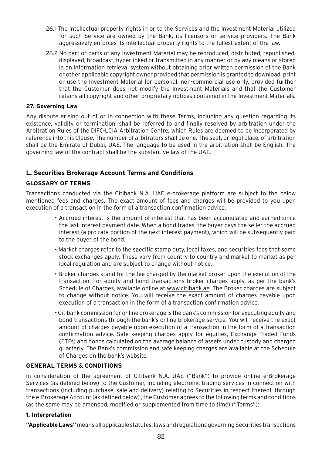- 26.1 The intellectual property rights in or to the Services and the Investment Material utilized for such Service are owned by the Bank, its licensors or service providers. The Bank aggressively enforces its intellectual property rights to the fullest extent of the law.
- 26.2 No part or parts of any Investment Material may be reproduced, distributed, republished, displayed, broadcast, hyperlinked or transmitted in any manner or by any means or stored in an information retrieval system without obtaining prior written permission of the Bank or other applicable copyright owner provided that permission is granted to download, print or use the Investment Material for personal, non-commercial use only, provided further that the Customer does not modify the Investment Materials and that the Customer retains all copyright and other proprietary notices contained in the Investment Materials.

# **27. Governing Law**

Any dispute arising out of or in connection with these Terms, including any question regarding its existence, validity or termination, shall be referred to and finally resolved by arbitration under the Arbitration Rules of the DIFC-LCIA Arbitration Centre, which Rules are deemed to be incorporated by reference into this Clause. The number of arbitrators shall be one. The seat, or legal place, of arbitration shall be the Emirate of Dubai, UAE. The language to be used in the arbitration shall be English. The governing law of the contract shall be the substantive law of the UAE.

# **L. Securities Brokerage Account Terms and Conditions**

# **GLOSSARY OF TERMS**

Transactions conducted via the Citibank N.A. UAE e-brokerage platform are subject to the below mentioned fees and charges. The exact amount of fees and charges will be provided to you upon execution of a transaction in the form of a transaction confirmation advice.

- Accrued interest is the amount of interest that has been accumulated and earned since the last interest payment date. When a bond trades, the buyer pays the seller the accrued interest (a pro rata portion of the next interest payment), which will be subsequently paid to the buyer of the bond.
- Market charges refer to the specific stamp duty, local taxes, and securities fees that some stock exchanges apply. These vary from country to country and market to market as per local regulation and are subject to change without notice.
- Broker charges stand for the fee charged by the market broker upon the execution of the transaction. For equity and bond transactions broker charges apply, as per the bank's Schedule of Charges, available online at www.citibank.ae. The Broker charges are subject to change without notice. You will receive the exact amount of charges payable upon execution of a transaction in the form of a transaction confirmation advice.
- Citibank commission for online brokerage is the bank's commission for executing equity and bond transactions through the bank's online brokerage service. You will receive the exact amount of charges payable upon execution of a transaction in the form of a transaction confirmation advice. Safe keeping charges apply for equities, Exchange Traded Funds (ETFs) and bonds calculated on the average balance of assets under custody and charged quarterly. The Bank's commission and safe keeping charges are available at the Schedule of Charges on the bank's website.

## **GENERAL TERMS & CONDITIONS**

In consideration of the agreement of Citibank N.A. UAE ("Bank") to provide online e-Brokerage Services (as defined below) to the Customer, including electronic trading services in connection with transactions (including purchase, sale and delivery) relating to Securities in respect thereof, through the e-Brokerage Account (as defined below) , the Customer agrees to the following terms and conditions (as the same may be amended, modified or supplemented from time to time) ("Terms"):

## **1. Interpretation**

**"Applicable Laws"** means all applicable statutes, laws and regulations governing Securities transactions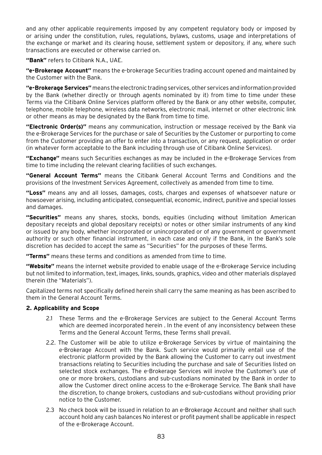and any other applicable requirements imposed by any competent regulatory body or imposed by or arising under the constitution, rules, regulations, bylaws, customs, usage and interpretations of the exchange or market and its clearing house, settlement system or depository, if any, where such transactions are executed or otherwise carried on.

**"Bank"** refers to Citibank N.A., UAE.

**"e-Brokerage Account"** means the e-brokerage Securities trading account opened and maintained by the Customer with the Bank.

**"e-Brokerage Services"** means the electronic trading services, other services and information provided by the Bank (whether directly or through agents nominated by it) from time to time under these Terms via the Citibank Online Services platform offered by the Bank or any other website, computer, telephone, mobile telephone, wireless data networks, electronic mail, internet or other electronic link or other means as may be designated by the Bank from time to time.

**"Electronic Order(s)"** means any communication, instruction or message received by the Bank via the e-Brokerage Services for the purchase or sale of Securities by the Customer or purporting to come from the Customer providing an offer to enter into a transaction, or any request, application or order (in whatever form acceptable to the Bank including through use of Citibank Online Services).

**"Exchange"** means such Securities exchanges as may be included in the e-Brokerage Services from time to time including the relevant clearing facilities of such exchanges.

**"General Account Terms"** means the Citibank General Account Terms and Conditions and the provisions of the Investment Services Agreement, collectively as amended from time to time.

**"Loss"** means any and all losses, damages, costs, charges and expenses of whatsoever nature or howsoever arising, including anticipated, consequential, economic, indirect, punitive and special losses and damages.

**"Securities"** means any shares, stocks, bonds, equities (including without limitation American depositary receipts and global depositary receipts) or notes or other similar instruments of any kind or issued by any body, whether incorporated or unincorporated or of any government or government authority or such other financial instrument, in each case and only if the Bank, in the Bank's sole discretion has decided to accept the same as "Securities" for the purposes of these Terms.

**"Terms"** means these terms and conditions as amended from time to time.

**"Website"** means the internet website provided to enable usage of the e-Brokerage Service including but not limited to information, text, images, links, sounds, graphics, video and other materials displayed therein (the "Materials").

Capitalized terms not specifically defined herein shall carry the same meaning as has been ascribed to them in the General Account Terms.

## **2. Applicability and Scope**

- 2.1 These Terms and the e-Brokerage Services are subject to the General Account Terms which are deemed incorporated herein . In the event of any inconsistency between these Terms and the General Account Terms, these Terms shall prevail.
- 2.2. The Customer will be able to utilize e-Brokerage Services by virtue of maintaining the e-Brokerage Account with the Bank. Such service would primarily entail use of the electronic platform provided by the Bank allowing the Customer to carry out investment transactions relating to Securities including the purchase and sale of Securities listed on selected stock exchanges. The e-Brokerage Services will involve the Customer's use of one or more brokers, custodians and sub-custodians nominated by the Bank in order to allow the Customer direct online access to the e-Brokerage Service. The Bank shall have the discretion, to change brokers, custodians and sub-custodians without providing prior notice to the Customer.
- 2.3 No check book will be issued in relation to an e-Brokerage Account and neither shall such account hold any cash balances No interest or profit payment shall be applicable in respect of the e-Brokerage Account.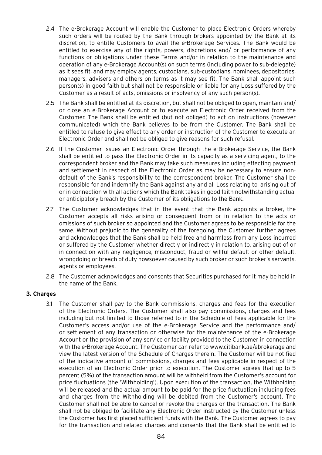- 2.4 The e-Brokerage Account will enable the Customer to place Electronic Orders whereby such orders will be routed by the Bank through brokers appointed by the Bank at its discretion, to entitle Customers to avail the e-Brokerage Services. The Bank would be entitled to exercise any of the rights, powers, discretions and/ or performance of any functions or obligations under these Terms and/or in relation to the maintenance and operation of any e-Brokerage Account(s) on such terms (including power to sub-delegate) as it sees fit, and may employ agents, custodians, sub-custodians, nominees, depositories, managers, advisers and others on terms as it may see fit. The Bank shall appoint such person(s) in good faith but shall not be responsible or liable for any Loss suffered by the Customer as a result of acts, omissions or insolvency of any such person(s).
- 2.5 The Bank shall be entitled at its discretion, but shall not be obliged to open, maintain and/ or close an e-Brokerage Account or to execute an Electronic Order received from the Customer. The Bank shall be entitled (but not obliged) to act on instructions (however communicated) which the Bank believes to be from the Customer. The Bank shall be entitled to refuse to give effect to any order or instruction of the Customer to execute an Electronic Order and shall not be obliged to give reasons for such refusal.
- 2.6 If the Customer issues an Electronic Order through the e-Brokerage Service, the Bank shall be entitled to pass the Electronic Order in its capacity as a servicing agent, to the correspondent broker and the Bank may take such measures including effecting payment and settlement in respect of the Electronic Order as may be necessary to ensure nondefault of the Bank's responsibility to the correspondent broker. The Customer shall be responsible for and indemnify the Bank against any and all Loss relating to, arising out of or in connection with all actions which the Bank takes in good faith notwithstanding actual or anticipatory breach by the Customer of its obligations to the Bank.
- 2.7 The Customer acknowledges that in the event that the Bank appoints a broker, the Customer accepts all risks arising or consequent from or in relation to the acts or omissions of such broker so appointed and the Customer agrees to be responsible for the same. Without prejudic to the generality of the foregoing, the Customer further agrees and acknowledges that the Bank shall be held free and harmless from any Loss incurred or suffered by the Customer whether directly or indirectly in relation to, arising out of or in connection with any negligence, misconduct, fraud or willful default or other default, wrongdoing or breach of duty howsoever caused by such broker or such broker's servants, agents or employees.
- 2.8 The Customer acknowledges and consents that Securities purchased for it may be held in the name of the Bank.

## **3. Charges**

3.1 The Customer shall pay to the Bank commissions, charges and fees for the execution of the Electronic Orders. The Customer shall also pay commissions, charges and fees including but not limited to those referred to in the Schedule of Fees applicable for the Customer's access and/or use of the e-Brokerage Service and the performance and/ or settlement of any transaction or otherwise for the maintenance of the e-Brokerage Account or the provision of any service or facility provided to the Customer in connection with the e-Brokerage Account. The Customer can refer to www.citibank.ae/ebrokerage and view the latest version of the Schedule of Charges therein. The Customer will be notified of the indicative amount of commissions, charges and fees applicable in respect of the execution of an Electronic Order prior to execution. The Customer agrees that up to 5 percent (5%) of the transaction amount will be withheld from the Customer's account for price fluctuations (the 'Withholding'). Upon execution of the transaction, the Withholding will be released and the actual amount to be paid for the price fluctuation including fees and charges from the Withholding will be debited from the Customer's account. The Customer shall not be able to cancel or revoke the charges or the transaction. The Bank shall not be obliged to facilitate any Electronic Order instructed by the Customer unless the Customer has first placed sufficient funds with the Bank. The Customer agrees to pay for the transaction and related charges and consents that the Bank shall be entitled to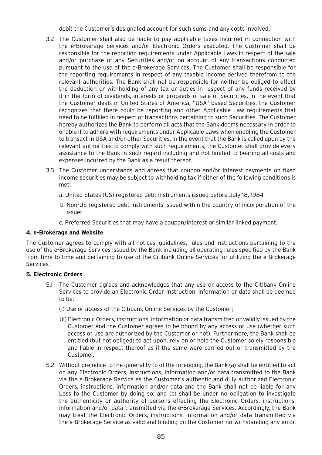debit the Customer's designated account for such sums and any costs involved.

- 3.2 The Customer shall also be liable to pay applicable taxes incurred in connection with the e-Brokerage Services and/or Electronic Orders executed. The Customer shall be responsible for the reporting requirements under Applicable Laws in respect of the sale and/or purchase of any Securities and/or on account of any transactions conducted pursuant to the use of the e-Brokerage Services. The Customer shall be responsible for the reporting requirements in respect of any taxable income derived therefrom to the relevant authorities. The Bank shall not be responsible for neither be obliged to effect the deduction or withholding of any tax or duties in respect of any funds received by it in the form of dividends, interests or proceeds of sale of Securities. In the event that the Customer deals in United States of America, "USA" based Securities, the Customer recognizes that there could be reporting and other Applicable Law requirements that need to be fulfilled in respect of transactions pertaining to such Securities. The Customer hereby authorizes the Bank to perform all acts that the Bank deems necessary in order to enable it to adhere with requirements under Applicable Laws when enabling the Customer to transact in USA and/or other Securities. In the event that the Bank is called upon by the relevant authorities to comply with such requirements, the Customer shall provide every assistance to the Bank in such regard including and not limited to bearing all costs and expenses incurred by the Bank as a result thereof.
- 3.3 The Customer understands and agrees that coupon and/or interest payments on fixed income securities may be subject to withholding tax if either of the following conditions is met:
	- a. United States (US) registered debt instruments issued before July 18, 1984
	- b. Non-US registered debt instruments issued within the country of incorporation of the issuer
	- c. Preferred Securities that may have a coupon/interest or similar linked payment.

## **4. e-Brokerage and Website**

The Customer agrees to comply with all notices, guidelines, rules and instructions pertaining to the use of the e-Brokerage Services issued by the Bank including all operating rules specified by the Bank from time to time and pertaining to use of the Citibank Online Services for utilizing the e-Brokerage Services.

## **5. Electronic Orders**

- 5.1 The Customer agrees and acknowledges that any use or access to the Citibank Online Services to provide an Electronic Order, instruction, information or data shall be deemed to be:
	- (i) Use or access of the Citibank Online Services by the Customer;
	- (ii) Electronic Orders, instructions, information or data transmitted or validly issued by the Customer and the Customer agrees to be bound by any access or use (whether such access or use are authorized by the Customer or not). Furthermore, the Bank shall be entitled (but not obliged) to act upon, rely on or hold the Customer solely responsible and liable in respect thereof as if the same were carried out or transmitted by the Customer.
- 5.2 Without prejudice to the generality to of the foregoing, the Bank (a) shall be entitled to act on any Electronic Orders, instructions, information and/or data transmitted to the Bank via the e-Brokerage Service as the Customer's authentic and duly authorized Electronic Orders, instructions, information and/or data and the Bank shall not be liable for any Loss to the Customer by doing so; and (b) shall be under no obligation to investigate the authenticity or authority of persons effecting the Electronic Orders, instructions, information and/or data transmitted via the e-Brokerage Services. Accordingly, the Bank may treat the Electronic Orders, instructions, information and/or data transmitted via the e-Brokerage Service as valid and binding on the Customer notwithstanding any error,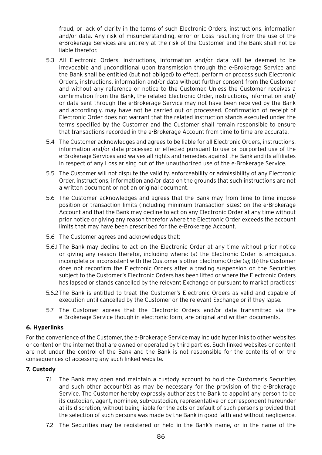fraud, or lack of clarity in the terms of such Electronic Orders, instructions, information and/or data. Any risk of misunderstanding, error or Loss resulting from the use of the e-Brokerage Services are entirely at the risk of the Customer and the Bank shall not be liable therefor.

- 5.3 All Electronic Orders, instructions, information and/or data will be deemed to be irrevocable and unconditional upon transmission through the e-Brokerage Service and the Bank shall be entitled (but not obliged) to effect, perform or process such Electronic Orders, instructions, information and/or data without further consent from the Customer and without any reference or notice to the Customer. Unless the Customer receives a confirmation from the Bank, the related Electronic Order, instructions, information and/ or data sent through the e-Brokerage Service may not have been received by the Bank and accordingly, may have not be carried out or processed. Confirmation of receipt of Electronic Order does not warrant that the related instruction stands executed under the terms specified by the Customer and the Customer shall remain responsible to ensure that transactions recorded in the e-Brokerage Account from time to time are accurate.
- 5.4 The Customer acknowledges and agrees to be liable for all Electronic Orders, instructions, information and/or data processed or effected pursuant to use or purported use of the e-Brokerage Services and waives all rights and remedies against the Bank and its affiliates in respect of any Loss arising out of the unauthorized use of the e-Brokerage Service.
- 5.5 The Customer will not dispute the validity, enforceability or admissibility of any Electronic Order, instructions, information and/or data on the grounds that such instructions are not a written document or not an original document.
- 5.6 The Customer acknowledges and agrees that the Bank may from time to time impose position or transaction limits (including minimum transaction sizes) on the e-Brokerage Account and that the Bank may decline to act on any Electronic Order at any time without prior notice or giving any reason therefor where the Electronic Order exceeds the account limits that may have been prescribed for the e-Brokerage Account.
- 5.6 The Customer agrees and acknowledges that:
- 5.6.1 The Bank may decline to act on the Electronic Order at any time without prior notice or giving any reason therefor, including where: (a) the Electronic Order is ambiguous, incomplete or inconsistent with the Customer's other Electronic Order(s); (b) the Customer does not reconfirm the Electronic Orders after a trading suspension on the Securities subject to the Customer's Electronic Orders has been lifted or where the Electronic Orders has lapsed or stands cancelled by the relevant Exchange or pursuant to market practices;
- 5.6.2The Bank is entitled to treat the Customer's Electronic Orders as valid and capable of execution until cancelled by the Customer or the relevant Exchange or if they lapse.
- 5.7 The Customer agrees that the Electronic Orders and/or data transmitted via the e-Brokerage Service though in electronic form, are original and written documents.

## **6. Hyperlinks**

For the convenience of the Customer, the e-Brokerage Service may include hyperlinks to other websites or content on the internet that are owned or operated by third parties. Such linked websites or content are not under the control of the Bank and the Bank is not responsible for the contents of or the consequences of accessing any such linked website.

# **7. Custody**

- 7.1 The Bank may open and maintain a custody account to hold the Customer's Securities and such other account(s) as may be necessary for the provision of the e-Brokerage Service. The Customer hereby expressly authorizes the Bank to appoint any person to be its custodian, agent, nominee, sub-custodian, representative or correspondent hereunder at its discretion, without being liable for the acts or default of such persons provided that the selection of such persons was made by the Bank in good faith and without negligence.
- 7.2 The Securities may be registered or held in the Bank's name, or in the name of the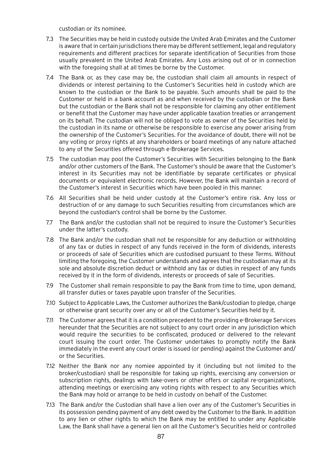custodian or its nominee.

- 7.3 The Securities may be held in custody outside the United Arab Emirates and the Customer is aware that in certain jurisdictions there may be different settlement, legal and regulatory requirements and different practices for separate identification of Securities from those usually prevalent in the United Arab Emirates. Any Loss arising out of or in connection with the foregoing shall at all times be borne by the Customer.
- 7.4 The Bank or, as they case may be, the custodian shall claim all amounts in respect of dividends or interest pertaining to the Customer's Securities held in custody which are known to the custodian or the Bank to be payable. Such amounts shall be paid to the Customer or held in a bank account as and when received by the custodian or the Bank but the custodian or the Bank shall not be responsible for claiming any other entitlement or benefit that the Customer may have under applicable taxation treaties or arrangement on its behalf. The custodian will not be obliged to vote as owner of the Securities held by the custodian in its name or otherwise be responsible to exercise any power arising from the ownership of the Customer's Securities. For the avoidance of doubt, there will not be any voting or proxy rights at any shareholders or board meetings of any nature attached to any of the Securities offered through e-Brokerage Services.
- 7.5 The custodian may pool the Customer's Securities with Securities belonging to the Bank and/or other customers of the Bank. The Customer's should be aware that the Customer's interest in its Securities may not be identifiable by separate certificates or physical documents or equivalent electronic records. However, the Bank will maintain a record of the Customer's interest in Securities which have been pooled in this manner.
- 7.6 All Securities shall be held under custody at the Customer's entire risk. Any loss or destruction of or any damage to such Securities resulting from circumstances which are beyond the custodian's control shall be borne by the Customer.
- 7.7 The Bank and/or the custodian shall not be required to insure the Customer's Securities under the latter's custody.
- 7.8 The Bank and/or the custodian shall not be responsible for any deduction or withholding of any tax or duties in respect of any funds received in the form of dividends, interests or proceeds of sale of Securities which are custodised pursuant to these Terms. Without limiting the foregoing, the Customer understands and agrees that the custodian may at its sole and absolute discretion deduct or withhold any tax or duties in respect of any funds received by it in the form of dividends, interests or proceeds of sale of Securities.
- 7.9 The Customer shall remain responsible to pay the Bank from time to time, upon demand, all transfer duties or taxes payable upon transfer of the Securities.
- 7.10 Subject to Applicable Laws, the Customer authorizes the Bank/custodian to pledge, charge or otherwise grant security over any or all of the Customer's Securities held by it.
- 7.11 The Customer agrees that it is a condition precedent to the providing e-Brokerage Services hereunder that the Securities are not subject to any court order in any jurisdiction which would require the securities to be confiscated, produced or delivered to the relevant court issuing the court order. The Customer undertakes to promptly notify the Bank immediately in the event any court order is issued (or pending) against the Customer and/ or the Securities.
- 7.12 Neither the Bank nor any nomiee appointed by it (including but not limited to the broker/custodian) shall be responsible for taking up rights, exercising any conversion or subscription rights, dealings with take-overs or other offers or capital re-organizations, attending meetings or exercising any voting rights with respect to any Securities which the Bank may hold or arrange to be held in custody on behalf of the Customer.
- 7.13 The Bank and/or the Custodian shall have a lien over any of the Customer's Securities in its possession pending payment of any debt owed by the Customer to the Bank. In addition to any lien or other rights to which the Bank may be entitled to under any Applicable Law, the Bank shall have a general lien on all the Customer's Securities held or controlled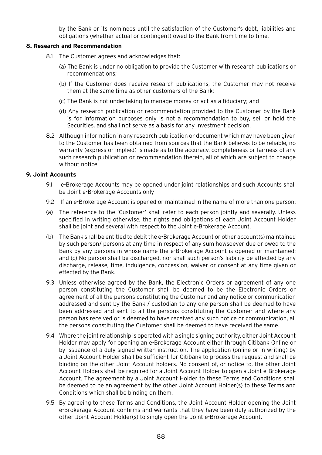by the Bank or its nominees until the satisfaction of the Customer's debt, liabilities and obligations (whether actual or contingent) owed to the Bank from time to time.

#### **8. Research and Recommendation**

- 8.1 The Customer agrees and acknowledges that:
	- (a) The Bank is under no obligation to provide the Customer with research publications or recommendations;
	- (b) If the Customer does receive research publications, the Customer may not receive them at the same time as other customers of the Bank;
	- (c) The Bank is not undertaking to manage money or act as a fiduciary; and
	- (d) Any research publication or recommendation provided to the Customer by the Bank is for information purposes only is not a recommendation to buy, sell or hold the Securities, and shall not serve as a basis for any investment decision.
- 8.2 Although information in any research publication or document which may have been given to the Customer has been obtained from sources that the Bank believes to be reliable, no warranty (express or implied) is made as to the accuracy, completeness or fairness of any such research publication or recommendation therein, all of which are subject to change without notice.

#### **9. Joint Accounts**

- 9.1 e-Brokerage Accounts may be opened under joint relationships and such Accounts shall be Joint e-Brokerage Accounts only
- 9.2 If an e-Brokerage Account is opened or maintained in the name of more than one person:
- (a) The reference to the 'Customer' shall refer to each person jointly and severally. Unless specified in writing otherwise, the rights and obligations of each Joint Account Holder shall be joint and several with respect to the Joint e-Brokerage Account.
- (b) The Bank shall be entitled to debit the e-Brokerage Account or other account(s) maintained by such person/ persons at any time in respect of any sum howsoever due or owed to the Bank by any persons in whose name the e-Brokerage Account is opened or maintained; and (c) No person shall be discharged, nor shall such person's liability be affected by any discharge, release, time, indulgence, concession, waiver or consent at any time given or effected by the Bank.
- 9.3 Unless otherwise agreed by the Bank, the Electronic Orders or agreement of any one person constituting the Customer shall be deemed to be the Electronic Orders or agreement of all the persons constituting the Customer and any notice or communication addressed and sent by the Bank / custodian to any one person shall be deemed to have been addressed and sent to all the persons constituting the Customer and where any person has received or is deemed to have received any such notice or communication, all the persons constituting the Customer shall be deemed to have received the same.
- 9.4 Where the joint relationship is operated with a single signing authority, either Joint Account Holder may apply for opening an e-Brokerage Account either through Citibank Online or by issuance of a duly signed written instruction. The application (online or in writing) by a Joint Account Holder shall be sufficient for Citibank to process the request and shall be binding on the other Joint Account holders. No consent of, or notice to, the other Joint Account Holders shall be required for a Joint Account Holder to open a Joint e-Brokerage Account. The agreement by a Joint Account Holder to these Terms and Conditions shall be deemed to be an agreement by the other Joint Account Holder(s) to these Terms and Conditions which shall be binding on them.
- 9.5 By agreeing to these Terms and Conditions, the Joint Account Holder opening the Joint e-Brokerage Account confirms and warrants that they have been duly authorized by the other Joint Account Holder(s) to singly open the Joint e-Brokerage Account.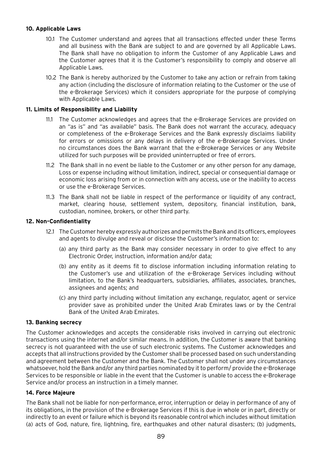# **10. Applicable Laws**

- 10.1 The Customer understand and agrees that all transactions effected under these Terms and all business with the Bank are subject to and are governed by all Applicable Laws. The Bank shall have no obligation to inform the Customer of any Applicable Laws and the Customer agrees that it is the Customer's responsibility to comply and observe all Applicable Laws.
- 10.2 The Bank is hereby authorized by the Customer to take any action or refrain from taking any action (including the disclosure of information relating to the Customer or the use of the e-Brokerage Services) which it considers appropriate for the purpose of complying with Applicable Laws.

# **11. Limits of Responsibility and Liability**

- 11.1 The Customer acknowledges and agrees that the e-Brokerage Services are provided on an "as is" and "as available" basis. The Bank does not warrant the accuracy, adequacy or completeness of the e-Brokerage Services and the Bank expressly disclaims liability for errors or omissions or any delays in delivery of the e-Brokerage Services. Under no circumstances does the Bank warrant that the e-Brokerage Services or any Website utilized for such purposes will be provided uninterrupted or free of errors.
- 11.2 The Bank shall in no event be liable to the Customer or any other person for any damage, Loss or expense including without limitation, indirect, special or consequential damage or economic loss arising from or in connection with any access, use or the inability to access or use the e-Brokerage Services.
- 11.3 The Bank shall not be liable in respect of the performance or liquidity of any contract, market, clearing house, settlement system, depository, financial institution, bank, custodian, nominee, brokers, or other third party.

## **12. Non-Confidentiality**

- 12.1 The Customer hereby expressly authorizes and permits the Bank and its officers, employees and agents to divulge and reveal or disclose the Customer's information to:
	- (a) any third party as the Bank may consider necessary in order to give effect to any Electronic Order, instruction, information and/or data;
	- (b) any entity as it deems fit to disclose information including information relating to the Customer's use and utilization of the e-Brokerage Services including without limitation, to the Bank's headquarters, subsidiaries, affiliates, associates, branches, assignees and agents; and
	- (c) any third party including without limitation any exchange, regulator, agent or service provider save as prohibited under the United Arab Emirates laws or by the Central Bank of the United Arab Emirates.

## **13. Banking secrecy**

The Customer acknowledges and accepts the considerable risks involved in carrying out electronic transactions using the internet and/or similar means. In addition, the Customer is aware that banking secrecy is not guaranteed with the use of such electronic systems. The Customer acknowledges and accepts that all instructions provided by the Customer shall be processed based on such understanding and agreement between the Customer and the Bank. The Customer shall not under any circumstances whatsoever, hold the Bank and/or any third parties nominated by it to perform/ provide the e-Brokerage Services to be responsible or liable in the event that the Customer is unable to access the e-Brokerage Service and/or process an instruction in a timely manner.

## **14. Force Majeure**

The Bank shall not be liable for non-performance, error, interruption or delay in performance of any of its obligations, in the provision of the e-Brokerage Services if this is due in whole or in part, directly or indirectly to an event or failure which is beyond its reasonable control which includes without limitation (a) acts of God, nature, fire, lightning, fire, earthquakes and other natural disasters; (b) judgments,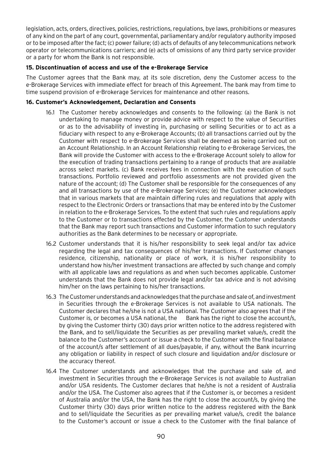legislation, acts, orders, directives, policies, restrictions, regulations, bye laws, prohibitions or measures of any kind on the part of any court, governmental, parliamentary and/or regulatory authority imposed or to be imposed after the fact; (c) power failure; (d) acts of defaults of any telecommunications network operator or telecommunications carriers; and (e) acts of omissions of any third party service provider or a party for whom the Bank is not responsible.

# **15. Discontinuation of access and use of the e-Brokerage Service**

The Customer agrees that the Bank may, at its sole discretion, deny the Customer access to the e-Brokerage Services with immediate effect for breach of this Agreement. The bank may from time to time suspend provision of e-Brokerage Services for maintenance and other reasons.

## **16. Customer's Acknowledgement, Declaration and Consents**

- 16.1 The Customer hereby acknowledges and consents to the following: (a) the Bank is not undertaking to manage money or provide advice with respect to the value of Securities or as to the advisability of investing in, purchasing or selling Securities or to act as a fiduciary with respect to any e-Brokerage Accounts; (b) all transactions carried out by the Customer with respect to e-Brokerage Services shall be deemed as being carried out on an Account Relationship. In an Account Relationship relating to e-Brokerage Services, the Bank will provide the Customer with access to the e-Brokerage Account solely to allow for the execution of trading transactions pertaining to a range of products that are available across select markets. (c) Bank receives fees in connection with the execution of such transactions. Portfolio reviewed and portfolio assessments are not provided given the nature of the account; (d) The Customer shall be responsible for the consequences of any and all transactions by use of the e-Brokerage Services; (e) the Customer acknowledges that in various markets that are maintain differing rules and regulations that apply with respect to the Electronic Orders or transactions that may be entered into by the Customer in relation to the e-Brokerage Services. To the extent that such rules and regulations apply to the Customer or to transactions effected by the Customer, the Customer understands that the Bank may report such transactions and Customer information to such regulatory authorities as the Bank determines to be necessary or appropriate.
- 16.2 Customer understands that it is his/her responsibility to seek legal and/or tax advice regarding the legal and tax consequences of his/her transactions. If Customer changes residence, citizenship, nationality or place of work, it is his/her responsibility to understand how his/her investment transactions are affected by such change and comply with all applicable laws and regulations as and when such becomes applicable. Customer understands that the Bank does not provide legal and/or tax advice and is not advising him/her on the laws pertaining to his/her transactions.
- 16.3 The Customer understands and acknowledges that the purchase and sale of, and investment in Securities through the e-Brokerage Services is not available to USA nationals. The Customer declares that he/she is not a USA national. The Customer also agrees that if the Customer is, or becomes a USA national, the Bank has the right to close the account/s, by giving the Customer thirty (30) days prior written notice to the address registered with the Bank, and to sell/liquidate the Securities as per prevailing market value/s, credit the balance to the Customer's account or issue a check to the Customer with the final balance of the account/s after settlement of all dues/payable, if any, without the Bank incurring any obligation or liability in respect of such closure and liquidation and/or disclosure or the accuracy thereof.
- 16.4 The Customer understands and acknowledges that the purchase and sale of, and investment in Securities through the e-Brokerage Services is not available to Australian and/or USA residents. The Customer declares that he/she is not a resident of Australia and/or the USA. The Customer also agrees that if the Customer is, or becomes a resident of Australia and/or the USA, the Bank has the right to close the account/s, by giving the Customer thirty (30) days prior written notice to the address registered with the Bank and to sell/liquidate the Securities as per prevailing market value/s, credit the balance to the Customer's account or issue a check to the Customer with the final balance of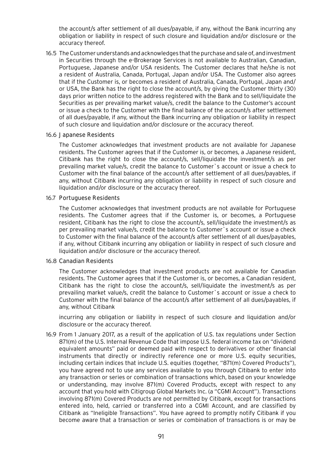the account/s after settlement of all dues/payable, if any, without the Bank incurring any obligation or liability in respect of such closure and liquidation and/or disclosure or the accuracy thereof.

16.5 The Customer understands and acknowledges that the purchase and sale of, and investment in Securities through the e-Brokerage Services is not available to Australian, Canadian, Portuguese, Japanese and/or USA residents. The Customer declares that he/she is not a resident of Australia, Canada, Portugal, Japan and/or USA. The Customer also agrees that if the Customer is, or becomes a resident of Australia, Canada, Portugal, Japan and/ or USA, the Bank has the right to close the account/s, by giving the Customer thirty (30) days prior written notice to the address registered with the Bank and to sell/liquidate the Securities as per prevailing market value/s, credit the balance to the Customer's account or issue a check to the Customer with the final balance of the account/s after settlement of all dues/payable, if any, without the Bank incurring any obligation or liability in respect of such closure and liquidation and/or disclosure or the accuracy thereof.

#### 16.6 Japanese Residents

The Customer acknowledges that investment products are not available for Japanese residents. The Customer agrees that if the Customer is, or becomes, a Japanese resident, Citibank has the right to close the account/s, sell/liquidate the investment/s as per prevailing market value/s, credit the balance to Customer`s account or issue a check to Customer with the final balance of the account/s after settlement of all dues/payables, if any, without Citibank incurring any obligation or liability in respect of such closure and liquidation and/or disclosure or the accuracy thereof.

#### 16.7 Portuguese Residents

The Customer acknowledges that investment products are not available for Portuguese residents. The Customer agrees that if the Customer is, or becomes, a Portuguese resident, Citibank has the right to close the account/s, sell/liquidate the investment/s as per prevailing market value/s, credit the balance to Customer`s account or issue a check to Customer with the final balance of the account/s after settlement of all dues/payables, if any, without Citibank incurring any obligation or liability in respect of such closure and liquidation and/or disclosure or the accuracy thereof.

## 16.8 Canadian Residents

The Customer acknowledges that investment products are not available for Canadian residents. The Customer agrees that if the Customer is, or becomes, a Canadian resident, Citibank has the right to close the account/s, sell/liquidate the investment/s as per prevailing market value/s, credit the balance to Customer`s account or issue a check to Customer with the final balance of the account/s after settlement of all dues/payables, if any, without Citibank

incurring any obligation or liability in respect of such closure and liquidation and/or disclosure or the accuracy thereof.

16.9 From 1 January 2017, as a result of the application of U.S. tax regulations under Section 871(m) of the U.S. Internal Revenue Code that impose U.S. federal income tax on "dividend equivalent amounts" paid or deemed paid with respect to derivatives or other financial instruments that directly or indirectly reference one or more U.S. equity securities, including certain indices that include U.S. equities (together, "871(m) Covered Products"), you have agreed not to use any services available to you through Citibank to enter into any transaction or series or combination of transactions which, based on your knowledge or understanding, may involve 871(m) Covered Products, except with respect to any account that you hold with Citigroup Global Markets Inc. (a "CGMI Account"). Transactions involving 871(m) Covered Products are not permitted by Citibank, except for transactions entered into, held, carried or transferred into a CGMI Account, and are classified by Citibank as "Ineligible Transactions". You have agreed to promptly notify Citibank if you become aware that a transaction or series or combination of transactions is or may be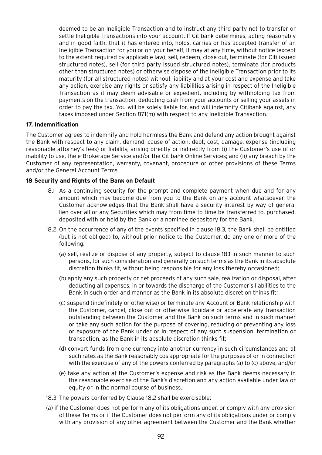deemed to be an Ineligible Transaction and to instruct any third party not to transfer or settle Ineligible Transactions into your account. If Citibank determines, acting reasonably and in good faith, that it has entered into, holds, carries or has accepted transfer of an Ineligible Transaction for you or on your behalf, it may at any time, without notice (except to the extent required by applicable law), sell, redeem, close out, terminate (for Citi issued structured notes), sell (for third party issued structured notes), terminate (for products other than structured notes) or otherwise dispose of the Ineligible Transaction prior to its maturity (for all structured notes) without liability and at your cost and expense and take any action, exercise any rights or satisfy any liabilities arising in respect of the Ineligible Transaction as it may deem advisable or expedient, including by withholding tax from payments on the transaction, deducting cash from your accounts or selling your assets in order to pay the tax. You will be solely liable for, and will indemnify Citibank against, any taxes imposed under Section 871(m) with respect to any Ineligible Transaction.

## **17. Indemnification**

The Customer agrees to indemnify and hold harmless the Bank and defend any action brought against the Bank with respect to any claim, demand, cause of action, debt, cost, damage, expense (including reasonable attorney's fees) or liability, arising directly or indirectly from (i) the Customer's use of or inability to use, the e-Brokerage Service and/or the Citibank Online Services; and (ii) any breach by the Customer of any representation, warranty, covenant, procedure or other provisions of these Terms and/or the General Account Terms.

#### **18 Security and Rights of the Bank on Default**

- 18.1 As a continuing security for the prompt and complete payment when due and for any amount which may become due from you to the Bank on any account whatsoever, the Customer acknowledges that the Bank shall have a security interest by way of general lien over all or any Securities which may from time to time be transferred to, purchased, deposited with or held by the Bank or a nominee depository for the Bank.
- 18.2 On the occurrence of any of the events specified in clause 18.3, the Bank shall be entitled (but is not obliged) to, without prior notice to the Customer, do any one or more of the following:
	- (a) sell, realize or dispose of any property, subject to clause 18.1 in such manner to such persons, for such consideration and generally on such terms as the Bank in its absolute discretion thinks fit, without being responsible for any loss thereby occasioned;
	- (b) apply any such property or net proceeds of any such sale, realization or disposal, after deducting all expenses, in or towards the discharge of the Customer's liabilities to the Bank in such order and manner as the Bank in its absolute discretion thinks fit;
	- (c) suspend (indefinitely or otherwise) or terminate any Account or Bank relationship with the Customer, cancel, close out or otherwise liquidate or accelerate any transaction outstanding between the Customer and the Bank on such terms and in such manner or take any such action for the purpose of covering, reducing or preventing any loss or exposure of the Bank under or in respect of any such suspension, termination or transaction, as the Bank in its absolute discretion thinks fit;
	- (d) convert funds from one currency into another currency in such circumstances and at such rates as the Bank reasonably cos appropriate for the purposes of or in connection with the exercise of any of the powers conferred by paragraphs (a) to (c) above; and/or
	- (e) take any action at the Customer's expense and risk as the Bank deems necessary in the reasonable exercise of the Bank's discretion and any action available under law or equity or in the normal course of business.
- 18.3 The powers conferred by Clause 18.2 shall be exercisable:
- (a) if the Customer does not perform any of its obligations under, or comply with any provision of these Terms or if the Customer does not perform any of its obligations under or comply with any provision of any other agreement between the Customer and the Bank whether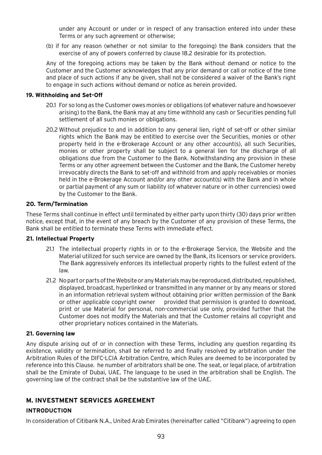under any Account or under or in respect of any transaction entered into under these Terms or any such agreement or otherwise;

(b) if for any reason (whether or not similar to the foregoing) the Bank considers that the exercise of any of powers conferred by clause 18.2 desirable for its protection.

Any of the foregoing actions may be taken by the Bank without demand or notice to the Customer and the Customer acknowledges that any prior demand or call or notice of the time and place of such actions if any be given, shall not be considered a waiver of the Bank's right to engage in such actions without demand or notice as herein provided.

#### **19. Withholding and Set-Off**

- 20.1 For so long as the Customer owes monies or obligations (of whatever nature and howsoever arising) to the Bank, the Bank may at any time withhold any cash or Securities pending full settlement of all such monies or obligations.
- 20.2 Without prejudice to and in addition to any general lien, right of set-off or other similar rights which the Bank may be entitled to exercise over the Securities, monies or other property held in the e-Brokerage Account or any other account(s), all such Securities, monies or other property shall be subject to a general lien for the discharge of all obligations due from the Customer to the Bank. Notwithstanding any provision in these Terms or any other agreement between the Customer and the Bank, the Customer hereby irrevocably directs the Bank to set-off and withhold from and apply receivables or monies held in the e-Brokerage Account and/or any other account(s) with the Bank and in whole or partial payment of any sum or liability (of whatever nature or in other currencies) owed by the Customer to the Bank.

## **20. Term/Termination**

These Terms shall continue in effect until terminated by either party upon thirty (30) days prior written notice, except that, in the event of any breach by the Customer of any provision of these Terms, the Bank shall be entitled to terminate these Terms with immediate effect.

## **21. Intellectual Property**

- 21.1 The intellectual property rights in or to the e-Brokerage Service, the Website and the Material utilized for such service are owned by the Bank, its licensors or service providers. The Bank aggressively enforces its intellectual property rights to the fullest extent of the law.
- 21.2 No part or parts of the Website or any Materials may be reproduced, distributed, republished, displayed, broadcast, hyperlinked or transmitted in any manner or by any means or stored in an information retrieval system without obtaining prior written permission of the Bank or other applicable copyright owner provided that permission is granted to download, print or use Material for personal, non-commercial use only, provided further that the Customer does not modify the Materials and that the Customer retains all copyright and other proprietary notices contained in the Materials.

## **21. Governing law**

Any dispute arising out of or in connection with these Terms, including any question regarding its existence, validity or termination, shall be referred to and finally resolved by arbitration under the Arbitration Rules of the DIFC-LCIA Arbitration Centre, which Rules are deemed to be incorporated by reference into this Clause. he number of arbitrators shall be one. The seat, or legal place, of arbitration shall be the Emirate of Dubai, UAE. The language to be used in the arbitration shall be English. The governing law of the contract shall be the substantive law of the UAE.

# **M. INVESTMENT SERVICES AGREEMENT**

# **INTRODUCTION**

In consideration of Citibank N.A., United Arab Emirates (hereinafter called "Citibank") agreeing to open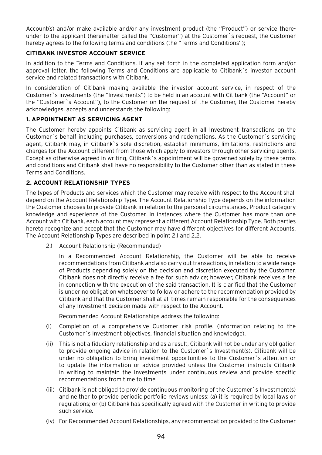Account(s) and/or make available and/or any investment product (the "Product") or service thereunder to the applicant (hereinafter called the "Customer") at the Customer`s request, the Customer hereby agrees to the following terms and conditions (the "Terms and Conditions");

# **CITIBANK INVESTOR ACCOUNT SERVICE**

In addition to the Terms and Conditions, if any set forth in the completed application form and/or approval letter, the following Terms and Conditions are applicable to Citibank`s investor account service and related transactions with Citibank.

In consideration of Citibank making available the investor account service, in respect of the Customer`s investments (the "Investments") to be held in an account with Citibank (the "Account" or the "Customer`s Account"), to the Customer on the request of the Customer, the Customer hereby acknowledges, accepts and understands the following:

# **1. APPOINTMENT AS SERVICING AGENT**

The Customer hereby appoints Citibank as servicing agent in all Investment transactions on the Customer`s behalf including purchases, conversions and redemptions. As the Customer`s servicing agent, Citibank may, in Citibank`s sole discretion, establish minimums, limitations, restrictions and charges for the Account different from those which apply to investors through other servicing agents. Except as otherwise agreed in writing, Citibank`s appointment will be governed solely by these terms and conditions and Citibank shall have no responsibility to the Customer other than as stated in these Terms and Conditions.

# **2. ACCOUNT RELATIONSHIP TYPES**

The types of Products and services which the Customer may receive with respect to the Account shall depend on the Account Relationship Type. The Account Relationship Type depends on the information the Customer chooses to provide Citibank in relation to the personal circumstances, Product category knowledge and experience of the Customer. In instances where the Customer has more than one Account with Citibank, each account may represent a different Account Relationship Type. Both parties hereto recognize and accept that the Customer may have different objectives for different Accounts. The Account Relationship Types are described in point 2.1 and 2.2.

2.1 Account Relationship (Recommended)

In a Recommended Account Relationship, the Customer will be able to receive recommendations from Citibank and also carry out transactions, in relation to a wide range of Products depending solely on the decision and discretion executed by the Customer. Citibank does not directly receive a fee for such advice; however, Citibank receives a fee in connection with the execution of the said transaction. It is clarified that the Customer is under no obligation whatsoever to follow or adhere to the recommendation provided by Citibank and that the Customer shall at all times remain responsible for the consequences of any Investment decision made with respect to the Account.

Recommended Account Relationships address the following:

- (i) Completion of a comprehensive Customer risk profile. (Information relating to the Customer`s Investment objectives, financial situation and knowledge).
- (ii) This is not a fiduciary relationship and as a result, Citibank will not be under any obligation to provide ongoing advice in relation to the Customer`s Investment(s). Citibank will be under no obligation to bring investment opportunities to the Customer`s attention or to update the information or advice provided unless the Customer instructs Citibank in writing to maintain the Investments under continuous review and provide specific recommendations from time to time.
- (iii) Citibank is not obliged to provide continuous monitoring of the Customer`s Investment(s) and neither to provide periodic portfolio reviews unless: (a) it is required by local laws or regulations; or (b) Citibank has specifically agreed with the Customer in writing to provide such service.
- (iv) For Recommended Account Relationships, any recommendation provided to the Customer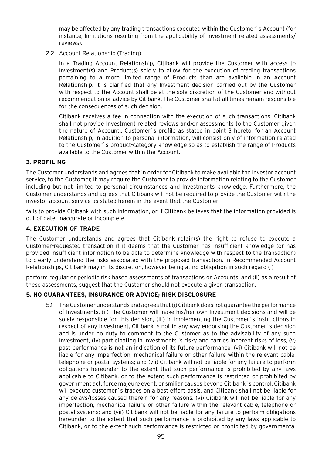may be affected by any trading transactions executed within the Customer`s Account (for instance, limitations resulting from the applicability of Investment related assessments/ reviews).

2.2 Account Relationship (Trading)

In a Trading Account Relationship, Citibank will provide the Customer with access to Investment(s) and Product(s) solely to allow for the execution of trading transactions pertaining to a more limited range of Products than are available in an Account Relationship. It is clarified that any Investment decision carried out by the Customer with respect to the Account shall be at the sole discretion of the Customer and without recommendation or advice by Citibank. The Customer shall at all times remain responsible for the consequences of such decision.

Citibank receives a fee in connection with the execution of such transactions. Citibank shall not provide Investment related reviews and/or assessments to the Customer given the nature of Account.. Customer`s profile as stated in point 3 hereto, for an Account Relationship, in addition to personal information, will consist only of information related to the Customer`s product-category knowledge so as to establish the range of Products available to the Customer within the Account.

# **3. PROFILING**

The Customer understands and agrees that in order for Citibank to make available the investor account service, to the Customer, it may require the Customer to provide information relating to the Customer including but not limited to personal circumstances and Investments knowledge. Furthermore, the Customer understands and agrees that Citibank will not be required to provide the Customer with the investor account service as stated herein in the event that the Customer

fails to provide Citibank with such information, or if Citibank believes that the information provided is out of date, inaccurate or incomplete.

# **4. EXECUTION OF TRADE**

The Customer understands and agrees that Citibank retain(s) the right to refuse to execute a Customer-requested transaction if it deems that the Customer has insufficient knowledge (or has provided insufficient information to be able to determine knowledge with respect to the transaction) to clearly understand the risks associated with the proposed transaction. In Recommended Account Relationships, Citibank may in its discretion, however being at no obligation in such regard (i)

perform regular or periodic risk based assessments of transactions or Accounts, and (ii) as a result of these assessments, suggest that the Customer should not execute a given transaction.

# **5. NO GUARANTEES, INSURANCE OR ADVICE; RISK DISCLOSURE**

5.1 The Customer understands and agrees that (i) Citibank does not guarantee the performance of Investments, (ii) The Customer will make his/her own Investment decisions and will be solely responsible for this decision, (iii) in implementing the Customer`s instructions in respect of any Investment, Citibank is not in any way endorsing the Customer`s decision and is under no duty to comment to the Customer as to the advisability of any such Investment, (iv) participating in Investments is risky and carries inherent risks of loss, (v) past performance is not an indication of its future performance, (vi) Citibank will not be liable for any imperfection, mechanical failure or other failure within the relevant cable, telephone or postal systems; and (vii) Citibank will not be liable for any failure to perform obligations hereunder to the extent that such performance is prohibited by any laws applicable to Citibank, or to the extent such performance is restricted or prohibited by government act, force majeure event, or smiliar causes beyond Citibank`s control. Citibank will execute customer`s trades on a best effort basis, and Citibank shall not be liable for any delays/losses caused therein for any reasons. (vi) Citibank will not be liable for any imperfection, mechanical failure or other failure within the relevant cable, telephone or postal systems; and (vii) Citibank will not be liable for any failure to perform obligations hereunder to the extent that such performance is prohibited by any laws applicable to Citibank, or to the extent such performance is restricted or prohibited by governmental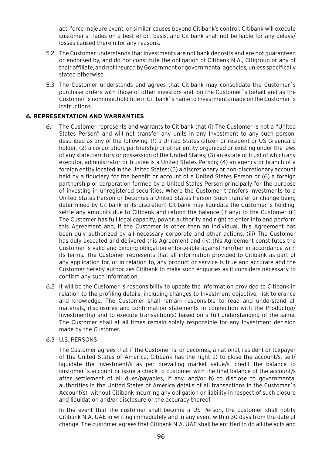act, force majeure event, or similar causes beyond Citibank's control. Citibank will execute customer's trades on a best effort basis, and Citibank shall not be liable for any delays/ losses caused therein for any reasons.

- 5.2 The Customer understands that investments are not bank deposits and are not guaranteed or endorsed by, and do not constitute the obligation of Citibank N.A., Citigroup or any of their affiliate, and not insured by Government or governmental agencies, unless specifically stated otherwise.
- 5.3 The Customer understands and agrees that Citibank may consolidate the Customer`s purchase orders with those of other investors and, on the Customer`s behalf and as the Customer`s nominee, hold title in Citibank`s name to Investments made on the Customer`s instructions.

## **6. REPRESENTATION AND WARRANTIES**

- 6.1 The Customer represents and warrants to Citibank that (i) The Customer is not a "United States Person" and will not transfer any units in any Investment to any such person, described as any of the following; (1) a United States citizen or resident or US Greencard holder; (2) a corporation, partnership or other entity organized or existing under the laws of any state, territory or possession of the United States; (3) an estate or trust of which any executor, administrator or trustee is a United States Person; (4) an agency or branch of a foreign entity located in the United States; (5) a discretionary or non-discretionary account held by a fiduciary for the benefit or account of a United States Person or (6) a foreign partnership or corporation formed by a United States Person principally for the purpose of investing in unregistered securities. Where the Customer transfers investments to a United States Person or becomes a United States Person (such transfer or change being determined by Citibank in its discretion) Citibank may liquidate the Customer`s holding, settle any amounts due to Citibank and refund the balance (if any) to the Customer (ii) The Customer has full legal capacity, power, authority and right to enter into and perform this Agreement and, if the Customer is other than an individual, this Agreement has been duly authorized by all necessary corporate and other actions, (iii) The Customer has duly executed and delivered this Agreement and (iv) this Agreement constitutes the Customer`s valid and binding obligation enforceable against him/her in accordance with its terms. The Customer represents that all information provided to Citibank as part of any application for, or in relation to, any product or service is true and accurate and the Customer hereby authorizes Citibank to make such enquiries as it considers necessary to confirm any such information.
- 6.2 It will be the Customer`s responsibility to update the information provided to Citibank in relation to the profiling details, including changes to Investment objective, risk tolerance and knowledge. The Customer shall remain responsible to read and understand all materials, disclosures and confirmation statements in connection with the Product(s)/ Investment(s) and to execute transaction(s) based on a full understanding of the same. The Customer shall at all times remain solely responsible for any Investment decision made by the Customer.
- 6.3 U.S. PERSONS

The Customer agrees that if the Customer is, or becomes, a national, resident or taxpayer of the United States of America, Citibank has the right a) to close the account/s, sell/ liquidate the investment/s as per prevailing market value/s, credit the balance to customer`s account or issue a check to customer with the final balance of the account/s after settlement of all dues/payables, if any, and/or b) to disclose to governmental authorities in the United States of America details of all transactions in the Customer`s Account(s), without Citibank incurring any obligation or liability in respect of such closure and liquidation and/or disclosure or the accuracy thereof.

In the event that the customer shall become a US Person, the customer shall notify Citibank N.A. UAE in writing immediately and in any event within 30 days from the date of change. The customer agrees that Citibank N.A. UAE shall be entitled to do all the acts and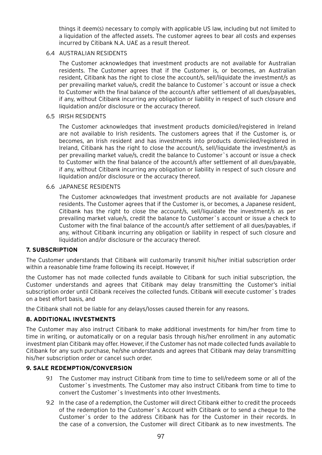things it deem(s) necessary to comply with applicable US law, including but not limited to a liquidation of the affected assets. The customer agrees to bear all costs and expenses incurred by Citibank N.A. UAE as a result thereof.

#### 6.4 AUSTRALIAN RESIDENTS

The Customer acknowledges that investment products are not available for Australian residents. The Customer agrees that if the Customer is, or becomes, an Australian resident, Citibank has the right to close the account/s, sell/liquidate the investment/s as per prevailing market value/s, credit the balance to Customer`s account or issue a check to Customer with the final balance of the account/s after settlement of all dues/payables, if any, without Citibank incurring any obligation or liability in respect of such closure and liquidation and/or disclosure or the accuracy thereof.

#### 6.5 IRISH RESIDENTS

The Customer acknowledges that investment products domiciled/registered in Ireland are not available to Irish residents. The customers agrees that if the Customer is, or becomes, an Irish resident and has investments into products domiciled/registered in Ireland, Citibank has the right to close the account/s, sell/liquidate the investment/s as per prevailing market value/s, credit the balance to Customer`s account or issue a check to Customer with the final balance of the account/s after settlement of all dues/payable, if any, without Citibank incurring any obligation or liability in respect of such closure and liquidation and/or disclosure or the accuracy thereof.

#### 6.6 JAPANESE RESIDENTS

The Customer acknowledges that investment products are not available for Japanese residents. The Customer agrees that if the Customer is, or becomes, a Japanese resident, Citibank has the right to close the account/s, sell/liquidate the investment/s as per prevailing market value/s, credit the balance to Customer`s account or issue a check to Customer with the final balance of the account/s after settlement of all dues/payables, if any, without Citibank incurring any obligation or liability in respect of such closure and liquidation and/or disclosure or the accuracy thereof.

## **7. SUBSCRIPTION**

The Customer understands that Citibank will customarily transmit his/her initial subscription order within a reasonable time frame following its receipt. However, if

the Customer has not made collected funds available to Citibank for such initial subscription, the Customer understands and agrees that Citibank may delay transmitting the Customer's initial subscription order until Citibank receives the collected funds. Citibank will execute customer`s trades on a best effort basis, and

the Citibank shall not be liable for any delays/losses caused therein for any reasons.

## **8. ADDITIONAL INVESTMENTS**

The Customer may also instruct Citibank to make additional investments for him/her from time to time in writing, or automatically or on a regular basis through his/her enrollment in any automatic investment plan Citibank may offer. However, if the Customer has not made collected funds available to Citibank for any such purchase, he/she understands and agrees that Citibank may delay transmitting his/her subscription order or cancel such order.

## **9. SALE REDEMPTION/CONVERSION**

- 9.1 The Customer may instruct Citibank from time to time to sell/redeem some or all of the Customer`s investments. The Customer may also instruct Citibank from time to time to convert the Customer`s Investments into other Investments.
- 9.2 In the case of a redemption, the Customer will direct Citibank either to credit the proceeds of the redemption to the Customer`s Account with Citibank or to send a cheque to the Customer`s order to the address Citibank has for the Customer in their records. In the case of a conversion, the Customer will direct Citibank as to new investments. The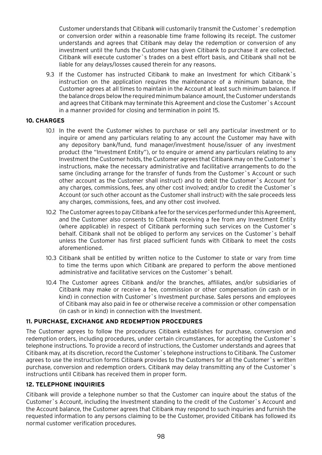Customer understands that Citibank will customarily transmit the Customer`s redemption or conversion order within a reasonable time frame following its receipt. The customer understands and agrees that Citibank may delay the redemption or conversion of any investment until the funds the Customer has given Citibank to purchase it are collected. Citibank will execute customer`s trades on a best effort basis, and Citibank shall not be liable for any delays/losses caused therein for any reasons.

9.3 If the Customer has instructed Citibank to make an Investment for which Citibank`s instruction on the application requires the maintenance of a minimum balance, the Customer agrees at all times to maintain in the Account at least such minimum balance. If the balance drops below the required minimum balance amount, the Customer understands and agrees that Citibank may terminate this Agreement and close the Customer`s Account in a manner provided for closing and termination in point 15.

# **10. CHARGES**

- 10.1 In the event the Customer wishes to purchase or sell any particular investment or to inquire or amend any particulars relating to any account the Customer may have with any depository bank/fund, fund manager/investment house/issuer of any investment product (the "Investment Entity"), or to enquire or amend any particulars relating to any Investment the Customer holds, the Customer agrees that Citibank may on the Customer`s instructions, make the necessary administrative and facilitative arrangements to do the same (including arrange for the transfer of funds from the Customer`s Account or such other account as the Customer shall instruct) and to debit the Customer`s Account for any charges, commissions, fees, any other cost involved; and/or to credit the Customer`s Account (or such other account as the Customer shall instruct) with the sale proceeds less any charges, commissions, fees, and any other cost involved.
- 10.2 The Customer agrees to pay Citibank a fee for the services performed under this Agreement, and the Customer also consents to Citibank receiving a fee from any Investment Entity (where applicable) in respect of Citibank performing such services on the Customer`s behalf. Citibank shall not be obliged to perform any services on the Customer`s behalf unless the Customer has first placed sufficient funds with Citibank to meet the costs aforementioned.
- 10.3 Citibank shall be entitled by written notice to the Customer to state or vary from time to time the terms upon which Citibank are prepared to perform the above mentioned administrative and facilitative services on the Customer`s behalf.
- 10.4 The Customer agrees Citibank and/or the branches, affiliates, and/or subsidiaries of Citibank may make or receive a fee, commission or other compensation (in cash or in kind) in connection with Customer`s Investment purchase. Sales persons and employees of Citibank may also paid in fee or otherwise receive a commission or other compensation (in cash or in kind) in connection with the Investment.

# **11. PURCHASE, EXCHANGE AND REDEMPTION PROCEDURES**

The Customer agrees to follow the procedures Citibank establishes for purchase, conversion and redemption orders, including procedures, under certain circumstances, for accepting the Customer`s telephone instructions. To provide a record of instructions, the Customer understands and agrees that Citibank may, at its discretion, record the Customer`s telephone instructions to Citibank. The Customer agrees to use the instruction forms Citibank provides to the Customers for all the Customer`s written purchase, conversion and redemption orders. Citibank may delay transmitting any of the Customer`s instructions until Citibank has received them in proper form.

## **12. TELEPHONE INQUIRIES**

Citibank will provide a telephone number so that the Customer can inquire about the status of the Customer`s Account, including the Investment standing to the credit of the Customer`s Account and the Account balance, the Customer agrees that Citibank may respond to such inquiries and furnish the requested information to any persons claiming to be the Customer, provided Citibank has followed its normal customer verification procedures.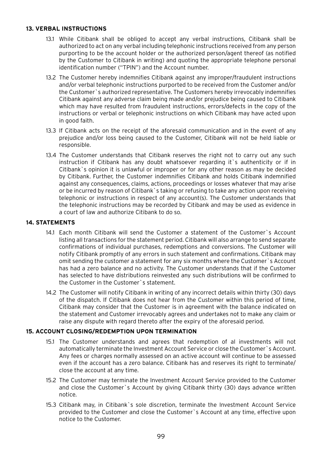## **13. VERBAL INSTRUCTIONS**

- 13.1 While Citibank shall be obliged to accept any verbal instructions, Citibank shall be authorized to act on any verbal including telephonic instructions received from any person purporting to be the account holder or the authorized person/agent thereof (as notified by the Customer to Citibank in writing) and quoting the appropriate telephone personal identification number ("TPIN") and the Account number.
- 13.2 The Customer hereby indemnifies Citibank against any improper/fraudulent instructions and/or verbal telephonic instructions purported to be received from the Customer and/or the Customer`s authorized representative. The Customers hereby irrevocably indemnifies Citibank against any adverse claim being made and/or prejudice being caused to Citibank which may have resulted from fraudulent instructions, errors/defects in the copy of the instructions or verbal or telephonic instructions on which Citibank may have acted upon in good faith.
- 13.3 If Citibank acts on the receipt of the aforesaid communication and in the event of any prejudice and/or loss being caused to the Customer, Citibank will not be held liable or responsible.
- 13.4 The Customer understands that Citibank reserves the right not to carry out any such instruction if Citibank has any doubt whatsoever regarding it's authenticity or if in Citibank`s opinion it is unlawful or improper or for any other reason as may be decided by Citibank. Further, the Customer indemnifies Citibank and holds Citibank indemnified against any consequences, claims, actions, proceedings or losses whatever that may arise or be incurred by reason of Citibank`s taking or refusing to take any action upon receiving telephonic or instructions in respect of any account(s). The Customer understands that the telephonic instructions may be recorded by Citibank and may be used as evidence in a court of law and authorize Citibank to do so.

# **14. STATEMENTS**

- 14.1 Each month Citibank will send the Customer a statement of the Customer's Account listing all transactions for the statement period. Citibank will also arrange to send separate confirmations of individual purchases, redemptions and conversions. The Customer will notify Citibank promptly of any errors in such statement and confirmations. Citibank may omit sending the customer a statement for any six months where the Customer`s Account has had a zero balance and no activity. The Customer understands that if the Customer has selected to have distributions reinvested any such distributions will be confirmed to the Customer in the Customer`s statement.
- 14.2 The Customer will notify Citibank in writing of any incorrect details within thirty (30) days of the dispatch. If Citibank does not hear from the Customer within this period of time, Citibank may consider that the Customer is in agreement with the balance indicated on the statement and Customer irrevocably agrees and undertakes not to make any claim or raise any dispute with regard thereto after the expiry of the aforesaid period.

## **15. ACCOUNT CLOSING/REDEMPTION UPON TERMINATION**

- 15.1 The Customer understands and agrees that redemption of al investments will not automatically terminate the Investment Account Service or close the Customer`s Account. Any fees or charges normally assessed on an active account will continue to be assessed even if the account has a zero balance. Citibank has and reserves its right to terminate/ close the account at any time.
- 15.2 The Customer may terminate the Investment Account Service provided to the Customer and close the Customer`s Account by giving Citibank thirty (30) days advance written notice.
- 15.3 Citibank may, in Citibank`s sole discretion, terminate the Investment Account Service provided to the Customer and close the Customer`s Account at any time, effective upon notice to the Customer.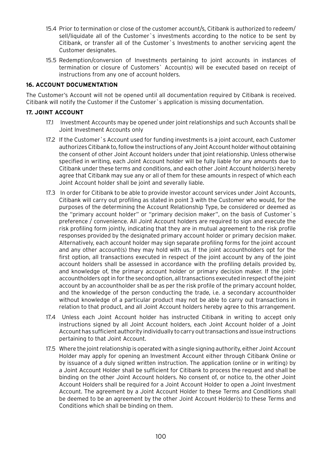- 15.4 Prior to termination or close of the customer account/s, Citibank is authorized to redeem/ sell/liquidate all of the Customer`s investments according to the notice to be sent by Citibank, or transfer all of the Customer`s Investments to another servicing agent the Customer designates.
- 15.5 Redemption/conversion of Investments pertaining to joint accounts in instances of termination or closure of Customers` Account(s) will be executed based on receipt of instructions from any one of account holders.

## **16. ACCOUNT DOCUMENTATION**

The Customer's Account will not be opened until all documentation required by Citibank is received. Citibank will notify the Customer if the Customer`s application is missing documentation.

## **17. JOINT ACCOUNT**

- 17.1 Investment Accounts may be opened under joint relationships and such Accounts shall be Joint Investment Accounts only
- 17.2 If the Customer`s Account used for funding investments is a joint account, each Customer authorizes Citibank to, follow the instructions of any Joint Account holder without obtaining the consent of other Joint Account holders under that joint relationship. Unless otherwise specified in writing, each Joint Account holder will be fully liable for any amounts due to Citibank under these terms and conditions, and each other Joint Account holder(s) hereby agree that Citibank may sue any or all of them for these amounts in respect of which each Joint Account holder shall be joint and severally liable.
- 17.3 In order for Citibank to be able to provide investor account services under Joint Accounts, Citibank will carry out profiling as stated in point 3 with the Customer who would, for the purposes of the determining the Account Relationship Type, be considered or deemed as the "primary account holder" or "primary decision maker", on the basis of Customer`s preference / convenience. All Joint Account holders are required to sign and execute the risk profiling form jointly, indicating that they are in mutual agreement to the risk profile responses provided by the designated primary account holder or primary decision maker. Alternatively, each account holder may sign separate profiling forms for the joint account and any other account(s) they may hold with us. If the joint accountholders opt for the first option, all transactions executed in respect of the joint account by any of the joint account holders shall be assessed in accordance with the profiling details provided by, and knowledge of, the primary account holder or primary decision maker. If the jointaccountholders opt in for the second option, all transactions executed in respect of the joint account by an accountholder shall be as per the risk profile of the primary account holder, and the knowledge of the person conducting the trade, i.e. a secondary accountholder without knowledge of a particular product may not be able to carry out transactions in relation to that product, and all Joint Account holders hereby agree to this arrangement.
- 17.4 Unless each Joint Account holder has instructed Citibank in writing to accept only instructions signed by all Joint Account holders, each Joint Account holder of a Joint Account has sufficient authority individually to carry out transactions and issue instructions pertaining to that Joint Account.
- 17.5 Where the joint relationship is operated with a single signing authority, either Joint Account Holder may apply for opening an Investment Account either through Citibank Online or by issuance of a duly signed written instruction. The application (online or in writing) by a Joint Account Holder shall be sufficient for Citibank to process the request and shall be binding on the other Joint Account holders. No consent of, or notice to, the other Joint Account Holders shall be required for a Joint Account Holder to open a Joint Investment Account. The agreement by a Joint Account Holder to these Terms and Conditions shall be deemed to be an agreement by the other Joint Account Holder(s) to these Terms and Conditions which shall be binding on them.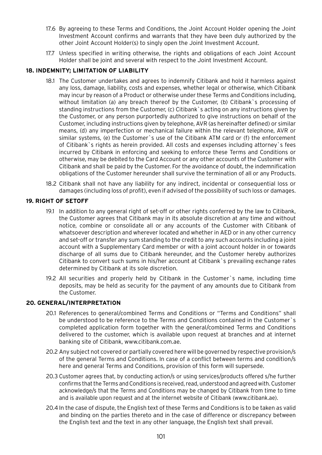- 17.6 By agreeing to these Terms and Conditions, the Joint Account Holder opening the Joint Investment Account confirms and warrants that they have been duly authorized by the other Joint Account Holder(s) to singly open the Joint Investment Account.
- 17.7 Unless specified in writing otherwise, the rights and obligations of each Joint Account Holder shall be joint and several with respect to the Joint Investment Account.

# **18. INDEMNITY; LIMITATION OF LIABILITY**

- 18.1 The Customer undertakes and agrees to indemnify Citibank and hold it harmless against any loss, damage, liability, costs and expenses, whether legal or otherwise, which Citibank may incur by reason of a Product or otherwise under these Terms and Conditions including, without limitation (a) any breach thereof by the Customer, (b) Citibank`s processing of standing instructions from the Customer, (c) Citibank`s acting on any instructions given by the Customer, or any person purportedly authorized to give instructions on behalf of the Customer, including instructions given by telephone, AVR (as hereinafter defined) or similar means, (d) any imperfection or mechanical failure within the relevant telephone, AVR or similar systems, (e) the Customer`s use of the Citibank ATM card or (f) the enforcement of Citibank`s rights as herein provided. All costs and expenses including attorney`s fees incurred by Citibank in enforcing and seeking to enforce these Terms and Conditions or otherwise, may be debited to the Card Account or any other accounts of the Customer with Citibank and shall be paid by the Customer. For the avoidance of doubt, the indemnification obligations of the Customer hereunder shall survive the termination of all or any Products.
- 18.2 Citibank shall not have any liability for any indirect, incidental or consequential loss or damages (including loss of profit), even if advised of the possibility of such loss or damages.

# **19. RIGHT OF SETOFF**

- 19.1 In addition to any general right of set-off or other rights conferred by the law to Citibank, the Customer agrees that Citibank may in its absolute discretion at any time and without notice, combine or consolidate all or any accounts of the Customer with Citibank of whatsoever description and wherever located and whether in AED or in any other currency and set-off or transfer any sum standing to the credit to any such accounts including a joint account with a Supplementary Card member or with a joint account holder in or towards discharge of all sums due to Citibank hereunder, and the Customer hereby authorizes Citibank to convert such sums in his/her account at Citibank`s prevailing exchange rates determined by Citibank at its sole discretion.
- 19.2 All securities and properly held by Citibank in the Customer`s name, including time deposits, may be held as security for the payment of any amounts due to Citibank from the Customer.

## **20. GENERAL/INTERPRETATION**

- 20.1 References to general/combined Terms and Conditions or "Terms and Conditions" shall be understood to be reference to the Terms and Conditions contained in the Customer`s completed application form together with the general/combined Terms and Conditions delivered to the customer, which is available upon request at branches and at internet banking site of Citibank, www.citibank.com.ae.
- 20.2 Any subject not covered or partially covered here will be governed by respective provision/s of the general Terms and Conditions. In case of a conflict between terms and condition/s here and general Terms and Conditions, provision of this form will supersede.
- 20.3 Customer agrees that, by conducting action/s or using services/products offered s/he further confirms that the Terms and Conditions is received, read, understood and agreed with. Customer acknowledge/s that the Terms and Conditions may be changed by Citibank from time to time and is available upon request and at the internet website of Citibank (www.citibank.ae).
- 20.4 In the case of dispute, the English text of these Terms and Conditions is to be taken as valid and binding on the parties thereto and in the case of difference or discrepancy between the English text and the text in any other language, the English text shall prevail.